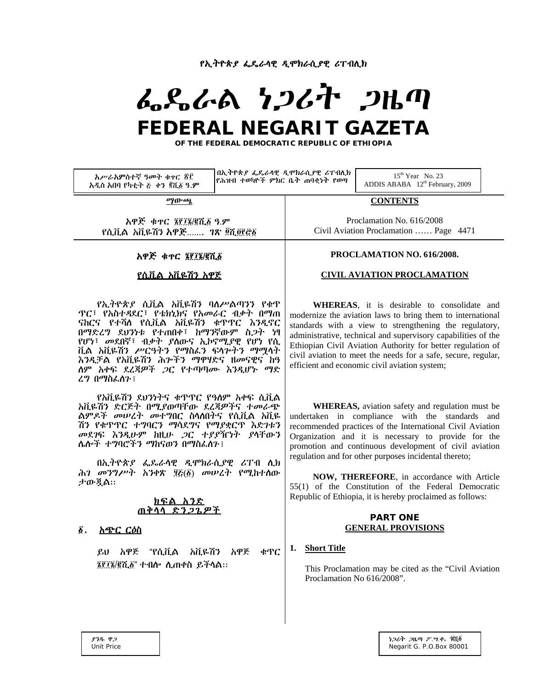የኢትዮጵያ ፌዴራላዊ ዲሞክራሲያዊ ሪፐብሊክ

# ふらんぬ とつびれ つはの FEDERAL NEGARIT GAZETA

OF THE FEDERAL DEMOCRATIC REPUBLIC OF ETHIOPIA

በኢትዮጵያ ፌዴራሳዊ ዲሞክራሲያዊ ሪፐብሊክ  $15^{\rm th}$  Year No. 23 አሥራአምስተኛ ዓመት ቁዋር ፳፫ የሕዝብ ተወካዮች ምክር ቤት ጠባቂነት የወጣ ADDIS ABABA 12th February, 2009 አዲስ አበባ የካቲት ፩ ቀን ፪ሺ፩ ዓ.ም **CONTENTS** ማውጫ አዋጅ ቁዋር ፮፻፲፮/፪ሺ፩ ዓ.ም Proclamation No. 616/2008 Civil Aviation Proclamation ...... Page 4471 የሲቪል አቪዬሽን አዋጅ....... *ገጽ ፬*ሺ፬፻፸፩ PROCLAMATION NO. 616/2008. አዋጅ ቁተር ፮፻፲፮/፪ሺ፩ **CIVIL AVIATION PROCLAMATION** የሲቪል አቪዬሽን አዋጅ የኢትዮጵያ ሲቪል አቪዬሽን ባለሥልጣንን የቁጥ WHEREAS, it is desirable to consolidate and **ዋር፣ የአስተዳደር፣ የቴክኒክና የአመራር ብቃት በማጠ** modernize the aviation laws to bring them to international ናክርና የተሻለ የሲቪል አቪዬሽን ቁጥጥር እንዲኖር standards with a view to strengthening the regulatory, በማድረግ ደህንነቱ የተጠበቀ፣ ከማንኛውም ስ*ጋ*ት ነፃ administrative, technical and supervisory capabilities of the የሆነ፣ መደበኛ፣ ብቃት ያስውና ኢኮኖሚያዊ የሆነ የሲ Ethiopian Civil Aviation Authority for better regulation of ቪል አቪዬሽን ሥርዓትን የማስፈን ፍላሎትን ማማላት civil aviation to meet the needs for a safe, secure, regular, እንዲቻል የአቪዬሽን ሕንችን ማዋሃድና ዘመናዊና ከዓ efficient and economic civil aviation system: ስም አቀፍ ደረጃዎች *ጋ*ር የተጣጣሙ እንዲሆኑ ማድ ረግ በማስፌስጉ ፤ የአቪዬሽን ደህንነትና ቁጥጥር የዓለም አቀፍ ሲቪል አቪዬሽን ድርጅት በሚያወጣቸው ደረጃዎችና ተመራጭ **WHEREAS**, aviation safety and regulation must be ልምዶች መሠረት መተግበር ስላለበትና የሲቪል አቪዬ undertaken in compliance with the standards and ሽን የቁጥጥር ተግባርን ማሳደግና የማያቋርጥ እድንቱን recommended practices of the International Civil Aviation መደገፍ እንዲሁም ከዚሁ ጋር ተያያዥነት ያላቸውን Organization and it is necessary to provide for the ሌሎች ተ**ግባሮችን ማከናወን በማስ**ፌስን ፤ promotion and continuous development of civil aviation regulation and for other purposes incidental thereto; በኢትዮጵያ ፌጼራሳዊ ዲሞክራሲያዊ ሪፐብ ሲክ ሕገ መንግሥት አንቀጽ ፶፩(፩) መሠረት የሚከተሰው NOW, THEREFORE, in accordance with Article ታውጇል። 55(1) of the Constitution of the Federal Democratic Republic of Ethiopia, it is hereby proclaimed as follows: <u>ክፍል አንድ</u> ጠቀላላ ድን*ጋጌዎች* **PART ONE GENERAL PROVISIONS** *§. <u>አጭር ርዕስ</u>* 1. Short Title ይህ አዋጅ "የሲቪል አቪዬሽን አዋጅ ቁጥር ፮፻፲፮/፪ሺ፩" ተብሎ ሊጠቀስ ይችሳል። This Proclamation may be cited as the "Civil Aviation Proclamation No 616/2008". うつるす つሌの ア・ツ、車、 塞谷を **P38.** ዋጋ **Unit Price** Negarit G. P.O.Box 80001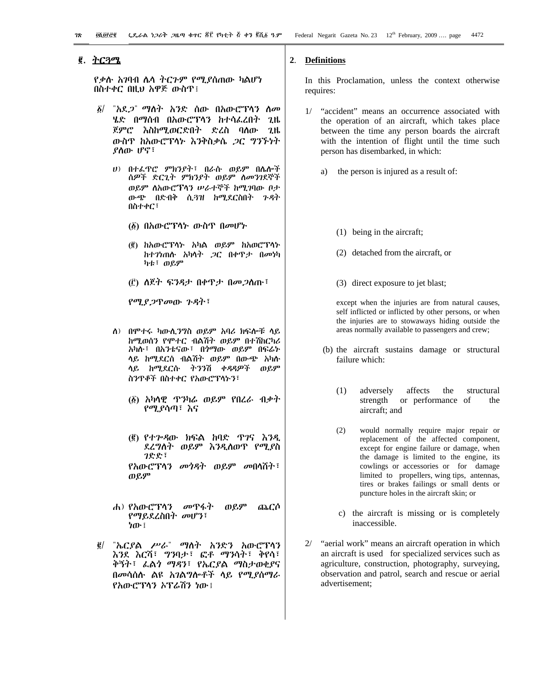# ፪. <u>ትርጓሜ</u>

*የቃ*ሱ *አገ*ባብ ሌላ ተርጉም የሚያሰጠው ካልሆነ በስተቀር በዚህ አዋጅ ውስጥ፤

- $\delta/$ ሄድ በማሰብ በአውሮፕላን ከተሳፌረበት ጊዜ ጀምሮ እስከሚወርድበት ድረስ ባለው ጊዜ ውስዋ ከአውሮፕላኑ እንቅስቃሴ ጋር ግንኙነት የስጡ ሆኖ፣
	- ሀ) በተፈዋሮ ምክንያት፣ በራሱ ወይም በሴሎች ሰዎች ድርጊት ምክንያት ወይም ስመንገደኞች ወይም ስአውሮፕላን ሠራተኞች ከሚገባው ቦታ ውጭ በድብቅ ሲ3ዝ ከሚደርስበት ጉዳት በስተቀር፣
		- (፩) በአውሮፕላኑ ውስዋ በመሆኑ
		- (፪) ከአውሮፕሳኑ አካል ወይም ከአወሮፕሳኑ ከተገነጠሱ አካላት *ጋ*ር በቀዋታ በመነካ ካቱ፣ ወይም
		- (፫) ለጀት ፍንዳታ በቀዋታ በመ*ጋ*ስጡ፣

የሚያጋዋመው ጉዳት፣

- ስ) በምተሩ ካውሲንግስ ወይም አባሪ ክፍሎቹ ላይ ከሚወሰን የሞተር ብልሽት ወይም በተሽከርካሪ አካሉ፣ በአንቴናው፣ በ*ጎማ*ው ወይም በፍሬት ላይ ከሚደርስ ብልሽት ወይም በውጭ አካሱ ላይ ከሚደርሱ ትንንሽ ቀዳዳዎች ወይም ስንዋቆች በስተቀር የአውሮፕላኑን፣
	- (፩) አካሳዊ ጥንካራ ወይም የበረራ ብቃተ የሚያሳጣ፣ እና
	- (፪) የተሥዳው ክፍል ከባድ ጥገና እንዲ ደረግስት ወይም እንዲሰወጥ የሚያስ ገድድ ፣ *የአ*ውሮፕሳን *መጎዳት ወይም መ*በሳሽት፣

ወይም

- ወይም ሐ) የአውሮፕሳን መዋፋት ጨርሶ *የማይ*ደረስበት *መ*ሆን፣ ነው ፤
- "ኤርያል ሥራ" ማስት አንድን አውሮፕሳን  $\vec{g}/$ እንደ እርሻ፣ ግንባታ፣ ፎቶ ማንሳት፣ ቅየሳ፣ ቅኝት፣ ፌልጎ ማዳን፣ የኤርያል ማስታወቂያና በመሳሰሱ ልዩ አገልግሎቶች ሳይ የሚያስማራ የአውሮፕሳን አፕሬሽን ነው ፡

#### $2.$ **Definitions**

In this Proclamation, unless the context otherwise requires:

- 1/ "accident" means an occurrence associated with the operation of an aircraft, which takes place between the time any person boards the aircraft with the intention of flight until the time such person has disembarked, in which:
	- the person is injured as a result of: a)
		- $(1)$  being in the aircraft;
		- (2) detached from the aircraft, or
		- (3) direct exposure to jet blast;

except when the injuries are from natural causes, self inflicted or inflicted by other persons, or when the injuries are to stowaways hiding outside the areas normally available to passengers and crew;

- (b) the aircraft sustains damage or structural failure which:
	- $(1)$ adversely affects the structural strength or performance of the aircraft; and
	- $(2)$ would normally require major repair or replacement of the affected component, except for engine failure or damage, when the damage is limited to the engine, its cowlings or accessories or for damage limited to propellers, wing tips, antennas, tires or brakes failings or small dents or puncture holes in the aircraft skin; or
	- c) the aircraft is missing or is completely inaccessible.
- "aerial work" means an aircraft operation in which an aircraft is used for specialized services such as agriculture, construction, photography, surveying, observation and patrol, search and rescue or aerial advertisement: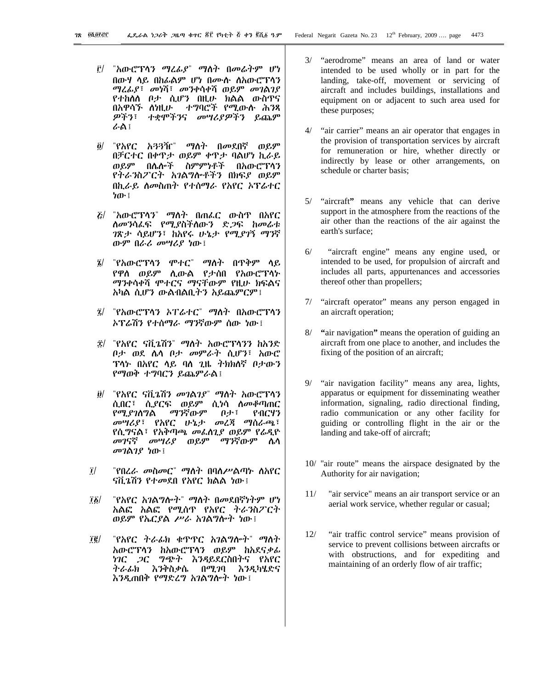- <u>i</u>]/ "አውሮፕሳን ማሬፊያ" ማስት በመራትም ሆነ በውሃ ሳይ በከራልም ሆነ በሙሱ ስስውሮፕሳን *ጣሬሌያ*፣ መነሻ፣ መንቀሳቀሻ ወይም መገልገያ የተከለለ ቦታ ሲሆን በዚሁ ክልል ውስጥና በአዋሳኙ ስነዚሁ ተግባሮች የሚውሱ ሕንጻ *ዎችን*፣ ተቋሞችንና መሣሪያ*ዎችን* ይጨም ራል፤
- $\partial$ / "የአየር አጓጓዥ" ማለት በመደበኛ ወይም በቻርተር በቀዋታ ወይም ቀዋታ ባልሆነ ኪራይ ወይም በሌሎች ስምምነቶች በአውሮፕሳን የትራንስፖርት አገልግሎቶችን በክፍያ ወይም በኪራይ ስመስጠት የተሰማራ የአየር ኦፕሬተር ትጡ ፣
- *ξ/ "አ*ውሮፕሳን" *ማ*ስት በጠፌር ውስጥ በአየር *ስመን*ሳፌፍ የሚያስችስውን ድ*ጋ*ፍ ከመራቱ ገጽታ ሳይሆን፣ ከአየሩ ሁኔታ የሚያገኝ ማንኛ ውም በራሪ መሣሪያ ነው፤
- ፤/ "የአውሮፕሳን ሞተር" ማስት በጥቅም ሳይ የዋስ ወይም ሲውል የታሰበ የአውሮፕሳኑ ማንቀሳቀሻ ምተርና ማናቸውም የዚሁ ክፍልና አካል ሲሆን ውልብልቢትን አይጨምርም፤
- ፯/ "የአውሮፕሳን ኦፐሬተር" ማስት በአውሮፕሳን አፕሬሽን የተሰማራ ማንኛውም ሰው ነው !
- ፰/ "የአየር ናቪጌሽን" ማለት አውሮፕላንን ከአንድ ቦታ ወደ ሴሳ ቦታ መምራት ሲሆን፣ አውሮ ፕላኑ በአየር ላይ ባለ ጊዜ ትክክለኛ ቦታውን የማወቅ ተግባርን ይጨምራል፤
- "የአየር ናቪጌሽን መገልገያ" ማስት አውሮፕሳን  $\partial$ / ሲበር፣ ሲያርፍ ወይም ሲነሳ ስመቆጣጠር ማንኛውም የሚያገለግል 自歩: የብርሃን መሣሪያ፣ የአየር ሁኔታ መረጃ ማሰራጫ፣ <u>የሲግናል፣ የአቅጣጫ መፌስጊያ ወይም የራዲዮ</u> *መገ*ናኛ *መሣሪያ* ወይም ማንኛውም ሴሳ መገልገያ ነው ፤
- $\overline{I}$ "የበረራ መስመር" ማስት በባለሥልጣኑ ስአየር ናሽ ൂሽን የተመደበ የአየር ክልል ነው ፡
- "የአየር አገልግሎት" ማለት በመደበኛነትም ሆነ  $\frac{1}{2}$ አልፎ አልፎ የሚሰጥ የአየር ትራንስፖርት ወይም የኤርያል ሥራ አገልግሎት ነው፤
- $\vec{1}\vec{g}/$ "የአየር ትራፊክ ቁጥጥር አገልግሎት" ማስት አውሮፕሳን ከአውሮፕሳን ወይም ከአደናቃፊ *ነገር ጋር ግጭት እንዳ*ይደርስበትና የአየር<br>*ትራፊክ እንቅ*ስቃሴ በሚገባ እንዲካሄድና እንዲጠበቅ የማድረግ አገልግሎት ነው፤
- 3/ "aerodrome" means an area of land or water intended to be used wholly or in part for the landing, take-off, movement or servicing of aircraft and includes buildings, installations and equipment on or adjacent to such area used for these purposes;
- 4/ "air carrier" means an air operator that engages in the provision of transportation services by aircraft for remuneration or hire, whether directly or indirectly by lease or other arrangements, on schedule or charter basis:
- 5/ "aircraft" means any vehicle that can derive support in the atmosphere from the reactions of the air other than the reactions of the air against the earth's surface;
- $6/$ "aircraft engine" means any engine used, or intended to be used, for propulsion of aircraft and includes all parts, appurtenances and accessories thereof other than propellers;
- 7/ "aircraft operator" means any person engaged in an aircraft operation;
- 8/ "air navigation" means the operation of guiding an aircraft from one place to another, and includes the fixing of the position of an aircraft;
- 9/ "air navigation facility" means any area, lights, apparatus or equipment for disseminating weather information, signaling, radio directional finding, radio communication or any other facility for guiding or controlling flight in the air or the landing and take-off of aircraft;
- 10/ "air route" means the airspace designated by the Authority for air navigation;
- $11/$ "air service" means an air transport service or an aerial work service, whether regular or casual;
- $12/$ "air traffic control service" means provision of service to prevent collisions between aircrafts or with obstructions, and for expediting and maintaining of an orderly flow of air traffic;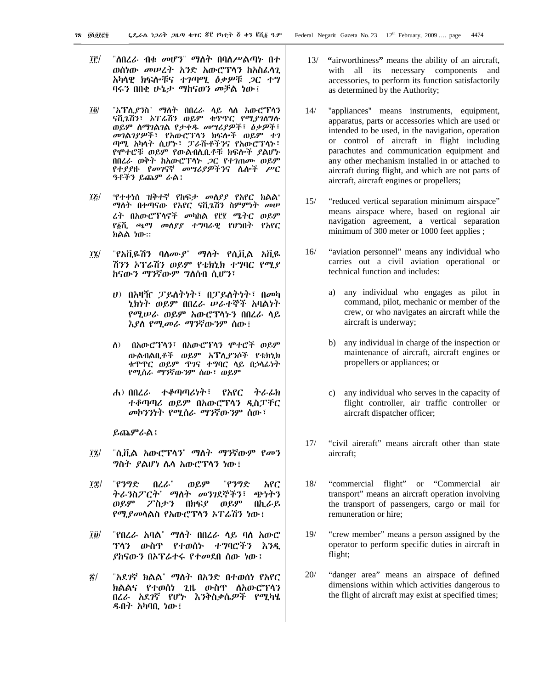- îŕ/ "ለበረራ ብቁ *መ*ሆን" *ማ*ስት በባስሥልጣኑ በተ ወሰነው መሠረት አንድ አውሮፕሳን ከአስፌሳጊ አካላዊ ክፍሎቹና ተ*ገ*ጣሚ *ዕቃዎ*ቹ *ጋ*ር ተግ ባሩን በበቂ ሁኔታ ማከናወን መቻል ነው ፤
- "አፕሊያንስ" ማለት በበረራ ላይ ላለ አውሮፕላን  $\overline{\bf 70}$ ናቪጌሽን፣ ኦፐራሽን ወይም ቁጥጥር የሚያገለግሉ ወይም ስማገልገል የታቀዱ መሣሪያዎች፣ ዕቃዎች፣ መገልገያዎች፣ የአውሮፕላን ክፍሎች ወይም ተገ ጣሚ አካሳት ሲሆኑ፣ ፓራሹቶችንና የአውሮፕሳኑ፣ የሞተሮቹ ወይም የውልብሲቢቶቹ ክፍሎች ያልሆኑ በበረራ ወቅት ከአውሮፕላኑ *ጋ*ር የተገጠሙ ወይም የተያያዙ የመገናኛ መሣሪያዎችንና ሴሎች ሥር ዓቶችን ይጨም ራል፤
- *«የተቀነ*ሰ ዝቅተኛ የከፍ*ታ መስያያ* የአየር ክልል»  $|E|$ ማስት በቀጣናው የአየር ናቪጌሽን ስምምነት መሠ ረት በአውሮፕላኖች መካከል የ፫፻ ሜትር ወይም የ፩ሺ ጫማ መሰያያ ተግባራዊ የሆነበት የአየር ክልል ነው።
- $\left| \mathbf{r} \right|$ ሽንን ኦፕሬሽን ወይም የቴክኒክ ተግባር የሚያ ከናውን ማንኛውም ግለሰብ ሲሆን፣
	- ሀ) በአዛዥ ፓይለትነት፣ በፓይለትነት፣ በመካ ኒክነት ወይም በበረራ ሠራተኞች አባልነት የሚሠራ ወይም አውሮፕሳትን በበረራ ሳይ እያስ የሚመራ ማንኛውንም ሰው፤
	- ስ) በአውሮፕላን፣ በአውሮፕላን ሞተሮች ወይም ውልብልቤቶች ወይም አፕሊያንሶች የቴክኒክ ቁጥጥር ወይም ጥገና ተግባር ላይ በኃላፊነት የሚሰራ ማንኛውንም ሰው፣ ወይም
	- ሐ) በበረራ ተቆጣጣሪነት፣ የአየር ትራፊክ ተቆጣጣሪ ወይም በአውሮፕላን ዲስፓቸር መኮንንነት የሚሰራ ማንኛውንም ሰው፤

ይጨምራል ፤

- $\left| \vec{u} \right|$ "ሲቪል አውሮፕሳን" ማስት ማንኛውም የመን *ግ*ስት *ያ*ልሆነ ሴሳ አውሮፕሳን ነው፤
- îî/ "የንግድ በረራ" ወይም "የንግድ አየር ትራንስፖርት" ማለት መንገደኞችን፣ ጭነትን ወይም ፖስታን በክፍያ ወይም በኪራይ የሚያመሳልስ የአውሮፕሳን አፐሬሽን ነው፤
- TD/ "የበረራ አባል" ማስት በበረራ ላይ ባስ አውሮ ፕላን ውስዋ የተወሰኑ ተግባሮችን እንዲ *ያከ*ናውን በኦፕሬተሩ የተመደበ ሰው ነው፤
- $\mathbf{z}$ / "አደ*ገ*ኛ ክልል" *ማ*ለት በአንድ በተወሰነ የአየር ክልልና የተወሰነ ጊዜ ውስዋ ለአውሮፕላን በረራ አደባኛ የሆኑ እንቅስቃሴ*ዎች የሚ*ካሄ<br>*ዱ*በት-አካባቢ-ነው፤
- 13/ "airworthiness" means the ability of an aircraft, with all its necessary components and accessories, to perform its function satisfactorily as determined by the Authority;
- $14/$ "appliances" means instruments, equipment, apparatus, parts or accessories which are used or intended to be used, in the navigation, operation or control of aircraft in flight including parachutes and communication equipment and any other mechanism installed in or attached to aircraft during flight, and which are not parts of aircraft, aircraft engines or propellers;
- $15/$ "reduced vertical separation minimum airspace" means airspace where, based on regional air navigation agreement, a vertical separation minimum of 300 meter or 1000 feet applies;
- "aviation personnel" means any individual who  $16/$ carries out a civil aviation operational or technical function and includes:
	- any individual who engages as pilot in  $a)$ command, pilot, mechanic or member of the crew, or who navigates an aircraft while the aircraft is underway;
	- b) any individual in charge of the inspection or maintenance of aircraft, aircraft engines or propellers or appliances; or
	- any individual who serves in the capacity of  $c)$ flight controller, air traffic controller or aircraft dispatcher officer;
- $17/$ "civil aireraft" means aircraft other than state aircraft<sup>.</sup>
- $18/$ "commercial flight" or "Commercial air transport" means an aircraft operation involving the transport of passengers, cargo or mail for remuneration or hire:
- "crew member" means a person assigned by the  $19/$ operator to perform specific duties in aircraft in flight;
- $20/$ "danger area" means an airspace of defined dimensions within which activities dangerous to the flight of aircraft may exist at specified times;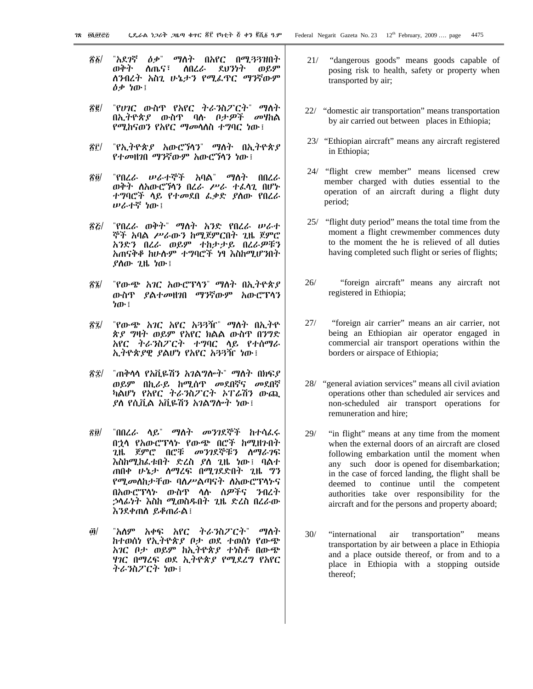- 86/ ለጤና፣ ለበረራ ደህንነት ወይም ወቅት ለንብረት አስጊ ሁኔታን የሚፌኖር ማንኛውም ዕቃ ነው ፤
- *"የሀገ*ር ውስጥ የአየር ትራ*ን*ስፖርት" ማስት R C / በኢትዮጵያ ውስዋ ባሉ ቦታዎች መሃከል የሚከናወን የአየር ማ*መ*ሳለስ ተግባር ነው !
- 8f/ "የኢትዮጵ*ያ* አውሮኘሳን" ማስት በኢትዮጵ*ያ* የተመዘገበ ማንኛውም አውሮኻኅን ነው ፤
- "የበረራ ሥራተኞች አባል" ማስት በበረራ 76 T ወቅት ስአውሮኻን በረራ ሥራ ተፈሳጊ በሆኑ ተግባሮች ላይ የተመደበ ፌቃድ ያስው የበረራ ሥራተኛ ነው፤
- "የበረራ ወቅት" ማስት አንድ የበረራ ሠራተ  $\mathcal{R}$ ኞች አባል ሥራውን ከሚጀምርበት ጊዜ ጀምሮ አንድን በረራ ወይም ተከታታይ በረራዎቹን አጠናቅቆ ከሁሉም ተግባሮች ነፃ እስከሚሆንበት ያስው ጊዜ ነው !
- "የውጭ አገር አውሮፕላን" ማስት በኢትዮጵያ ชินี/ ውስዋ ያልተመዘገበ ማንኛውም አውሮፕሳን ነው ፣
- "የውጭ አገር አየር አጓጓዥ" ማስት በኢትዮ 82/ ጵያ ግዛት ወይም የአየር ክልል ውስጥ በንግድ አየር ትራንስፖርት ተግባር ላይ የተሰማራ ኢትዮጵያዊ ያልሆነ የአየር አጓጓዥ ነው፤
- ፳፰/ "ጠቅሳሳ የአቪዬሽን አገልግሎት" ማስት በክፍያ ወይም በኪራይ ከሚሰጥ መደበኛና መደበኛ ካልሆነ የአየር ትራንስፖርት ኦፐሬሽን ውጪ ያስ የሲቪል አቪዬሽን አገልግሎት ነው ፡
- $\mathbf{\hat{r}}\mathbf{\hat{\theta}}/$ "በበረራ ሳይ" *ማስት መንገ*ደኞች ከተሳፈሩ በኃላ የአውሮፕላኑ የውጭ በሮች ከሚዘንበት *ጊ*ዜ ጀምሮ በሮቹ *መንገ*ደኞቹን ስማራ*ገ*ፍ እስከሚከፌቱበት ድረስ ያለ ጊዜ ነው፤ ባልተ ጠበቀ ሁኔታ ስማረፍ በሚገደድበት ጊዜ ግን የሚመስከታቸው ባስሥልጣናት ስአውሮፕሳኑና በአውሮፕሳኑ ውስዋ ሳሱ ሰዎችና ንብረት *ኃ*ላፊነት እስከ ሚወስዱበት ጊዜ ድረስ በረራው እንደቀጠስ ይቆጠራል፤
- <u>ரி/</u> "አለም አቀፍ አየር ትራንስፖርት" ማስት ከተወሰነ የኢትዮጵያ ቦታ ወደ ተወሰነ የውጭ አገር ቦታ ወይም ከኢትዮጵያ ተነስቶ በውጭ ....<br>*ዛገ*ር በማረፍ ወደ ኢትዮጵ*ያ የሚ*ደረግ የአየር ትራንስፖርት ነው፤
- $21/$ "dangerous goods" means goods capable of posing risk to health, safety or property when transported by air;
- 22/ "domestic air transportation" means transportation by air carried out between places in Ethiopia;
- 23/ "Ethiopian aircraft" means any aircraft registered in Ethiopia;
- 24/ "flight crew member" means licensed crew member charged with duties essential to the operation of an aircraft during a flight duty period;
- 25/ "flight duty period" means the total time from the moment a flight crewmember commences duty to the moment the he is relieved of all duties having completed such flight or series of flights;
- $26/$ "foreign aircraft" means any aircraft not registered in Ethiopia;
- $27/$ "foreign air carrier" means an air carrier, not being an Ethiopian air operator engaged in commercial air transport operations within the borders or airspace of Ethiopia;
- 28/ "general aviation services" means all civil aviation operations other than scheduled air services and non-scheduled air transport operations for remuneration and hire:
- $29/$ "in flight" means at any time from the moment when the external doors of an aircraft are closed following embarkation until the moment when any such door is opened for disembarkation; in the case of forced landing, the flight shall be deemed to continue until the competent authorities take over responsibility for the aircraft and for the persons and property aboard;
- $30/$ "international air transportation" means transportation by air between a place in Ethiopia and a place outside thereof, or from and to a place in Ethiopia with a stopping outside thereof;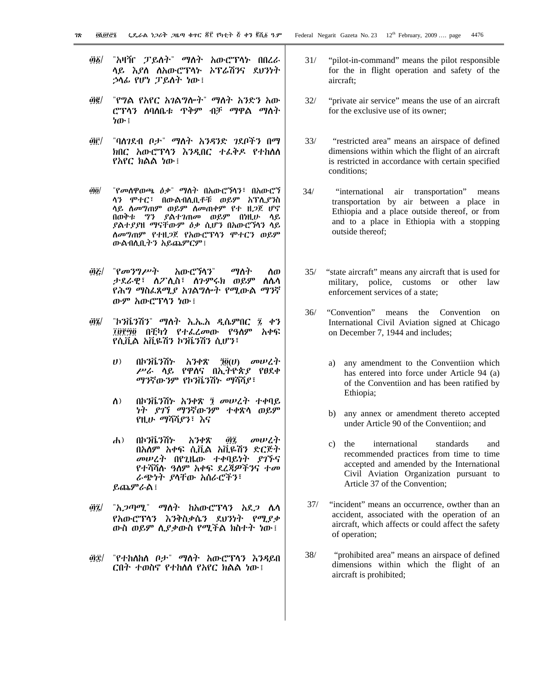- ፴፩/ "አዛዥ ፓይለት" ማለት አውሮፕላኑ በበረራ ሳይ *እያ*ስ ለአውሮፕሳ*ኑ አፕሬሽን*ና ደ*ህንነት* ኃላፊ የሆነ ፓይስት ነው፤
- ፴፪/ "የግል የአየር አገልግሎት" ማለት አንድን አው <u>ሮፕላን ለባለቤቱ ጥቅም ብቻ ማዋል ማስት</u> ነው ፤
- *@*if/ "ባለንደብ ቦታ" ማለት አንዳንድ ንደቦችን በማ ክበር አውሮፕሳን እንዲበር ተፌቅዶ የተከለሰ  $R$ እየ $C$  ክልል ነው ፡
- ፴፬/ 『የመስዋወጫ ዕቃ』 ማስት በአውሮኘሳን፣ በአውሮኘ ሳን ሞተር፣ በውልብሊቢቶቹ ወይም አፕሊ*ያን*ስ <u>ላይ ለመግጠም ወይም ለመጠቀም የተ ዘ</u>*ጋ*ጀ ሆኖ በወቅቱ *ግን ያ*ልተ*ገ*ጠመ ወይም በነዚሁ ሳይ ይልተ*ያያ*ዘ ማናቸውም *ዕቃ* ሲሆን በአውሮኘሳን ሳይ ስመግጠም የተዘ*ጋ*ጀ የአውሮፕላን ሞተርን ወይም ውልብሊቢትን አይጨምርም ፡
- *ወይ| "የመንግሥት አ*ውሮኘሳን" *ማ*ስት ስወ ታደራዊ፣ ስፖሊስ፣ ስንምሩክ ወይም ስሴሳ <u>የሕግ ማስፌጸሚያ አገልግሎት የሚውል ማንኛ</u> ውም አውሮፕሳን ነው ፤
- @፮/ "ኮንቬንሽን" ማለት እ.ኤ.አ ዲሴምበር ፯ ቀን ፲፱፻፵፬ በቺካን የተፌረመው የዓለም አቀፍ የሲቪል አቪዬሽን ኮንቬንሽን ሲሆን፣
	- $U$ ) በኮንቬንሽኑ አንቀጽ  $\tilde{R}(U)$  መሠረት ሥራ ሳይ የዋስና በኢትዮጵያ የፀደቀ ማንኛውንም የኮንቬንሽኑ ማሻሻ*ያ*፣
	- ለ) በኮንቬንሽኑ አንቀጽ ፺ መሠረት ተቀባይ ነት *ያገ*ኘ ማንኛውንም ተቀጽሳ ወይም የዚሁ *ማ*ሻሻ*ያን*፣ እና
	- ሐ) በኮንቬንሽኑ አንቀጽ *፴፯ መሠረት* በአለም አቀፍ ሲቪል አቪዬሽን ድርጅት መሠረት በየጊዜው ተቀባይነት *ያገኙ*ና የተሻሻሱ *ዓ*ስም አቀፍ ደረጃዎችንና ተ*መ* ራጭነት ያላቸው አሰራሮችን፣  $\ell$ ጨምራል፤
- *፴፯/ "አጋጣሚ" ማስት ከአ*ውሮፕሳን *አ*ደ*ጋ* ሴሳ የአውሮፕላን እንቅስቃሴን ደሀንነት የሚያቃ ውስ ወይም ሲያቃውስ የሚችል ክስተት ነው ፡
- *፴፰/ "የተከ*ለከለ ቦ*ታ" ማ*ለት አውሮፕላን እንዳይበ ርበት ተወስኖ የተከለለ የአየር ክልል ነው ፤
- 31/ "pilot-in-command" means the pilot responsible for the in flight operation and safety of the aircraft;
- 32/ "private air service" means the use of an aircraft for the exclusive use of its owner;
- 33/ "restricted area" means an airspace of defined dimensions within which the flight of an aircraft is restricted in accordance with certain specified conditions;
- 34/ "international air transportation" means transportation by air between a place in Ethiopia and a place outside thereof, or from and to a place in Ethiopia with a stopping outside thereof;
- 35/ "state aircraft" means any aircraft that is used for military, police, customs or other law enforcement services of a state;
- 36/ "Convention" means the Convention on International Civil Aviation signed at Chicago on December 7, 1944 and includes;
	- a) any amendment to the Conventiion which has entered into force under Article 94 (a) of the Conventiion and has been ratified by Ethiopia;
	- b) any annex or amendment thereto accepted under Article 90 of the Conventiion; and
	- c) the international standards and recommended practices from time to time accepted and amended by the International Civil Aviation Organization pursuant to Article 37 of the Convention;
- 37/ "incident" means an occurrence, owther than an accident, associated with the operation of an aircraft, which affects or could affect the safety of operation;
- 38/ "prohibited area" means an airspace of defined dimensions within which the flight of an aircraft is prohibited;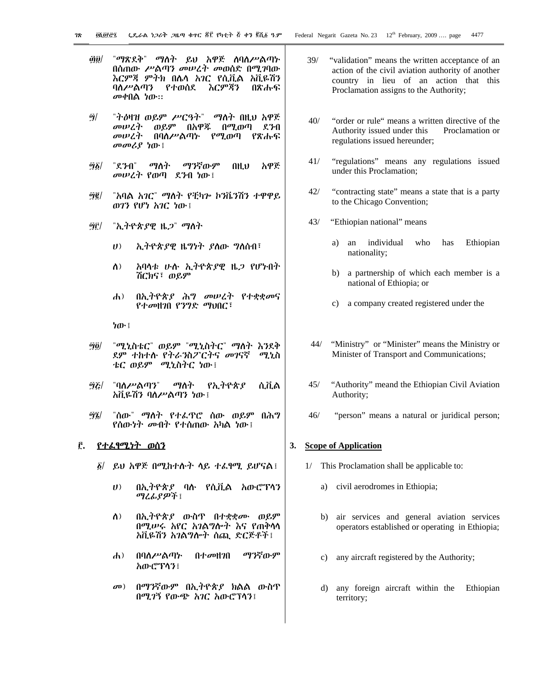- *"ማጽ*ደቅ" *ማ*ስት ይህ አዋጅ ስባስሥልጣኑ <u>@@|</u> በስጠው ሥልጣን መሠረት መወሰድ በሚገባው እርምጃ ምትክ በሌሳ አገር የሲቪል አቪዬሽን ባለሥልጣን የተወሰደ እርምጃን በጽሑፍ መቀበል ነው።
- *"il* መሠረት ወይም በአዋጁ በሚወጣ ደንብ *መሠረት* በባስሥልጣኑ የሚወጣ የጽሑፍ መመሪያ ነው!
- አዋጅ <u> "j ố|</u> "ደንብ" ማስት ማንኛውም  $0H<sub>u</sub>$ መሠረት የወጣ ደንብ ነው፤
- બે ઉ/ "አባል አገር" ማለት የቺካሎ ኮንቬንሽን ተዋዋይ ወገን የሆነ አገር ነው !
- "ኢትዮጵያዊ ዜ*ጋ" ማ*ስት બૈાૈ/
	- $(1)$ ኢትዮጵያዊ ዜግነት ያስው ግስሰብ፣
	- አባላቱ ሁሉ ኢትዮጵያዊ ዜ*ጋ* የሆኑበት  $\Lambda$ ) ሽርክና፣ ወይም
	- $\mathbf{d}$ በኢትዮጵያ ሕግ መሠረት የተቋቋመና የተመዘገበ የንግድ ማህበር፣
	- ነው ፤
- *ิติ6/* "ሚኒስቴር" ወይም "ሚኒስትር" ማስት እንደቅ ደም ተከተሱ የትራንስፖርትና መገናኛ ሚኒስ ቴር ወይም *ሚኒ*ስትር ነው፤
- "ባለሥልጣን" ማስት የኢትዮጵያ 9&/ ሲቪል አቪዬሽን ባለሥልጣን ነው ፤
- "ሰው" ማስት የተፌዋሮ ሰው ወይም በሕግ ซินิ <u>የሰውነት መብት የተሰጠው አካል ነው ፡</u>

# <u>፫. የተፈፃሚነት ወሰን</u>

- ፩/ ይህ አዋጅ በሚከተሱት ሳይ ተፈፃሚ ይሆናል፤
	- $\boldsymbol{U}$ በኢትዮጵያ ባሉ የሲቪል አውሮፕሳን *ጣሪሌያዎች* ፤
	- $\Lambda$ ) በኢትዮጵያ ውስዋ በተቋቋሙ ወይም በሚሥሩ አየር አገልግሎት እና የጠቅሳሳ አቪዬሽን አገልግሎት ስጪ ድርጅቶች፤
	- በባስሥልጣኍ በተመዘገበ ማንኛውም  $\mathbf{d}$ አውሮፕሳን፤
	- $\sigma$ <sup> $\sigma$ </sup>) በማንኛውም በኢትዮጵያ ክልል ውስጥ በሚገኝ የውጭ አገር አውሮፕላን፤
- $39/$ "validation" means the written acceptance of an action of the civil aviation authority of another country in lieu of an action that this Proclamation assigns to the Authority;
- $40/$ "order or rule" means a written directive of the Authority issued under this Proclamation or regulations issued hereunder;
- "regulations" means any regulations issued  $41/$ under this Proclamation;
- $42/$ "contracting state" means a state that is a party to the Chicago Convention;
- $43/$ "Ethiopian national" means
	- individual who Ethiopian a) an has nationality;
	- b) a partnership of which each member is a national of Ethiopia; or
	- c) a company created registered under the
- $44/$ "Ministry" or "Minister" means the Ministry or Minister of Transport and Communications;
- $45/$ "Authority" meand the Ethiopian Civil Aviation Authority;
- $46/$ "person" means a natural or juridical person;

# 3. Scope of Application

- 1/ This Proclamation shall be applicable to:
	- a) civil aerodromes in Ethiopia;
	- b) air services and general aviation services operators established or operating in Ethiopia;
	- $c)$ any aircraft registered by the Authority;
	- $\mathbf{d}$ any foreign aircraft within the Ethiopian territory;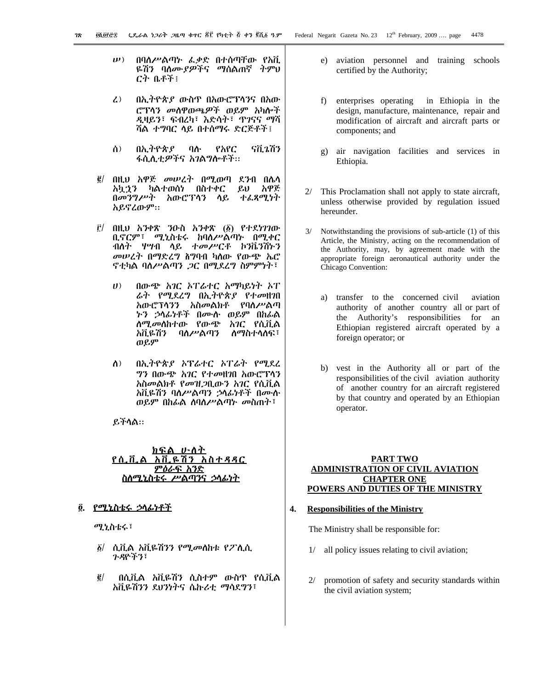- በባለሥልጣኑ ፌቃድ በተሰጣቸው የአቪ  $\mathbf{u}(\mathbf{v})$ ዬሽን ባለ*ሙያዎች*ና ማሰልጠኛ ትምህ ርት ቤቶች፣
- በኢትዮጵያ ውስዋ በአውሮፕሳንና በአው  $\mathcal{L}$ ሮፕላን መስዋወጫዎች ወይም አካሎች *ዲ*ዛይን፣ ፍብረካ፣ እድሳት፣ ጥገናና ማሻ ሻል ተግባር ላይ በተሰማሩ ድርጅቶች፤
- ሰ) በኢትዮጵያ ባሱ የአየር รกี.วกีว ፋሲሊቲ*ዎች*ና *አገ*ልግሎቶች።
- በዚህ አዋጅ መሠረት በሚወጣ ደንብ በሴሳ  $\ddot{\mathbf{g}}$ አኳኃን ካልተወሰነ በስተቀር ይህ አዋጅ በመንግሥት አውሮፕሳን ሳይ ተፈጻሚነት አይኖረውም።
- $\vec{E}$  በዚህ አንቀጽ ንውስ አንቀጽ (፩) የተደነገገው ቢኖርም፣ ሚኒስቴሩ ከባለሥልጣኑ በሚቀር ብለት ሃሣብ ላይ ተመሥርቶ ኮንቬንሽኑን መሠረት በማድረግ ስግባብ ካለው የውጭ ኤሮ ኖቲካል ባለሥልጣን *ጋ*ር በሚደረግ ስምምነት፣
	- $(1)$ በውጭ አገር አፐራተር አማካይነት አፐ *ሬት የሚ*ደረግ በኢ*ት*ዮጵ*ያ የተመ*ዘገበ አውሮፕሳንን አስመልክቶ የባለሥልጣ *ኑን ኃ*ላፊነቶች በሙሱ ወይም በከፊል ለ*ሚመ*ለከተው የውጭ አ*ገ*ር የሲቪል ስማስተሳሰፍ፣ አቪዬሽን-ባለሥልጣን ወይም
	- በኢትዮጵያ ኦፕሬተር ኦፐሬት የሚደረ  $\Lambda$ ) ግን በውጭ አገር የተመዘገበ አውሮፕላን አስመልክቶ የመዝ*ጋ*ቢውን አገር የሲቪል አቪዬሽን ባለሥልጣን ኃላፊነቶች በሙሱ ወይም በከፊል ስባለሥልጣኑ መስጠት፣

ይችላል።

#### <u>ክፍ</u>ል <u>ሆነስት</u> <u> የሲቪል</u> <u>አቪዶሽን አስተዳዳር</u> <u>ምዕራፍ አንድ</u> <u>ስስሚኒስቴሩ ሥልጣ</u>ንና ኃላፊነት

## ፬. <u>የሚኒስቴሩ ኃላፊነቶች</u>

ሚኒስቴሩ፣

- ፩/ ሲቪል አቪዬሽንን የሚመለከቱ የፖሊሲ ን ዳዮችን፣
- $\vec{e}$ በሲቪል አቪዬሽን ሲስተም ውስዋ የሲቪል አቪዬሽንን ደህንነትና ሴኩሪቲ ማሳደግን፣
- e) aviation personnel and training schools certified by the Authority;
- enterprises operating in Ethiopia in the  $f$ design, manufacture, maintenance, repair and modification of aircraft and aircraft parts or components: and
- g) air navigation facilities and services in Ethiopia.
- $2/$ This Proclamation shall not apply to state aircraft, unless otherwise provided by regulation issued hereunder.
- Notwithstanding the provisions of sub-article (1) of this  $3/$ Article, the Ministry, acting on the recommendation of the Authority, may, by agreement made with the appropriate foreign aeronautical authority under the Chicago Convention:
	- a) transfer to the concerned civil aviation authority of another country all or part of the Authority's responsibilities for an Ethiopian registered aircraft operated by a foreign operator; or
	- b) vest in the Authority all or part of the responsibilities of the civil aviation authority of another country for an aircraft registered by that country and operated by an Ethiopian operator.

### **PART TWO ADMINISTRATION OF CIVIL AVIATION CHAPTER ONE** POWERS AND DUTIES OF THE MINISTRY

#### 4. **Responsibilities of the Ministry**

The Ministry shall be responsible for:

- all policy issues relating to civil aviation;  $1/$
- $2/$ promotion of safety and security standards within the civil aviation system;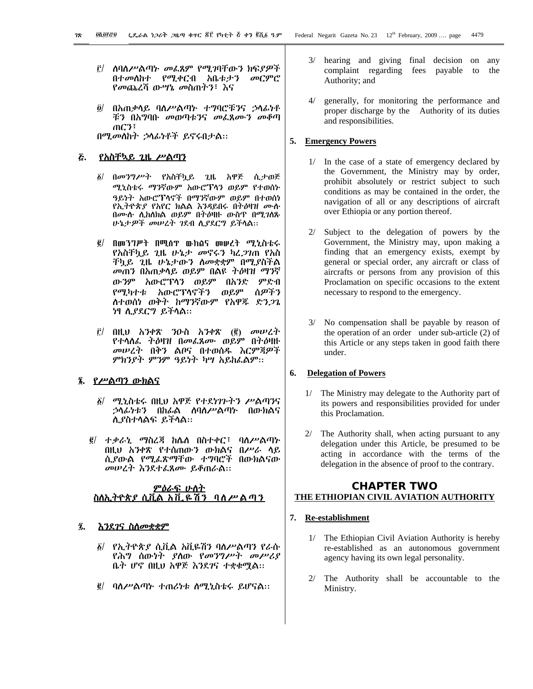- i በ ለባለሥልጣኑ መፈጸም የሚ*ገ*ባቸውን ክፍያዎች በተመለከተ የሚቀርብ አቤቱታን መርምሮ *የመ*ጨረሻ ው*ሣኔ መ*ስጠትን፣ እና
- በአጠቃላይ ባሰሥልጣኑ ተግባሮቹንና ኃሳፊነቶ  $\ddot{\bm{o}}$ / ቹን በአግባቡ መወጣቱንና መፌጸሙን መቆጣ  $\pi$ . The set of  $\mathcal{F}$ በሚመለከት ኃላፊነቶች ይኖሩበታል።

#### <u>የአስቸኳይ 2ዜ ሥልጣን</u> E.

- በመንግሥት የአስቸኳይ ጊዜ አዋጅ ሲታወጅ δ/ ሚኒስቴሩ ማንኛውም አውሮፕላን ወይም የተወሰኑ ዓይነት አውሮፕላኖች በማንኛውም ወይም በተወሰነ የኢትዮጵያ የአየር ክልል እንዳይበሩ በትዕዛዝ ሙሱ በሙሱ ሲከሰክል ወይም በትዕዛዙ ውስጥ በሚገሰጹ ሁኔታዎች መሠረት ገደብ ሲያደርግ ይችሳል።
- $\vec{g}$ / በመንግሥት በሚሰፕ ውክልና መሠረት ሚኒስቴሩ የአስቸኳይ *ጊ*ዜ ሁኔታ *መ*ኖሩን ካረ*ጋገ*ጠ የአስ ቸኳይ ጊዜ ሁኔታውን ስመቋቋም በሚያስችል *መ*ጠን በአጠቃሳይ ወይም በልዩ *ትዕ*ዛዝ ማንኛ ውንም አውሮፕሳን ወይም በአንድ ምድብ ሰዎችን የሚካተቱ አውሮፕላኖችን ወይም ስተወሰነ ወቅት ከማንኛውም የአዋጁ ድን*ጋ*ጌ ነፃ ሲያደርግ ይችላል።
- $\hat{E}$ / በዚህ አንቀጽ ንዑስ አንቀጽ (፪) መሠረተ የተሳሰፌ ተዕዛዝ በመፌጸሙ ወይም በትዕዛዙ መሠረት በቅን ልቦና በተወሰዱ እርምጃዎች ምክንያት ምንም ዓይነት ካሣ አይከፌልም፡፡

### ፮. የሥልጣን ውክልና

- $\delta$ / ሚኒስቴሩ በዚህ አዋጅ የተደነገጉትን ሥልጣንና *ኃ*ላፊነቱን በከፊል ለባለሥልጣኑ በውክልና ሊያስተሳልፍ ይችሳል።
- ፪/ ተቃራኒ ማስረጃ ከሌስ በስተቀር፣ ባስሥልጣኑ በዚህ አንቀጽ የተሰጠውን ውክልና በሥራ ሳይ ሲያውል የሚፌጽማቸው ተግባሮች በውክልናው መሠረት እንደተፊጸሙ ይቆጠራል።

#### <u>ምዕራፍ ሁስተ</u> <u>ስለኢትዮጵያ ሲቪል አቪ ዬሽን</u> <u>ባለሥልጣን</u>

#### Ĩ.

- ፩/ የኢትዮጵያ ሲቪል አቪዬሽን ባስሥልጣን የራሱ የሕግ ስውነት ያስው የመንግሥት መሥሪያ ቤት ሆኖ በዚህ አዋጅ እንደገና ተቋቁሟል።
- $\vec{g}$ / ባስሥልጣኑ ተጠሪነቱ ስሚኒስቴሩ ይሆናል::
- $3/$ hearing and giving final decision on any complaint regarding fees payable to the Authority; and
- $4/$ generally, for monitoring the performance and proper discharge by the Authority of its duties and responsibilities.

#### 5. Emergency Powers

- $1/$ In the case of a state of emergency declared by the Government, the Ministry may by order, prohibit absolutely or restrict subject to such conditions as may be contained in the order, the navigation of all or any descriptions of aircraft over Ethiopia or any portion thereof.
- Subject to the delegation of powers by the  $2/$ Government, the Ministry may, upon making a finding that an emergency exists, exempt by general or special order, any aircraft or class of aircrafts or persons from any provision of this Proclamation on specific occasions to the extent necessary to respond to the emergency.
- $3/$ No compensation shall be payable by reason of the operation of an order under sub-article (2) of this Article or any steps taken in good faith there under.

#### **Delegation of Powers** 6.

- $1/$ The Ministry may delegate to the Authority part of its powers and responsibilities provided for under this Proclamation.
- $2/$  The Authority shall, when acting pursuant to any delegation under this Article, be presumed to be acting in accordance with the terms of the delegation in the absence of proof to the contrary.

# **CHAPTER TWO** THE ETHIOPIAN CIVIL AVIATION AUTHORITY

# 7. Re-establishment

- The Ethiopian Civil Aviation Authority is hereby  $1/$ re-established as an autonomous government agency having its own legal personality.
- $2/$ The Authority shall be accountable to the Ministry.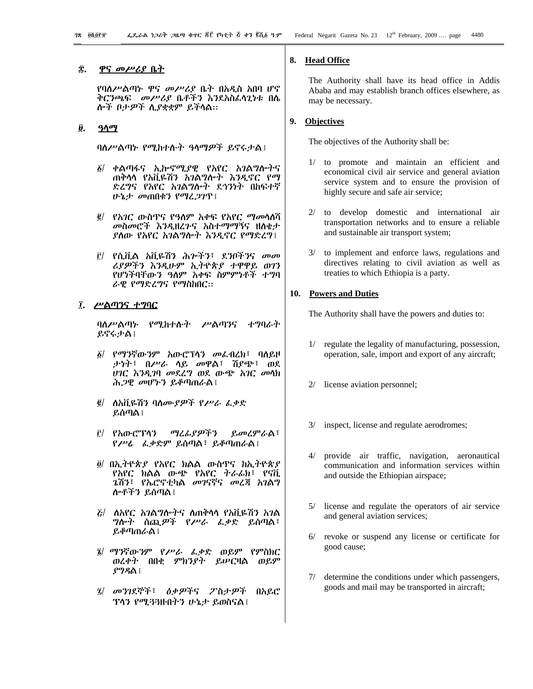#### <u>ዋና መሥሪያ ቤት</u> Î.

የባለሥልጣኑ ዋና መሥሪያ ቤት በአዲስ አበባ ሆኖ ቅርንጫፍ *መሥሪያ* ቤቶችን እንደአስፈላጊነቱ በሴ ሎች ቦታዎች ሲያቋቋም ይችላል።

#### ŷ. <u>ዓላማ</u>

ባለሥልጣኑ የሚከተሱት ዓላማዎች ይኖሩታል፤

- ፩/ ቀልጣፋና ኢሎኖሚያዊ የአየር አ*ገ*ልግሎትና ጠቅሳሳ የአቪዬሽን አገልግሎት እንዲኖር የማ ድረግና የአየር አገልግሎት ደኅንነት በከፍተኛ ሁኔታ መጠበቁን የማፈ*ጋገ*ጥ፤
- ፪/ *የአገ*ር ውስጥና የዓለም አቀፍ የአየር ማመሳሰሻ መስመሮች *እንዲ*ዘረንና አስተማማኝና ዘሰቄታ ያስው የአየር አገልግሎት እንዲኖር የማድረግ፤
- ፫/ የሲቪል አቪዬሽን ሕ*ጕችን*፣ ደንቦችንና መመ ሪያዎችን እንዲሁም ኢትዮጵያ ተዋዋይ ወገን የሆነችባቸውን ዓለም አቀፍ ስምምነቶች ተግባ ራዊ የማድረግና የማስከበር::

### ፲. ሥልጣንና ተ**ግ**ባር

ባለሥልጣኑ የሚከተሱት ሥልጣንና ホツのんふ ይኖሩታል!

- ፩/ የማንኛውንም አውሮፕሳን መፌብረክ፣ ባለይዞ *ታነት*፣ በሥራ ሳይ መዋል፣ ሽያጭ፣ ወደ ሀገር እንዲገባ መደረግ ወደ ውጭ አገር መሳክ ሕ*ጋ*ዊ መሆኑን ይቆጣጠራል፤
- *፪*/ ሰአቪዬሽን ባለሙያዎች የሥራ ፌቃድ ይሰጣል ፤
- i የአውሮፕሳን *ጣሪሌያዎችን* ይመረምራል፣ የሥራ ፊቃድም ይሰጣል፣ ይቆጣጠራል፤
- $\tilde{g}$  በኢትዮጵያ የአየር ክልል ውስጥና ከኢትዮጵያ የአየር ክልል ውጭ የአየር ትራፊክ፣ የናቪ *ጌ*ሽን፣ የኤሮኖቲካል መገናኛና መረጃ አገልግ ሎቶችን ይሰጣል፤
- *ξ| ስአየር አገልግሎትና ስጠቅ*ሳሳ የአቪዬሽን *አገ*ል *ግ*ሎት ሰጪ*ዎች የሥራ ፌቃ*ድ ይሰጣል፣ ይቆጣጠራል !
- ፤/ ማንኛውንም የሥራ ፌቃድ ወይም የምስክር ወረቀት በበቂ ምክንያት ይሥርዛል ወይም  $99.9<sub>0</sub>$ ፧
- ፯/ መንገደኞች፣ ዕቃዎችና ፖስታዎች በአይሮ ፕላን የሚ33ዙበትን ሁኔታ ይወስናል፤

# 8. Head Office

The Authority shall have its head office in Addis Ababa and may establish branch offices elsewhere, as may be necessary.

### 9. Objectives

The objectives of the Authority shall be:

- $1/$ to promote and maintain an efficient and economical civil air service and general aviation service system and to ensure the provision of highly secure and safe air service;
- 2/ to develop domestic and international air transportation networks and to ensure a reliable and sustainable air transport system;
- to implement and enforce laws, regulations and  $3/$ directives relating to civil aviation as well as treaties to which Ethiopia is a party.

#### 10. Powers and Duties

The Authority shall have the powers and duties to:

- $1/$ regulate the legality of manufacturing, possession, operation, sale, import and export of any aircraft;
- license aviation personnel;  $2/$
- inspect, license and regulate aerodromes;  $3/$
- $4/$ provide air traffic, navigation, aeronautical communication and information services within and outside the Ethiopian airspace;
- $5/$ license and regulate the operators of air service and general aviation services;
- $6/$ revoke or suspend any license or certificate for good cause;
- $7/$ determine the conditions under which passengers, goods and mail may be transported in aircraft;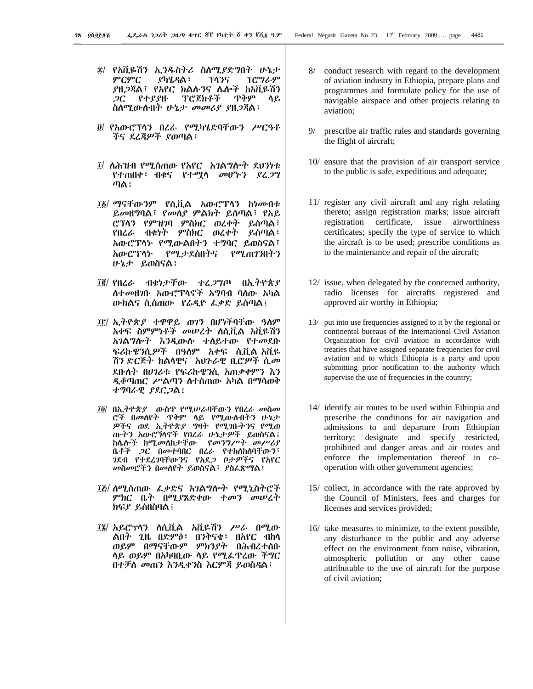- ፰/ የአቪዬሽን ኢ*ን*ዱስትሪ ስለሚያድግበት ሁኔታ ምርምር ያካሄዳል፣ ፕሳንና ፕሮግራም \_ያዘ*ጋ*ጃል፣ የአየር ክልሱንና ሌሎች ከአቪዬሽን  $2C$ የተያያዙ ፐሮጀክቶች ጥቅም ሳይ ስስሚውስብት ሁኔ*ታ መመሪያ ያ*ዘ*ጋ*ጃል፤
- ፱/ የአውሮፕላን በረራ የሚካሄድባቸውን ሥር*ዓ*ቶ ችና ደረጃዎች ያወጣል፤
- ፲/ ለሕዝብ የሚሰጠው የአየር አገልግሎተ ደህንነቱ የተጠበቀ፣ ብቁና የተሟሳ መሆኑን ያረ*ጋግ* ጣል ፣
- *፲፩/ ማናቸውን*ም የሲቪል አውሮፕሳን ከነመብቱ ይመዘግባል፣ የመሰያ ምልክት ይሰጣል፣ የአይ ሮፕላን የምዝንባ ምስክር ወረቀት ይሰጣል፣ ብቁነት ምስክር ወረቀት ይሰጣል፣ የበረራ አውሮፕላኑ የሚውልበትን ተግባር ይወስናል፣ የሚታደሰበትና አውሮፕሳኮ የሚጠንገበትን ሁኔታ ይወስናል፤
- *ፕ፪/ የበረራ ብቁነታቸው* ተረ*ጋግ*ጦ በኢትዮጵ*ያ* ለተመዘገቡ አውሮፕሳኖች አግባብ ባለው አካል ውክልና ሲሰጠው የራዲዮ ፌቃድ ይሰጣል፤
- ፲፫/ ኢትዮጵያ ተዋዋይ ወገን በሆነችባቸው ዓለም አቀፍ ስምምነቶች መሠረት ሰሲቪል አቪዬሽን አገልግሎት እንዲውሱ ተሰይተው የተመደቡ ፍሪኩዌንሲ*ዎች* በዓለም አቀፍ ሲቪል-አቪዬ ሽን ድርጅት ክልሳዊና አህንራዊ ቢሮዎች ሲመ ደቡለት በሀገሪቱ የፍሪኩዌንሲ አጠቃቀምን እን ዲቆጣጠር ሥልጣን ስተሰጠው አካል በማሳወቅ ተግባራዊ ያደርጋል፤
- ፲፬/ በኢትዮጵያ ወነስዋ የሚሥራባቸውን የበረራ መስመ ሮች በመሰየት ጥቅም ላይ የሚውስበትን ሁኔታ ዎችና ወደ ኢትዮጵያ ግዛት የሚገቡተንና የሚወ ጡትን አውሮኻኖች የበረራ ሁኔታዎች ይወስናል፤ ከሌሎች ከሚመለከታቸው የመንግሥት መሥሪያ ቤቶች *ጋ*ር በመተባበር በረራ የተከለከለባቸውን፣ **ገደብ የተደረገባቸውንና የአደ***ጋ* **ቦታ**ዎችና የአየር መስመሮችን በመሰየት ይወስናል፣ ያስፌጽማል፤
- ፲፩/ ስሚሰጠው ፌቃድና አገልግሎት የሚኒስትሮች ምክር ቤት በሚያጸድቀው ተመን መሠረት ክፍያ ይሰበስባል፤
- ፲፮/ አይሮፕሳን ስሲቪል አቪዬሽን ሥራ በሚው ልበት ጊዜ በድምፅ፣ በንቅናቄ፣ በአየር ብከሳ ....<br>ወይም በማናቸውም ምክንያት በሕብረተሰቡ ሳይ ወይም በአካባቢው ሳይ የሚፌዋረው ችግር በተቻለ መጠን እንዲቀንስ እርምጃ ይወስዳል፤
- $8/$ conduct research with regard to the development of aviation industry in Ethiopia, prepare plans and programmes and formulate policy for the use of navigable airspace and other projects relating to aviation:
- prescribe air traffic rules and standards governing the flight of aircraft;
- 10/ ensure that the provision of air transport service to the public is safe, expeditious and adequate;
- 11/ register any civil aircraft and any right relating thereto; assign registration marks; issue aircraft registration certificate, issue airworthiness certificates; specify the type of service to which the aircraft is to be used; prescribe conditions as to the maintenance and repair of the aircraft;
- 12/ issue, when delegated by the concerned authority, radio licenses for aircrafts registered and approved air worthy in Ethiopia;
- 13/ put into use frequencies assigned to it by the regional or continental bureaus of the International Civil Aviation Organization for civil aviation in accordance with treaties that have assigned separate frequencies for civil aviation and to which Ethiopia is a party and upon submitting prior notification to the authority which supervise the use of frequencies in the country;
- 14/ identify air routes to be used within Ethiopia and prescribe the conditions for air navigation and admissions to and departure from Ethiopian territory; designate and specify restricted, prohibited and danger areas and air routes and enforce the implementation thereof in cooperation with other government agencies;
- 15/ collect, in accordance with the rate approved by the Council of Ministers, fees and charges for licenses and services provided;
- 16/ take measures to minimize, to the extent possible, any disturbance to the public and any adverse effect on the environment from noise, vibration, atmospheric pollution or any other cause attributable to the use of aircraft for the purpose of civil aviation;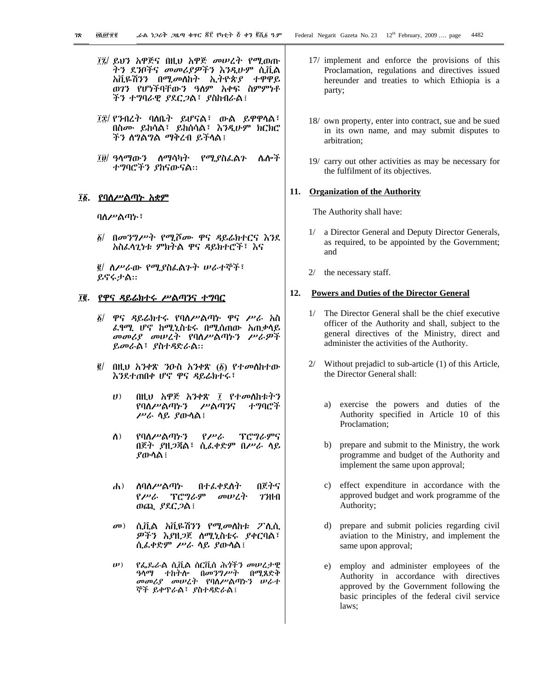- ፲፯/ ይህን አዋጅና በዚህ አዋጅ መሠረት የሚወጡ ትን ደንቦችና መመሪያዎችን እንዲሁም ሲቪል አቪዬሽንን በሚመለከት ኢትዮጵያ ተዋዋይ ወገን የሆነችባቸውን ዓለም አቀፍ ስምምነቶ ችን ተግባራዊ ያደር*ጋ*ል፣ ያስከብራል፤
- ፲፰/ የንብረት ባለቤት ይሆናል፣ ውል ይዋዋላል፣ በስሙ ይከሳል፣ ይከሰሳል፣ እንዲሁም ክርክሮ ችን ስግልግል ማቅረብ ይችላል፤
- ፲፱/ ዓላማውን ሰማሳካት የሚያስፌልን ሌሎች ተግባሮችን ያከናውናል።

# ፲፩. <u>የባለሥልጣኑ አቋም</u>

ባለሥልጣኑ፣

δ/ በመንግሥት የሚሾሙ ዋና ዳይሬክተርና እንደ አስፌላጊነቱ ምክትል ዋና ዳይክተሮች፣ እና

፪/ ስሥራው የሚያስፌልጉት ሠራተኞች፣ ይኖሩታል።

#### ፲፪. የዋና ዳይሬክተሩ ሥልጣንና ተግባር

- *፩| ዋና ዳይሬክተሩ የባለሥልጣኑ ዋና ሥራ አ*ስ ፌፃሚ ሆኖ ከሚኒስቴሩ በሚሰጠው አጠቃሳይ መመሪያ መሠረት የባሰሥልጣኑን ሥራዎች ይመራል፣ ያስተዳድራል።
- $\vec{g}/$ በዚህ አንቀጽ ንዑስ አንቀጽ (፩) የተመሰከተው እንደተጠበቀ ሆኖ ዋና ዳይሬክተሩ፣
	- በዚህ አዋጅ አንቀጽ ፲ የተመሰከቱትን  $\boldsymbol{U}$ የባለሥልጣኑን ሥልጣንና ተግባሮች ሥራ ሳይ ያውሳል፤
	- $\Lambda$ ) የባለሥልጣኑን  $P^{\mu}$ **ፕሮግራምና** በጀት ያዘ*ጋ*ጃል፣ ሲፌቀድም በሥራ ሳይ ያውሳል ፡
	- $\mathbf{d}$ <u>ስባለሥልጣ</u>ኑ በተፌቀደስት በጀትና የሥራ ፕሮግራም መሠረት  $73H<sub>1</sub>$ ወጪ ያደር*ጋ*ል!
	- ሲቪል አቪዬሽንን የሚመለከቱ ፖሊሲ  $\sigma$ <sup>D</sup>) ዎችን እያዘጋጀ ሰሚኒስቴሩ ያቀርባል፣ ሲፌቀድም ሥራ ሳይ ያውሳል፤
	- $\boldsymbol{\psi}$ ) የፌጼራል ሲቪል ሰርቪስ ሕጎችን መሠረታዊ ዓላማ ተከትሎ በመንግሥት በሚጸድቅ መመሪያ መሠረት የባስሥልጣኑን ሠራተ ኞች ይቀዋራል፣ ያስተዳድራል፣
- 17/ implement and enforce the provisions of this Proclamation, regulations and directives issued hereunder and treaties to which Ethiopia is a party;
- 18/ own property, enter into contract, sue and be sued in its own name, and may submit disputes to arbitration:
- 19/ carry out other activities as may be necessary for the fulfilment of its objectives.

#### 11. Organization of the Authority

The Authority shall have:

- a Director General and Deputy Director Generals, as required, to be appointed by the Government; and
- $2/$ the necessary staff.

#### 12. **Powers and Duties of the Director General**

- 1/ The Director General shall be the chief executive officer of the Authority and shall, subject to the general directives of the Ministry, direct and administer the activities of the Authority.
- $2/$ Without prejadicl to sub-article (1) of this Article, the Director General shall:
	- exercise the powers and duties of the a) Authority specified in Article 10 of this Proclamation;
	- b) prepare and submit to the Ministry, the work programme and budget of the Authority and implement the same upon approval;
	- effect expenditure in accordance with the  $c)$ approved budget and work programme of the Authority;
	- prepare and submit policies regarding civil  $\rm d$ aviation to the Ministry, and implement the same upon approval;
	- employ and administer employees of the  $e)$ Authority in accordance with directives approved by the Government following the basic principles of the federal civil service laws: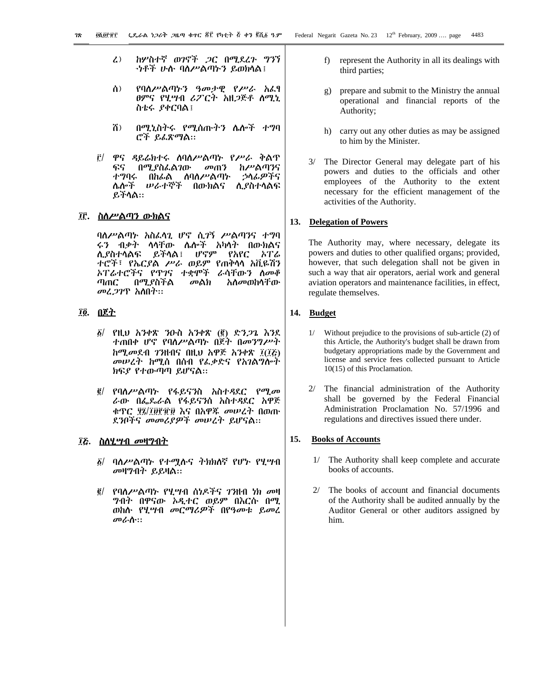- ከሦስተኛ ወንኖች *ጋ*ር በሚደረጉ ግንኘ  $\mathbf{Z}$ *-ነቶች ሁ*ሉ ባለሥልጣኑን ይወክላል፤
- ለ) የባስሥልጣኑን ዓመታዊ የሥራ አፈፃ *ፀምና የሂሣብ ሪፖርት አዚጋ*ጅቶ *ስሚኒ* ስቴሩ ያቀርባል፤
- ሽ) በሚኒስትሩ የሚሰጡትን ሌሎች ተግባ ሮች ይፈጽማል::
- ዋና ዳይሬክተሩ ሰባስሥልጣኑ የሥራ ቅልጥ <u>r/</u> ፍና በሚያስፌልገው መጠን ከሥልጣንና ተግባሩ በከፊል ለባለሥልጣኑ ኃላፊዎችና ሌሎች ሥራተኞች በውክልና **ሊያስተሳልፍ** ይችሳል።

### ፲፫. ስለሥልጣን ውክልና

ባለሥልጣኑ አስፈላጊ ሆኖ ሲ*ገ*ኝ ሥልጣንና ተግባ ሩን ብቃት ሳሳቸው ሌሎች አካሳት በውክልና ሆኖም ሊያስተሳልፍ ይችሳል፤ የአየር ኦፐሬ ተሮች፣ የኤርያል ሥራ ወይም የጠቅሳሳ አቪዬሽን አፐሬተሮችና የጥገና ተቋሞች ራሳቸውን ስመቆ  $n_{\rm f}$ በሚያስችል መልክ *አስመ*ወከሳቸው *መሬጋገ*ዋ አለበት።

# ፲፬. በጀት

- $\tilde{g}$  የዚህ አንቀጽ ንዑስ አንቀጽ (፪) ድን*ጋ*ጌ እንደ ተጠበቀ ሆኖ የባለሥልጣኑ በጀት በመንግሥት ከሚመደብ ገንዘብና በዚህ አዋጅ አንቀጽ ፲(፲፫) *መሠረት ከ*ሚስ በሰብ የፌቃድና የአ*ገ*ልግሎት ክፍያ የተውጣጣ ይሆናል።
- ፪/ የባሰሥልጣኑ የፋይናንስ አስተዳደር የሚ*መ* ራው በፌጼራል የፋይናንስ አስተዳደር አዋጅ ቁዋር ፶፯/፲፱፻፹፱ እና በአዋጁ መሠረት በወጡ ደንቦችና መመሪያዎች መሠረት ይሆናል::

# ፲፩. ስለሂ*ሣ*ብ *መ*ዛግብት

- ፩/ ባለሥልጣኑ የተሟሉና ትክክለኛ የሆኑ የሂሣብ መዛግብት ይይዛል።
- $\tilde{g}$ / የባለሥልጣኑ የሂሣብ ሰነዶችና *ገን*ዘብ ነክ መዛ **ግብት በዋናው አዲተር ወይም በእርሱ በሚ** ወከሱ የሂሣብ መርማሪዎች በየዓመቱ ይመረ መራስ።
- $f$ ) represent the Authority in all its dealings with third parties;
- prepare and submit to the Ministry the annual  $g)$ operational and financial reports of the Authority;
- h) carry out any other duties as may be assigned to him by the Minister.
- 3/ The Director General may delegate part of his powers and duties to the officials and other employees of the Authority to the extent necessary for the efficient management of the activities of the Authority.

#### 13. Delegation of Powers

The Authority may, where necessary, delegate its powers and duties to other qualified organs; provided, however, that such delegation shall not be given in such a way that air operators, aerial work and general aviation operators and maintenance facilities, in effect, regulate themselves.

### 14. Budget

- Without prejudice to the provisions of sub-article (2) of  $1/$ this Article, the Authority's budget shall be drawn from budgetary appropriations made by the Government and license and service fees collected pursuant to Article 10(15) of this Proclamation.
- $2/$ The financial administration of the Authority shall be governed by the Federal Financial Administration Proclamation No. 57/1996 and regulations and directives issued there under.

#### $15.$ **Books of Accounts**

- 1/ The Authority shall keep complete and accurate books of accounts.
- $2/$ The books of account and financial documents of the Authority shall be audited annually by the Auditor General or other auditors assigned by him.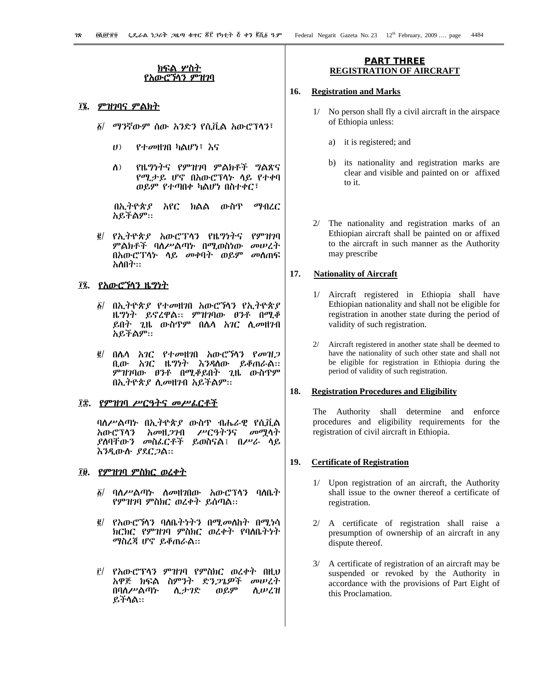#### <u>ክፍል ሦስት</u> የአውሮንሳን ዎ ทวา

# ፲፮. ምዝገባና ምልክት

- ፩/ ማንኛውም ሰው አንድን የሲቪል አውሮፕሳን፣
	- $(1)$ የተመዘንበ ካልሆነ፣ እና
	- የዜግነትና የምዝገባ ምልክቶች ግልጽና  $\Lambda$ ) የሚታይ ሆኖ በአውሮፕሳት ሳይ የተቀባ ወይም የተጣበቀ ካልሆነ በስተቀር፣

በኢትዮጵያ አየር ክልል ውስጥ ማብረር አይችልም።

*፪*/ የኢትዮጵ*ያ* አውሮፕላን የዜግነትና  $\rho$ ምዝንባ ምልክቶች ባለሥልጣኑ በሚወስነው መሠረት በአውሮፕላኑ ሳይ መቀባት ወይም መሰጠፍ አለበት።

# ፲፯. <u>የአውሮኻንን ዜግነት</u>

- ፩/ በኢትዮጵ*ያ* የተ*o*ગዘንበ አውሮኻኅን የኢትዮጵ*ያ* ዜግነት ይኖረዋል። ምዝገባው ፀንቶ በሚቆ ይበት ጊዜ ውስጥም በሌሳ አገር ሲመዘንብ አይችልም።
- በሌላ አገር የተመዘገበ አውሮኻን የመዝ*ጋ*  $\vec{g}/$ ቢው አገር ዜግነት እንዳለው ይቆጠራል፡፡ ምዝገባው ፀንቶ በሚቆይበት ጊዜ ውስጥም በኢትዮጵያ ሲመዘንብ አይችልም።

### ፲፰. <u>የምዝገባ ሥርዓትና መሥራርቶች</u>

ባለሥልጣኑ በኢትዮጵያ ውስጥ ብሔራዊ የሲቪል አውሮፕሳን አመዘ*ጋገ*ብ ሥርዓትንና መሚሳት *ያ*ስባቸው*ን መ*ስፌርቶች ይወስናል፤ በ*ሥራ* ሳይ እንዲውሱ ያደር*ጋ*ል።

# ፲፱. የምዝገባ ምስክር ወረቀት

- ፩/ ባለሥልጣኑ ለ*o*¤ዘንበው አውሮፕላን ባለቤት የምዝገባ ምስክር ወረቀት ይሰጣል::
- የአውሮኘሳን ባለቤትነትን በሚመለከት በሚነሳ  $g/$ ክርክር የምዝገባ ምስክር ወረቀት የባለቤትነት ማስረጃ ሆኖ ይቆጠራል።
- $\tilde{r}$ / የአውሮፕላን ምዝገባ የምስክር ወረቀት በዚህ አዋጅ ክፍል ስምንት ድን*ጋጌዎች* መሠረት በባለሥልጣት ሲታገድ ወይም ሲሥረዝ ይችላል።

#### **PART THREE REGISTRATION OF AIRCRAFT**

#### 16. **Registration and Marks**

- 1/ No person shall fly a civil aircraft in the airspace of Ethiopia unless:
	- a) it is registered; and
	- its nationality and registration marks are b) clear and visible and painted on or affixed  $\overline{f}$  o  $\overline{f}$
- 2/ The nationality and registration marks of an Ethiopian aircraft shall be painted on or affixed to the aircraft in such manner as the Authority may prescribe

#### 17. **Nationality of Aircraft**

- 1/ Aircraft registered in Ethiopia shall have Ethiopian nationality and shall not be eligible for registration in another state during the period of validity of such registration.
- $2/$ Aircraft registered in another state shall be deemed to have the nationality of such other state and shall not be eligible for registration in Ethiopia during the period of validity of such registration.

#### 18. **Registration Procedures and Eligibility**

The Authority shall determine and enforce procedures and eligibility requirements for the registration of civil aircraft in Ethiopia.

#### 19. **Certificate of Registration**

- 1/ Upon registration of an aircraft, the Authority shall issue to the owner thereof a certificate of registration.
- 2/ A certificate of registration shall raise a presumption of ownership of an aircraft in any dispute thereof.
- 3/ A certificate of registration of an aircraft may be suspended or revoked by the Authority in accordance with the provisions of Part Eight of this Proclamation.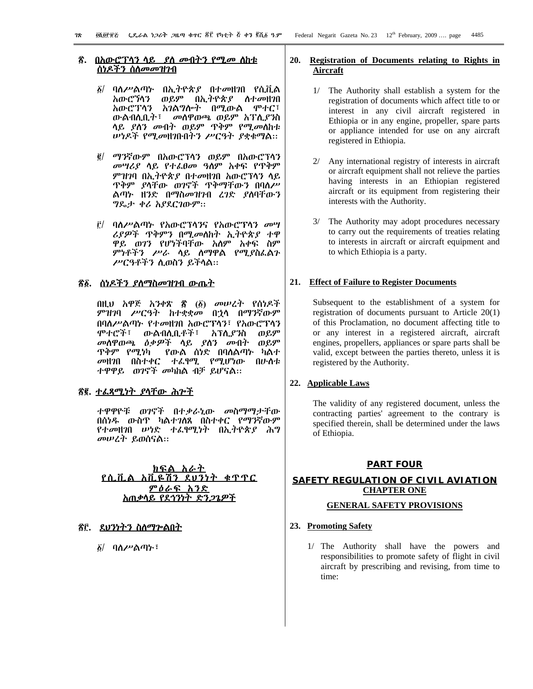# <u>ሰነዶችን ስስመመዝገብ</u>

- $\delta$ / ባለሥልጣኑ በኢትዮጵያ በተመዘገበ የሲቪል አውሮኻኅን ወይም በኢትዮጵያ ስተመዘገበ አውሮፕላን አገልግሎተ በሚውል ሞተር፣ ውልብሲቢት፣ መስዋወጫ ወይም አፐሲያንስ ላይ ያለን መብት ወይም ጥቅም የሚመስከቱ *ሡነዶች የሚመ*ዘንቡበትን ሥርዓት *ያ*ቋቁማል፡፡
- ፪/ ማንኛውም በአውሮፕላን ወይም በአውሮፕላን መሣሪያ ሳይ የተፈፀመ ዓስም አቀፍ የጥቅም ምዝገባ በኢትዮጵያ በተመዘገበ አውሮፕሳን ሳይ ዋቅም *ያ*ላቸው ወንኖች ዋቅማቸውን በባለሥ ልጣኑ ዘንድ በማስመዝንብ ረንድ ያስባቸውን ግጼታ ቀሪ አያደርገውም።
- ፫/ ባለሥልጣኑ የአውሮፕሳንና የአውሮፕሳን *መ*ሣ ሪያዎች ጥቅምን በሚመስከት ኢትዮጵያ ተዋ ዋይ ወገን የሆነችባቸው አሰም አቀፍ ስም ምነቶችን ሥራ ሳይ ስማዋል የሚያስፌልጉ ሥርዓቶችን ሲወስን ይችላል።

# <u> ኛ፩. ሰነዶችን ያስማስመዝገብ ውጤት</u>

በዚህ አዋጅ አንቀጽ ፳ (፩) መሠረት የሰነዶች ምዝንባ ሥርዓት ከተቋቋመ በኃላ በማንኛውም በባለሥልጣኑ የተመዘገበ አውሮፕሳን፣ የአውሮፕሳን ሞተሮች፣ አፕሊያንስ ውልብሊቢቶች፣ ወይም *መ*ሰዋወጫ *ዕቃዎች* ላይ *ያ*ለን መብት  $\theta$ .9 ጥቅም *የሚነ*ካ የውል ሰነድ በባለልጣኑ ካልተ መዘንበ በስተቀር ተፌፃሚ የሚሆነው በሁስቱ ተዋዋይ ወገኖች መካከል ብቻ ይሆናል።

# <u>ኛ፪. ተፈጻሚነት ያሳቸው ሕሥች</u>

ተዋዋዮቹ ወ*ገ*ኖች በተ*ቃ*ራኒው መስማማታቸው በሰነዱ ውስጥ ካልተገለጸ በስተቀር የማንኛውም ...<br>*የተመ*ዘ*ገ*በ *ሠነ*ድ ተፈፃሚነት በኢትዮጵያ ሕግ መሠረት ይወሰናል።

#### ክፍል አራተ የሲቪል አቪዬሽን ደሀንነት ቁጥጥር <u>ምዕራፍ አንድ</u> <u> አጠቃሳይ የደኅንነት ድን*ጋጌዎች*</u>

# <u>ኛር. ይህንነትን ስለማዮልበት</u>

*δ*/ ባለሥልጣኑ፣

#### 20. Registration of Documents relating to Rights in Aircraft

- 1/ The Authority shall establish a system for the registration of documents which affect title to or interest in any civil aircraft registered in Ethiopia or in any engine, propeller, spare parts or appliance intended for use on any aircraft registered in Ethiopia.
- 2/ Any international registry of interests in aircraft or aircraft equipment shall not relieve the parties having interests in an Ethiopian registered aircraft or its equipment from registering their interests with the Authority.
- 3/ The Authority may adopt procedures necessary to carry out the requirements of treaties relating to interests in aircraft or aircraft equipment and to which Ethiopia is a party.

# 21. Effect of Failure to Register Documents

Subsequent to the establishment of a system for registration of documents pursuant to Article  $20(1)$ of this Proclamation, no document affecting title to or any interest in a registered aircraft, aircraft engines, propellers, appliances or spare parts shall be valid, except between the parties thereto, unless it is registered by the Authority.

# 22. Applicable Laws

The validity of any registered document, unless the contracting parties' agreement to the contrary is specified therein, shall be determined under the laws of Ethiopia.

# **PART FOUR**

# SAFETY REGULATION OF CIVIL AVIATION **CHAPTER ONE**

# **GENERAL SAFETY PROVISIONS**

# 23. Promoting Safety

1/ The Authority shall have the powers and responsibilities to promote safety of flight in civil aircraft by prescribing and revising, from time to time: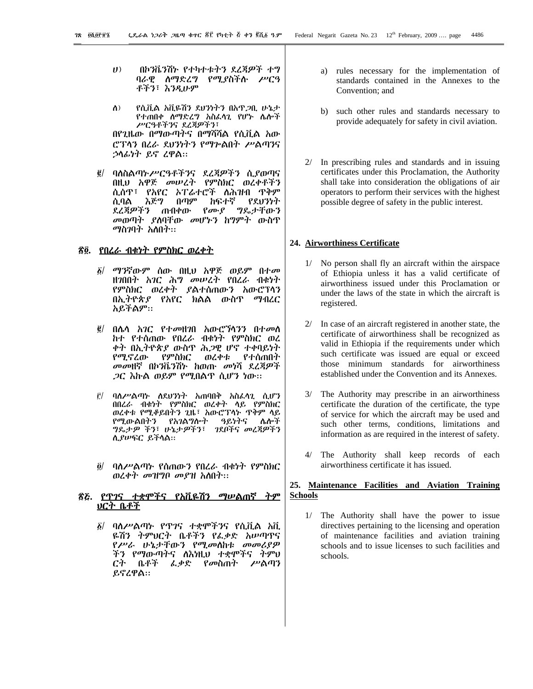- $(1)$ በኮንቬንሽኑ የተካተቱትን ደረጃዎች ተግ ባራዊ ስማድረግ የሚያስችሱ ሥርዓ ቶችን፣ እንዲሁም
- የሲቪል አቪዬሽን ደህንነትን በአዋ*ጋ*ቢ ሁኔታ  $\lambda$ ) የተጠበቀ ስማድረግ አስፌሳጊ የሆኮ ሴሎች ሥርዓቶችንና ደረጃዎችን፣ በየጊዜው በማውጣትና በማሻሻል የሲቪል አው ሮፕላን በረራ ደህንነትን የማጕልበት ሥልጣንና ኃሳፊነት ይኖ ረዋል።
- ባለስልጣኑሥርዓቶችንና ደረጃዎችን ሲያወጣና  $\vec{g}/$ በዚህ አዋጅ መሠረት የምስክር ወረቀቶችን ሲሰዋ፣ የአየር ኦፐሬተሮች ለሕዝብ ዋቅም ሲባል እጅግ በጣም ከፍተኛ የደህንነት ደረጃዎችን ጠብቀው የሙያ ግዴታቸውን *መ*ወጣት *ያ*ስባቸው መሆኑን ከግምት ውስጥ ማስንባት አለበት።

### <u>ኛ፬. የበረራ ብቁነት የምስክር ወረቀት</u>

- ፩/ ማንኛውም ሰው በዚህ አዋጅ ወይም በተ*መ* ዘንበበት አንር ሕግ መሠረት የበረራ ብቁነት የምስክር ወረቀት ያልተሰጠውን አውሮፕላን<br>በኢትዮጵ*ያ* የአየር ክልል ውስጥ ማብረር አይችልም።
- $\vec{e}$ በሌሳ *አገር የተመዘገ*በ አውሮኘሳ*ንን* በተመሰ ከተ የተሰጠው የበረራ ብቁነት የምስክር ወረ ቀት በኢትዮጵያ ውስዋ ሕ*ጋ*ዊ ሆኖ ተቀባይነት የሚኖረው የምስክር ወረቀቱ የተሰጠበት መመዘኛ በኮንቬንሽኑ ከወጡ መነሻ ደረጃዎች *ጋ*ር እኩል ወይም የሚበልዋ ሲሆን ነው።
- ቮ/ ባለሥልጣኑ ለደሀንነት አጠባበቅ አስፌሳጊ ሲሆን በበረራ ብቁነት የምስክር ወረቀት ላይ የምስክር ወረቀቱ የሚቆይበትን ጊዜ፣ አውሮፕላኑ ዋቅም ላይ ዓይነትና ሌሎች የሚውልበትን የአገልግሎት ግዴታዎ ችን፣ ሁኔታዎችን፣ \_ ገደቦችና መረጃዎችን ሲያሥፍር ይችላል።
- ባለሥልጣኑ የሰጠውን የበረራ ብቁነት የምስክር õ/ ወረቀተ መዝግቦ መያዝ አስበተ፡፡

#### <u>ጽሯ. የጥገና ተቋሞችና የአቪዬሽን ማሠልጠኛ ትም</u> <u>ህርት ቤቶች</u>

*፩*/ ባለሥልጣኑ የጥገና ተቋሞችንና የሲቪል አቪ ዬሽን ትምህርት ቤቶችን የፌቃድ አሥጣዋና የሥራ ሁኔታቸውን የሚመስከቱ መመሪያዎ ችን የማውጣትና ስእነዚህ ተቋሞችና ትምህ ርት ቤቶች ፌቃድ የመስጠት ሥልጣን ይኖረዋል።

- $a)$ rules necessary for the implementation of standards contained in the Annexes to the Convention; and
- b) such other rules and standards necessary to provide adequately for safety in civil aviation.
- 2/ In prescribing rules and standards and in issuing certificates under this Proclamation, the Authority shall take into consideration the obligations of air operators to perform their services with the highest possible degree of safety in the public interest.

#### 24. Airworthiness Certificate

- 1/ No person shall fly an aircraft within the airspace of Ethiopia unless it has a valid certificate of airworthiness issued under this Proclamation or under the laws of the state in which the aircraft is registered.
- 2/ In case of an aircraft registered in another state, the certificate of airworthiness shall be recognized as valid in Ethiopia if the requirements under which such certificate was issued are equal or exceed those minimum standards for airworthiness established under the Convention and its Annexes.
- 3/ The Authority may prescribe in an airworthiness certificate the duration of the certificate, the type of service for which the aircraft may be used and such other terms, conditions, limitations and information as are required in the interest of safety.
- 4/ The Authority shall keep records of each airworthiness certificate it has issued.

# 25. Maintenance Facilities and Aviation Training **Schools**

1/ The Authority shall have the power to issue directives pertaining to the licensing and operation of maintenance facilities and aviation training schools and to issue licenses to such facilities and schools.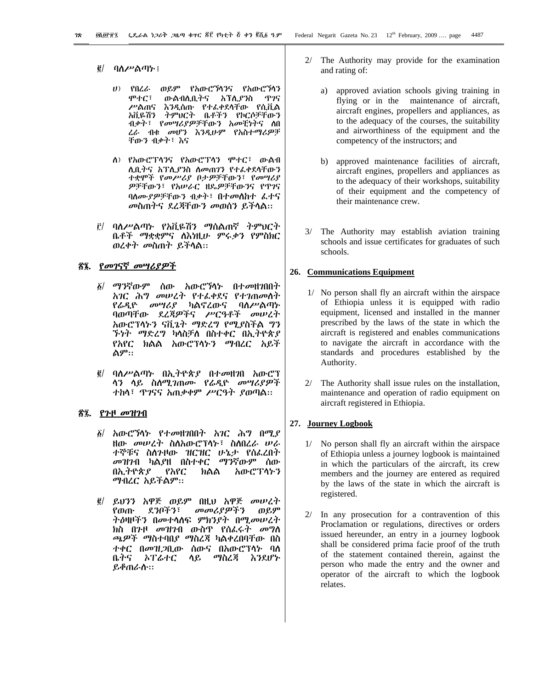#### $\vec{e}$ ባለሥልጣኑ ፤

- ሀ) የበረራ ወይም የአውሮኻንና የአውሮኻን ውልብሊቢትና አፐሊያንስ ዋንና ሞተር፣ ሥልጠና እንዲሰጡ የተፌቀደሳቸው የሲቪል አቪዬሽን ትምህርት ቤቶችን የኮርሶቻቸውን ብቃት፣ የመሣሪያዎቻቸውን አመቺነትና ስበ ረራ ብቁ መሆን እንዲሁም የአስተማሪዎቻ ቸውን ብቃት፣ እና
- ስ) የአውሮፐሳንና የአውሮፐሳን ሞተር፣ ውልብ ሊቢትና አፐሊያንስ ስመጠንን የተራቀደሳቸውን ተቋሞች የመሥሪያ በታዎቻቸውን፣ የመሣሪያ ዎቻቸውን፣ የአሠራር ዘዴዎቻቸውንና የጥገና ባለሙያዎቻቸውን ብቃት፣ በተመለከተ ፌተና መስጠትና ደረጃቸውን መወሰን ይችላል።
- f/ ባለሥልጣኑ የአቪዬሽን ማሰልጠኛ ትም*ህርት* ቤቶች ማቋቋምና ለእነዚሁ ምሩቃን የምስክር ወረቀት መስጠት ይችላል::

# ኛ፤. የመገናኛ መሣሪያዎች

- ፩/ ማንኛውም ሰው አውሮኘሳ*ኮ* በተመዘገበበት አገር ሕግ መሠረት የተፈቀደና የተገጠመስት የሬዲዮ መሣሪያ ካልኖረውና ባስሥልጣኍ ባወጣቸው ደረጃዎችና ሥርዓቶች መሠረት አውሮፕላኑን ናቪጌት ማድረግ የሚያስችል ግን *ኙነት ማድረግ* ካላስቻለ በስተቀር በኢ*ት*ዮጵ*ያ* የአየር ክልል አውሮፕላኑን ማብረር አይች ልም።
- ፪/ ባለሥልጣኑ በኢትዮጵያ በተመዘገበ አውሮፕ ሳን ሳይ ስለሚገጠሙ የራዲዮ መሣሪያዎች ተከላ፣ ዋንናና አጠቃቀም ሥርዓት ያወጣል።

### *ኛ፯. የጉ*ዞ *መዝገ*ብ

- *δ|* አውሮኘሳኑ የተ*o*¤ዘንበበት አንር ሕግ በሚ*ያ* ዘው *መሠረት* ስስአውሮፕላኑ፣ ስስበረራ ሠራ ተኞቹና ስለንዞው ዝርዝር ሁኔታ የሰፌረበት ማንኛውም ሰው *መዝገ*ብ ካልያዘ በስተቀር በአ.ትዮጵያ የአየር አውሮፕላኑን ክልል ማብረር አይችልም፡፡
- $\vec{g}$  ይህንን አዋጅ ወይም በዚህ አዋጅ መሠረት የወጡ ደንቦችን፣ መመሪያዎችን ወይም *ትዕ*ዛዞችን በመተሳሰፍ ምክን*ያት* በሚመሠረት *ክ*ስ በንዞ *መዝገ*ብ ውስዋ የሰፌሩት *መግ*ለ ጫዎች ማስተባበያ ማስረጃ ካልቀረበባቸው በስ ተቀር በመዝ*ጋ*ቢው ሰውና በአውሮፕላኑ ባስ ቤትና ኦፐሬተር ሳይ ማስረጃ እንደሆኑ ይቆጠራሱ።
- 2/ The Authority may provide for the examination and rating of:
	- $a)$ approved aviation schools giving training in flying or in the maintenance of aircraft, aircraft engines, propellers and appliances, as to the adequacy of the courses, the suitability and airworthiness of the equipment and the competency of the instructors; and
	- b) approved maintenance facilities of aircraft, aircraft engines, propellers and appliances as to the adequacy of their workshops, suitability of their equipment and the competency of their maintenance crew.
- 3/ The Authority may establish aviation training schools and issue certificates for graduates of such schools.

#### 26. Communications Equipment

- 1/ No person shall fly an aircraft within the airspace of Ethiopia unless it is equipped with radio equipment, licensed and installed in the manner prescribed by the laws of the state in which the aircraft is registered and enables communications to navigate the aircraft in accordance with the standards and procedures established by the Authority.
- 2/ The Authority shall issue rules on the installation, maintenance and operation of radio equipment on aircraft registered in Ethiopia.

#### 27. Journey Logbook

- 1/ No person shall fly an aircraft within the airspace of Ethiopia unless a journey logbook is maintained in which the particulars of the aircraft, its crew members and the journey are entered as required by the laws of the state in which the aircraft is registered.
- $2/$ In any prosecution for a contravention of this Proclamation or regulations, directives or orders issued hereunder, an entry in a journey logbook shall be considered prima facie proof of the truth of the statement contained therein, against the person who made the entry and the owner and operator of the aircraft to which the logbook relates.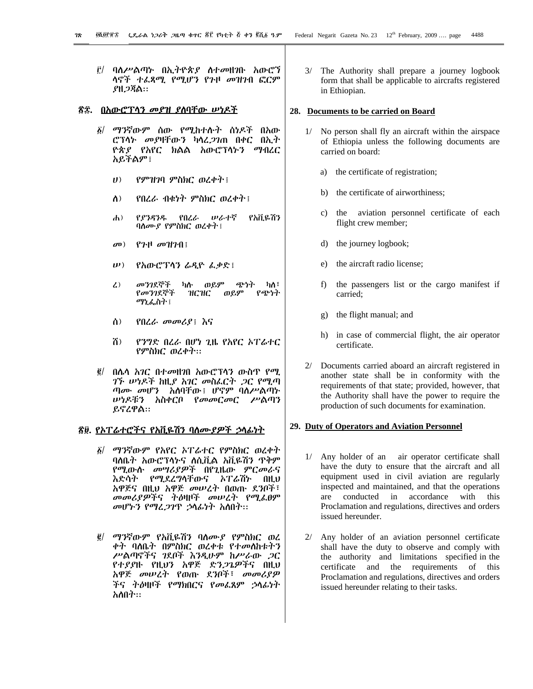ባለሥልጣኑ በኢትዮጵያ ስተመዘገቡ አውሮኘ Ë/ ሳኖች ተፈጻሚ የሚሆን የጉዞ መዝንብ ፎርም *ያ*ዘ*ጋ*ጃል።

### <u>ኛ፰. በአውሮፕላን መያዝ ያስባቸው ሠነዶች</u>

- ፩/ ማንኛውም ሰው የሚከተሱት ስነዶች በ<u>አው</u> ሮፕላኑ መያዛቸውን ካሳፈ*ጋገ*ጠ በቀር በኢት ዮጵያ የአየር ክልል አውሮፕላኑን ማብረር አይችልም፤
	- $(1)$ የምዝገባ ምስክር ወረቀት !
	- የበረራ ብቁነት ምስክር ወረቀት ፤ ስ)
	- $\mathbf{d}$ የያንዳንዱ የበረራ ルራተኛ የአቪዬሽን ባለሙያ የምስክር ወረቀት ፤
	- $P$ <sup>H</sup>  $\sigma$ H $2$ fl!  $\sigma$ <sup>1</sup>
	- የአውሮፕሳን ራዲዮ ፌቃድ፤  $\mathbf{u}(\mathbf{v})$
	- መንገደኞች ወይም ጭነት  $\lambda$ ካሉ ካለ፣ የመንገደኞች ዝርዝር ወይም የጭነት *ማኒ*ፌስት ፤
	- የበረራ መመሪያ! እና ለ)
	- ሽ) የንግድ በረራ በሆነ ጊዜ የአየር ኦፐሬተር የምስክር ወረቀት::
- በሌሳ *አገር* በተመዘገበ አውሮፕሳን ውስጥ የሚ  $\vec{g}/$ *ገኙ ሡነዶች ከዚያ አገር መስፌርት ጋር የሚጣ ጣሙ መሆን* አስባቸው፤ ሆኖም ባስሥልጣት ሥነዶቹን አስቀርቦ የመመርመር ሥልጣን ይኖረዋል::

### <u> ኛ፱. የኦፐሬተሮችና የአቪዬሽን ባስሙያዎች ኃሳፊነት</u>

- ፩/ ማንኛውም የአየር ኦፐሬተር የምስክር ወረቀት ባለቤት አውሮፕላኑና ለሲቪል አቪዬሽን ዋቅም የሚውሱ መሣሪያዎች በየጊዜው ምርመራና እድሳት የሚደረግሳቸውና አፐራሽኑ በዚህ አዋጅና በዚህ አዋጅ መሠረት በወጡ ደንቦች፣ መመሪያዎችና ትዕዛዞች መሠረት የሚፌፀም መሆኑን የማሬ*ጋገ*ጥ ኃላፊነት አስበት።
- ፪/ ማንኛውም የአቪዬሽን ባለሙያ የምስክር ወረ ቀት ባለቤት በምስክር ወረቀቱ የተመለከቱትን ሥልጣኖችና ገደቦች እንዲሁም ከሥራው *ጋ*ር የተያያዙ የዚህን አዋጅ ድን*ጋጌዎች*ና በዚህ አዋጅ መሠረት የወጡ ደንቦች፣ መመሪያዎ ችና ትዕዛዞች የማክበርና የመራጸም ኃላፊነት አለበት።

3/ The Authority shall prepare a journey logbook form that shall be applicable to aircrafts registered in Ethiopian.

#### 28. Documents to be carried on Board

- 1/ No person shall fly an aircraft within the airspace of Ethiopia unless the following documents are carried on board:
	- the certificate of registration; a)
	- the certificate of airworthiness;  $h)$
	- $c)$ the aviation personnel certificate of each flight crew member;
	- the journey logbook;  $\mathbf{d}$
	- the aircraft radio license;  $e)$
	- $f$ ) the passengers list or the cargo manifest if carried:
	- the flight manual; and  $g)$
	- h) in case of commercial flight, the air operator certificate.
- Documents carried aboard an aircraft registered in  $2/$ another state shall be in conformity with the requirements of that state; provided, however, that the Authority shall have the power to require the production of such documents for examination.

#### 29. Duty of Operators and Aviation Personnel

- 1/ Any holder of an air operator certificate shall have the duty to ensure that the aircraft and all equipment used in civil aviation are regularly inspected and maintained, and that the operations  $are$ conducted in accordance with this Proclamation and regulations, directives and orders issued hereunder.
- 2/ Any holder of an aviation personnel certificate shall have the duty to observe and comply with the authority and limitations specified in the certificate and the requirements of this Proclamation and regulations, directives and orders issued hereunder relating to their tasks.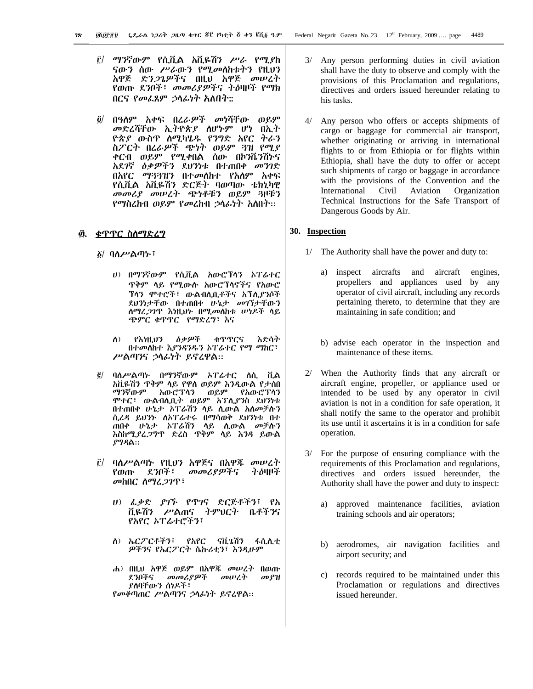- <u>i'/ ማንኛውም የሲቪል አቪዬሽን ሥራ የሚያከ</u> ናውን ሰው ሥራውን የሚመስከቱትን የዚህን አዋጅ ድን*ጋጌዎች*ና በዚህ አዋጅ *መ*ሠረት የወጡ ደንቦች፣ መመሪያዎችና ትዕዛዞች የማክ በርና የመፌጸም ኃሳፊነት አለበት።
- $\partial/$ በዓለም አቀፍ በረራዎች መነሻቸው ወይም መድረሻቸው ኢትዮጵያ ስሆኑም ሆነ በኢት *ዮጵያ ውስ*ዋ *ስሚካ*ሄዱ የንግድ አየር ትራን ስፖርት በረራዎች ጭነት ወይም ጓዝ የሚያ ቀርብ ወይም የሚቀበል ሰው በኮንቬንሽኮና አደ*ገ*ኛ *ዕቃዎችን* ደህንነቱ በተጠበቀ *መንገ*ድ በአየር ማ33ዝን በተመለከተ የአለም አቀፍ የሲቪል አቪዬሽን ድርጅት ባወጣው ቴክኒካዊ መመሪያ መሠረት ጭነቶቹን ወይም ጓዞቹን የማስረከብ ወይም የመረከብ ኃሳፊነት አስበት።

#### ፴. <u>ቁጥጥር ስለማድሪግ</u>

፩/ ባለሥልጣ**ኑ**፣

- *ህ)* በማንኛውም የሲቪል አውሮፕላን ኦፐሬተር ዋቅም ላይ የሚውሱ አውሮፕላኖችና የአውሮ ፕላን ምተሮች፣ ውልብሊቢቶችና አፕሊያንሶች ደህንነታቸው በተጠበቀ ሁኔታ መገኘታቸውን ስማሬ*ጋገ*ጥ እነዚህት በሚመስከቱ ሠነዶች ላይ ጭምር ቁጥጥር የማድረግ፣ እና
- የእነዚህን ዕቃዎች ቁጥጥርና እድሳት  $\Lambda$ ) በተመሰከተ እያንዳንዱን አፐሬተር የማ ማከር፣ ሥልጣንና ኃላፊነት ይኖረዋል።
- ፪/ ባለሥልጣኑ በማንኛውም አፐራተር ስሲ ቪል አቪዬሽን ዋቅም ላይ የዋስ ወይም እንዲውል የታሰበ ማንኛውም አውሮፕሳን ወይም የአውሮፕሳን ሞተር፣ ውልብሊቢት ወይም አፐሊያንስ ደህንነቱ በተጠበቀ ሁኔታ አፐሬሽን ላይ ሲውል አስመቻሉን ሲረዳ ይህንት ስኦፐሬተሩ በማሳወቅ ደህንነቱ በተ ጠበቀ ሁኔታ ኦፐሬሽን ላይ ሲውል መቻሱን እስከሚያረ*ጋግ*ጥ ድረስ ጥቅም ሳይ እንዳ ይውል *ያግዳ*ል።
- ፫/ ባለሥልጣኑ የዚህን አዋጅና በአዋጁ መሠረት ትዕዛዞች የወጡ ደንቦች፣ መመሪያዎችና መከበር ስማሬ*ጋገ*ጥ፣
	- ሀ) ፌቃድ ያገኙ የጥገና ድርጅቶችን፣ የአ ቪዬሽን ሥልጠና ትምህርት ቤቶችንና የአየር ኦፐሬተሮችን፣
	- ስ) ኤርፖርቶችን፣ የአየር ናቪጌሽን ፋሲሊቲ ዎችንና የኤርፖርት ሴኩሪቲን፣ እንዲሁም
	- ሐ) በዚህ አዋጅ ወይም በአዋጁ መሥረት በወጡ ደንቦችና መመሪያዎች መሠረት መያዝ ያለባቸውን ሰነዶች፣ የመቆጣጠር ሥልጣንና ኃላፊነት ይኖረዋል።
- 3/ Any person performing duties in civil aviation shall have the duty to observe and comply with the provisions of this Proclamation and regulations, directives and orders issued hereunder relating to his tasks.
- 4/ Any person who offers or accepts shipments of cargo or baggage for commercial air transport. whether originating or arriving in international flights to or from Ethiopia or for flights within Ethiopia, shall have the duty to offer or accept such shipments of cargo or baggage in accordance with the provisions of the Convention and the International Civil Aviation Organization Technical Instructions for the Safe Transport of Dangerous Goods by Air.

#### 30. Inspection

- 1/ The Authority shall have the power and duty to:
	- a) inspect aircrafts and aircraft engines, propellers and appliances used by any operator of civil aircraft, including any records pertaining thereto, to determine that they are maintaining in safe condition; and
	- b) advise each operator in the inspection and maintenance of these items.
- 2/ When the Authority finds that any aircraft or aircraft engine, propeller, or appliance used or intended to be used by any operator in civil aviation is not in a condition for safe operation, it shall notify the same to the operator and prohibit its use until it ascertains it is in a condition for safe operation.
- $3/$ For the purpose of ensuring compliance with the requirements of this Proclamation and regulations, directives and orders issued hereunder, the Authority shall have the power and duty to inspect:
	- approved maintenance facilities, aviation a) training schools and air operators;
	- b) aerodromes, air navigation facilities and airport security; and
	- c) records required to be maintained under this Proclamation or regulations and directives issued hereunder.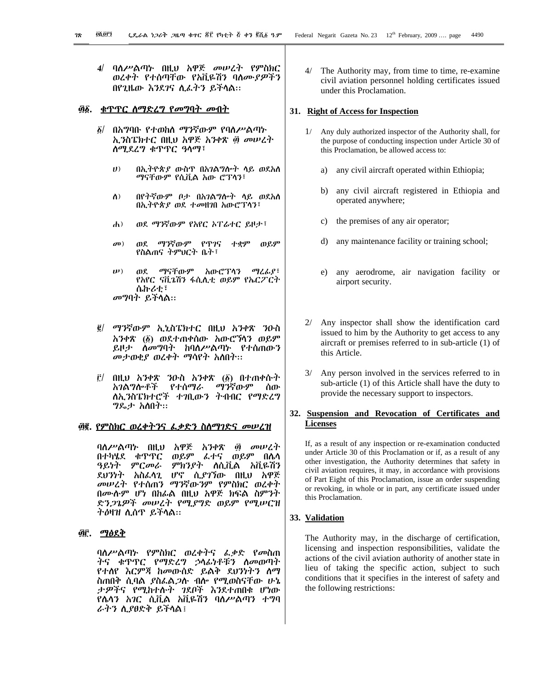4/ ባለሥልጣኑ በዚህ አዋጅ መሠረት የምስክር ወረቀት የተሰጣቸው የአቪዬሽን ባስሙያዎችን በየጊዜው እንደገና ሲፌትን ይችሳል።

#### 

- ፩/ በአግባቡ የተወከለ ማንኛውም የባለሥልጣኑ ኢንስፔክተር በዚህ አዋጅ አንቀጽ ፴ መሠረት ሰሚደረግ ቁጥጥር ዓሳማ፣
	- $\boldsymbol{v}$ በኢትዮጵያ ውስዋ በአገልግሎት ላይ ወደአለ ማናቸውም የሲቪል አው ሮፐሳን፣
	- በየትኛውም ቦታ በአገልግሎት ሳይ ወደአስ  $\Lambda$ ) በኢትዮጵያ ወደ ተመዘገበ አውሮፐሳን፣
	- ወደ ማንኛውም የአየር አፐራተር ይዞታ፣  $\mathbf{h}$ )
	- ወደ ማንኛውም የጥገና  $\boldsymbol{\sigma}$ ተቋም ወይም የስልጠና ትምህርት ቤት፣
	- $\boldsymbol{\mu}$ ማናቸውም አውሮፕሳን ማረፊያ፣ ጠደ የአየር ናቪኔሽን ፋሲሊቲ ወይም የኤርፖርተ ሴኩሪቲ፣ *መግ*ባት ይችሳል።
- $\vec{e}$  / *ማን*ኛውም ኢኒስፔክተር በዚህ አንቀጽ ንዑስ አንቀጽ (፩) ወደተጠቀሰው አውሮኘሳን ወይም ይዞታ ስመግባት ከባስሥልጣኑ የተሰጠውን መታወቂያ ወረቀት ማሳየት አለበት፡፡
- $\mathbf{r}$ በዚህ አንቀጽ ንዑስ አንቀጽ (፩) በተጠቀሱት ማንኛውም አገልግሎቶች የተሰማራ ሰው ለኢንስፔክተሮች ተገቢውን ትብብር የማድረግ ግጼታ አስበት።

#### <u>፴፪. የምስክር ወረቀትንና ፌቃድን ስለማገድና መሠረዝ</u>

ባለሥልጣኑ በዚህ አዋጅ አንቀጽ の ののだい ወይም በሴሳ በተካሄደ ቁጥጥር ወይም ፌተና ዓይነት ምርመራ ምክንያት ለሲቪል አቪዬሽን ደህንነት አስፈላጊ ሆኖ ሲ*ያገኘ*ው በዚህ አዋጅ መሠረት የተሰጠን ማንኛውንም የምስክር ወረቀት በሙሉም ሆነ በከፊል በዚህ አዋጅ ክፍል ስምንት ድን*ጋጌዎች መሠረት የሚያግ*ድ ወይም የሚሥርዝ ትዕዛዝ ሲሰዋ ይችላል።

#### <u>፴፫. ማፅደቅ</u>

ባለሥልጣኑ የምስክር ወረቀትና ፌቃድ የመስጠ ትና ቁጥጥር የማድረግ ኃሳፊነቶቹን ስመወጣት የተሰየ እርምጃ ከመውሰድ ይልቅ ደህንነተን ስማ ስጠበቅ ሲባል *ያ*ስፌል*ጋ*ሱ ብሎ የሚወስናቸው ሁኔ ታዎችና የሚከተሱት ገደቦች እንደተጠበቁ ሆነው የሴሳን አገር ሲቪል አቪዬሽን ባለሥልጣን ተግባ ራትን ሲያፀድቅ ይችላል፤

The Authority may, from time to time, re-examine civil aviation personnel holding certificates issued under this Proclamation.

#### 31. Right of Access for Inspection

- 1/ Any duly authorized inspector of the Authority shall, for the purpose of conducting inspection under Article 30 of this Proclamation, be allowed access to:
	- any civil aircraft operated within Ethiopia; a)
	- any civil aircraft registered in Ethiopia and  $h$ ) operated anywhere;
	- the premises of any air operator;  $c)$
	- any maintenance facility or training school; d)
	- any aerodrome, air navigation facility or  $e)$ airport security.
- 2/ Any inspector shall show the identification card issued to him by the Authority to get access to any aircraft or premises referred to in sub-article (1) of this Article.
- 3/ Any person involved in the services referred to in sub-article (1) of this Article shall have the duty to provide the necessary support to inspectors.

# 32. Suspension and Revocation of Certificates and **Licenses**

If, as a result of any inspection or re-examination conducted under Article 30 of this Proclamation or if, as a result of any other investigation, the Authority determines that safety in civil aviation requires, it may, in accordance with provisions of Part Eight of this Proclamation, issue an order suspending or revoking, in whole or in part, any certificate issued under this Proclamation.

#### 33. Validation

The Authority may, in the discharge of certification, licensing and inspection responsibilities, validate the actions of the civil aviation authority of another state in lieu of taking the specific action, subject to such conditions that it specifies in the interest of safety and the following restrictions: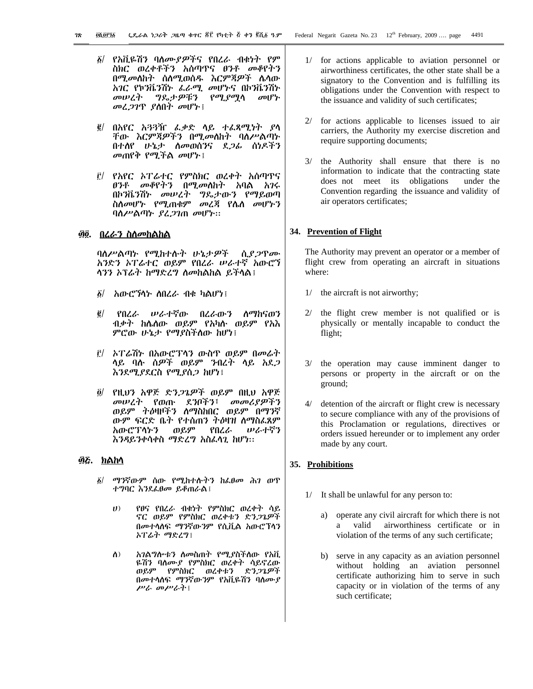- δ/ የአቪዬሽን ባለሙ*ያዎች*ና የበረራ ብቁነት የም ስክር ወረቀቶችን አሰጣዋና ፀንቶ መቆየትን በሚመለከት ሰለሚወሰዱ እርምጃዎች ሌላው አገር የኮንቬንሽኑ ፌራሚ መሆኑና በኮንቬንሽኑ መሠረት ግዴታዎቹን *የሚያሚ*ሳ *መ*ሆ*ኮ* መሬ*ጋገ*ዋ ያስበት መሆኑ!
- በአየር አጓጓዥ ፌቃድ ሳይ ተፈጻሚነት ያሳ  $\vec{g}/$ ቸው እርምጃዎችን በሚመለከት ባለሥልጣኑ በተሰየ ሁኔታ ስመወሰንና ደ*ጋ*ፊ ሰነዶችን መጠየቅ የሚችል መሆኑ !
- ፫/ የአየር ኦፐሬተር የምስክር ወረቀት አሰጣዋና *ፀንቶ መቆየትን* በሚመለከት አባል አ*ገ*ሩ በኮንቬንሽኑ መሠረት ግዴታውን የማይወጣ ስለመሆኑ የሚጠቁም መረጃ የሴለ መሆኑን ባስሥልጣኑ ያፈ*ጋገ*ጠ መሆኑ።

#### <u>፴፬. በሪራን ስስመከልከል</u>

ባለሥልጣኑ የሚከተሱት ሁኔታዎች ሲያ*ጋ*ዋሙ አንድን አፐሬተር ወይም የበረራ ሠራተኛ አውሮኘ ሳንን ኦፕሬት ከማድረግ ስመከልከል ይችላል፤

- $\delta$ / አውሮኘሳት ሰበረራ ብቁ ካልሆነ፤
- የበረራ ሥራተኛው በረራውን ስማከናወን  $\vec{e}$ ብቃተ ከሴስው ወይም የአካሱ ወይም የአእ ምሮው ሁኔታ የማያስችለው ከሆነ፤
- ፫/ *ኑፐሬሽኑ* በአውሮፕላን ውስዋ ወይም በመሬት ላይ ባ<u>ሉ ሰዎች ወይም ንብረት ላይ አ</u>ደ*ጋ* እንደሚያደርስ የሚያሰጋ ከሆነ፤
- የዚህን አዋጅ ድን*ጋጌዎች* ወይም በዚህ አዋጅ  $\ddot{\mathbf{0}}$ መሠረት የወጡ ደንቦችን፣ መመሪያዎችን ወይም ትዕዛዞችን ስማስከበር ወይም በማንኛ ውም ፍርድ ቤት የተሰጠን ትዕዛዝ ስማስፌጸም አውሮፕላትን ወይም የበረራ ሠራተኛን እንዳይንቀሳቀስ ማድረግ አስፌሳጊ ከሆነ።

### ፴ሯ. <u>ክልከላ</u>

- $\delta/$ ማንኛውም ሰው የሚከተሱትን ከፌፀመ ሕገ ወጥ ተግባር እንደፌፀመ ይቆጠራል፤
	- $\boldsymbol{U}$ የፀና የበረራ ብቁነት የምስክር ወረቀት ሳይ ኖር ወይም የምስክር ወረቀቱን ድንጋጌዎች በመተሳሰፍ ማንኛውንም የሲቪል አውሮፕሳን አፐሬት ማድረግ፣
	- $\Lambda$ ) አገልግሎቱን ስመስጠት የሚያስችስው የአቪ ዬሽን ባለሙያ የምስክር ወረቀት ሳይኖረው ወይም የምስክር ወረቀቱን ድንጋጌዎች በመተሳሰፍ ማንኛውንም የአቪዬሽን ባሰሙያ ሥራ መሥራት፤
- 2/ for actions applicable to licenses issued to air carriers, the Authority my exercise discretion and require supporting documents;
- 3/ the Authority shall ensure that there is no information to indicate that the contracting state does not meet its obligations under the Convention regarding the issuance and validity of air operators certificates;

#### 34. Prevention of Flight

The Authority may prevent an operator or a member of flight crew from operating an aircraft in situations where:

- $1/$ the aircraft is not airworthy;
- the flight crew member is not qualified or is  $2/$ physically or mentally incapable to conduct the flight;
- 3/ the operation may cause imminent danger to persons or property in the aircraft or on the ground;
- $4/$ detention of the aircraft or flight crew is necessary to secure compliance with any of the provisions of this Proclamation or regulations, directives or orders issued hereunder or to implement any order made by any court.

# 35. Prohibitions

- 1/ It shall be unlawful for any person to:
	- a) operate any civil aircraft for which there is not airworthiness certificate or in valid a violation of the terms of any such certificate;
	- b) serve in any capacity as an aviation personnel without holding an aviation personnel certificate authorizing him to serve in such capacity or in violation of the terms of any such certificate;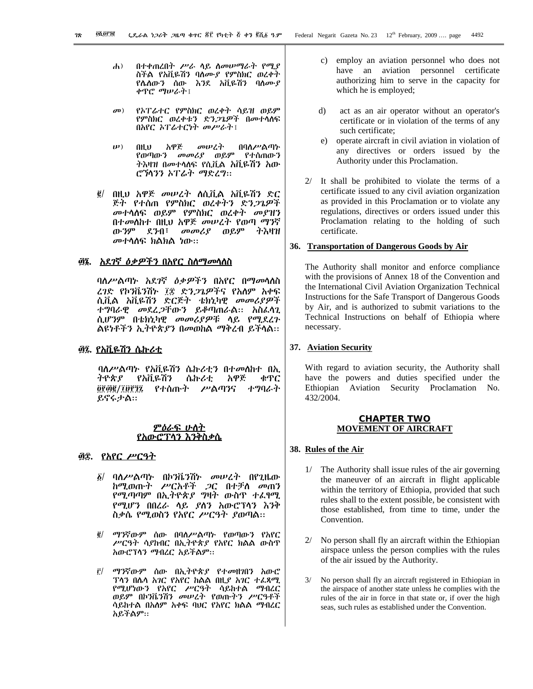- $\mathbf{d}$ በተቀጠረበት ሥራ ሳይ ስመሠማራት የሚያ ስችል የአቪዬሽን ባለሙያ የምስክር ወረቀት የሴለውን ሰው እንደ አቪዬሽን ባለሙያ ቀዋሮ ማሠራት፤
- $\boldsymbol{\sigma}$ የኦፐሬተር የምስክር ወረቀት ሳይዝ ወይም የምስክር ወረቀቱን ድን*ጋጌዎች* በመተሳሰፍ በአየር ኦፐሬተርነት መሥራት፤
- በዚህ አዋጅ መሠረት በባ<mark>ለሥል</mark>ጣኑ<br>የወጣውን መመሪያ ወይም የተሰጠውን  $(\boldsymbol{\mu})$ ትእዛዝ በመተላለፍ የሲቪል አቪዬሽን አው ሮኻንን አፐሬት ማድረግ።
- በዚህ አዋጅ መሠረት ስሲቪል አቪዬሽን ድር  $\vec{e}$  / ጅት የተሰጠ የምስክር ወረቀትን ድን*ጋጌዎች* መተሳሰፍ ወይም የምስክር ወረቀት መያዝን በተመስከተ በዚህ አዋጅ መሠረት የወጣ ማንኛ ውንም ደንብ፣ መመሪያ ወይም ትእዛዝ *መ*ተሳሰፍ ክልክል ነው።

# ፴፮. <u>አደ*ገ*ኛ *ዕቃዎችን* በአየር ስስማ*መ*ሳለስ</u>

ባስሥልጣኑ አደ*ገ*ኛ *ዕቃዎችን* በአየር በማመሳለስ ረገድ የኮንቬንሽኑ ፲፰ ድን*ጋጌዎች*ና የአለም አቀፍ ሲቪል አቪዬሽን ድርጅት ቴክኒካዊ *መመሪያዎች* ተግባራዊ መደረ*ጋ*ቸውን ይቆጣጠራል። አስፈሳጊ ሲሆንም በቴክኒካዊ መመሪያዎቹ ሳይ የሚደረጉ ልዩነቶችን ኢትዮጵያን በመወከል ማቅረብ ይችላል።

### <u>፴፯. የአቪዬሽን ሴኩሪቲ</u>

ባለሥልጣኑ የአቪዬሽን ሴኩሪቲን በተመሰከተ በኢ ትዮጵያ የአቪዬሽን ሴኩሪቲ አዋጅ ቁጥር ፬፻፴፪/፲፱፻፺፯ የተሰጡት ሥልጣንና ተግባራት ይኖሩታል።

#### ምዕራፍ ሁለት የአውሮፕሳን እንቅስቃሴ

### ፴፰. የአየር ሥርዓት

- ባለሥልጣኑ በኮንቬንሽኑ መሠረት በየጊዜው  $\delta/$ ከሚወጡት ሥርአቶች ጋር በተቻለ መጠን የሚጣጣም በኢትዮጵያ ግዛት ውስጥ ተፈፃሚ የሚሆን በበረራ ሳይ ያስን አውሮፕሳን እንቅ ስቃሴ የሚወስን የአየር ሥርዓት ያወጣል።
- $\vec{g}/$ ማንኛውም ሰው በባለሥልጣኑ የወጣውን የአየር ሥርዓት ሳያከብር በኢትዮጵያ የአየር ክልል ውስጥ አውሮፕሳን ማብረር አይችልም።
- ማንኛውም ሰው በኢትዮጵያ የተመዘገበን አውሮ  $\mathbf{r}/$ ፕላን በሴላ *አገ*ር የአየር ከልል በዚ*ያ አገ*ር ተ*ሌጻሚ* የሚሆነውን የአየር ሥርዓት ሳይከተል ማብረር ወይም በኮንቬንሽን መሠረት የወጡትን ሥርዓቶች ሳይከተል በአለም አቀፍ ባሀር የአየር ክልል ማብረር አይችልም።
- c) employ an aviation personnel who does not have an aviation personnel certificate authorizing him to serve in the capacity for which he is employed;
- $\mathbf{d}$ act as an air operator without an operator's certificate or in violation of the terms of any such certificate:
- e) operate aircraft in civil aviation in violation of any directives or orders issued by the Authority under this Proclamation.
- 2/ It shall be prohibited to violate the terms of a certificate issued to any civil aviation organization as provided in this Proclamation or to violate any regulations, directives or orders issued under this Proclamation relating to the holding of such certificate.

#### 36. Transportation of Dangerous Goods by Air

The Authority shall monitor and enforce compliance with the provisions of Annex 18 of the Convention and the International Civil Aviation Organization Technical Instructions for the Safe Transport of Dangerous Goods by Air, and is authorized to submit variations to the Technical Instructions on behalf of Ethiopia where necessary.

#### 37. Aviation Security

With regard to aviation security, the Authority shall have the powers and duties specified under the Ethiopian Aviation Security Proclamation No. 432/2004.

#### **CHAPTER TWO MOVEMENT OF AIRCRAFT**

#### 38. Rules of the Air

- 1/ The Authority shall issue rules of the air governing the maneuver of an aircraft in flight applicable within the territory of Ethiopia, provided that such rules shall to the extent possible, be consistent with those established, from time to time, under the Convention.
- No person shall fly an aircraft within the Ethiopian  $2/$ airspace unless the person complies with the rules of the air issued by the Authority.
- $3/$ No person shall fly an aircraft registered in Ethiopian in the airspace of another state unless he complies with the rules of the air in force in that state or, if over the high seas, such rules as established under the Convention.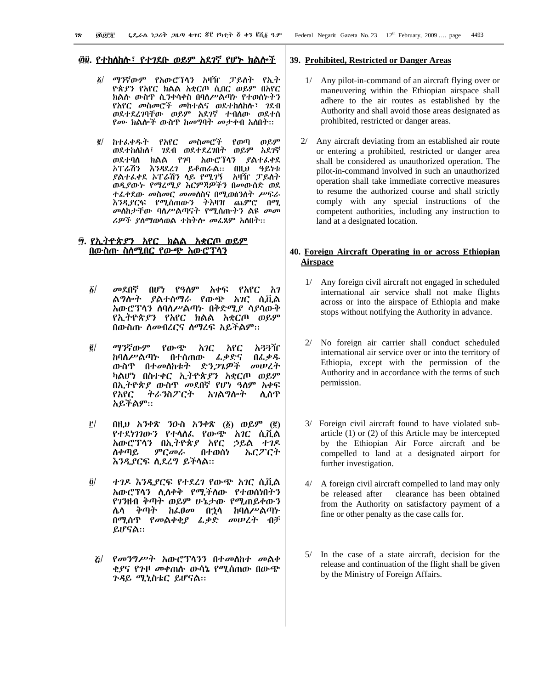Ξ

#### <u>፴፱. የተከለከሉ፣ የተገደቡ ወይም አደገኛ የሆኑ ክልሎች</u>

- ፩/ ማንኛውም የአውሮፕላን አዛዥ ፓይለት የኢት ዮጵያን የአየር ክልል አቋርጦ ሲበር ወይም በአየር ክልሱ ውስዋ ሲ*ን*ቀሳቀስ በባለሥልጣኑ የተወሰኑትን የአየር መስመሮች መከተልና ወደተከለከሉ፣ *ገ*ደብ ወደተደረገባቸው ወይም አደገኛ ተብለው ወደተሰ የሙ ክልሎች ውስዋ ከመግባት መታቀብ አለበት።
- g/ ከተራቀዱት የአየር መስመሮች የወጣ ወይም ወደተከለከለ፣ ገደብ ወደተደረገበት ወይም አደገኛ ወደተባሰ ክልል የ7ባ አውሮፕላን ያልተፈቀደ \*ፖሬሽን እንዳደረገ ይቆጠራል። በዚህ ዓይነቱ ይልተፌቀደ ኦፐሬሽን ሳይ የሚገኝ *አ*ዛዥ ፓይስት ወዲያው*ኑ የማረሚያ እርምጃዎችን በመ*ውሰድ ወደ ተፌቀደው *መ*ስመር *መመ*ስስና በሚወሰንስት *ሥ*ፍራ እንዲያርፍ የሚሰጠውን ትእዛዝ ጨምሮ በሚ መስስታቸው ባስሥልጣናት የሚሰጡትን ልዩ *መመ ሪዎች ያስማ*ወሳወል ተከትሎ መፌጸም አስበት፡፡

#### <u>፵. የኢትዮጵያን አየር ክልል አቋርጦ ወይም</u> <u>በውስጡ ስስሚበር የውጭ አውሮፕሳን</u> Ξ

- $\delta$ / መደበኛ በሆነ የዓለም አቀፍ የአየር አገ ል*ግ*ሎት *ያ*ልተሰማራ የውጭ አገር ሲቪል *እ*ውሮፕላን ለባለሥልጣኑ በቅድሚ*ያ* ሳያሳውቅ የኢትዮጵያን የአየር ክልል አቋርጦ ወይም በውስጡ ስመብረርና ስማረፍ አይችልም።
- ፪/ ማንኛውም የውጭ አገር አየር አ<del>ን</del>3ዥ ከባስሥልጣኑ በተሰጠው *ፌቃ*ድና በፌ*ቃዱ* ውስዋ በተመለከቱት ድ*ንጋጌዎች መሠረ*ት ካልሆነ በስተቀር ኢትዮጵያን አቋርጦ ወይም በኢትዮጵያ ውስጥ መደበኛ የሆነ ዓለም አቀፍ የአየር ትራንስፖርት አገልግሎት ሲሰጥ አይችልም።
- 3/ u²=I ›"kê "®<e ›"kê (1) ¨ÃU (2) የተደነገገውን የተሳሰፌ የውጭ *አገ*ር ሲቪል አውሮፕላን በኢትዮጵያ አየር ኃይል ተገዶ ለቀጣይ ምር*መ*ራ በተወሰነ ኤርፖርተ <u>እንዲያርፍ ሲደረግ ይችላል::</u>
- $\ddot{\theta}$  ) ተገዶ እንዲያርፍ የተደረገ የውጭ አገር ሲቪል አውሮፕላን ሊለቀቅ የሚችለው የተወሰነበትን የገንዘብ ቅጣት ወይም ሁኔታው የሚጠይቀውን ሌሳ ቅጣት ከፌፀ*መ* በ<u>ኃ</u>ሳ ከባለሥልጣኑ በሚሰዋ የመልቀቂያ ፌቃድ መሠረት ብቻ ይሆናል።
- $E$  የመንግሥት አውሮፕላንን በተመሰከተ መልቀ ቂያና የንዞ መቀጠሱ ውሳኔ የሚሰጠው በውጭ ንዳይ ሚኒስቴር ይሆናል።

#### **39. Prohibited, Restricted or Danger Areas**

- 1/ Any pilot-in-command of an aircraft flying over or maneuvering within the Ethiopian airspace shall adhere to the air routes as established by the Authority and shall avoid those areas designated as prohibited, restricted or danger areas.
- Any aircraft deviating from an established air route or entering a prohibited, restricted or danger area shall be considered as unauthorized operation. The pilot-in-command involved in such an unauthorized operation shall take immediate corrective measures to resume the authorized course and shall strictly comply with any special instructions of the competent authorities, including any instruction to land at a designated location.

# **40. Foreign Aircraft Operating in or across Ethiopian Airspace**

- Any foreign civil aircraft not engaged in scheduled international air service shall not make flights across or into the airspace of Ethiopia and make stops without notifying the Authority in advance.
- 2/ No foreign air carrier shall conduct scheduled international air service over or into the territory of Ethiopia, except with the permission of the Authority and in accordance with the terms of such permission.
- 3/ Foreign civil aircraft found to have violated subarticle (1) or (2) of this Article may be intercepted by the Ethiopian Air Force aircraft and be compelled to land at a designated airport for further investigation.
- 4/ A foreign civil aircraft compelled to land may only be released after clearance has been obtained from the Authority on satisfactory payment of a fine or other penalty as the case calls for.
- 5/ In the case of a state aircraft, decision for the release and continuation of the flight shall be given by the Ministry of Foreign Affairs.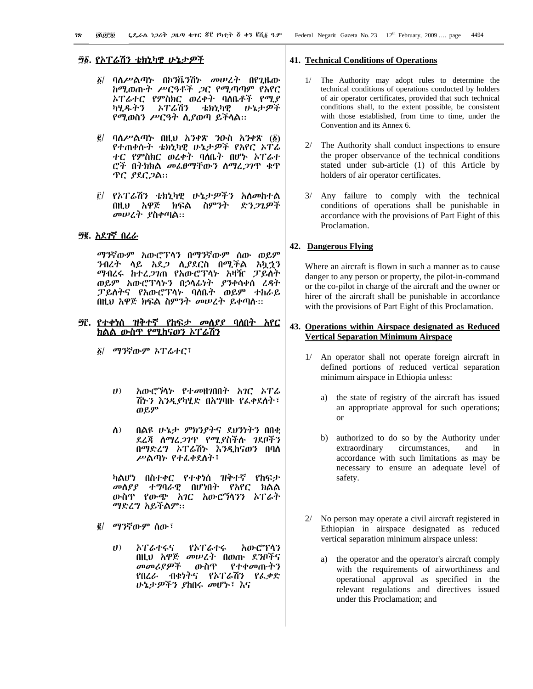- $\delta$ / ባለሥልጣኑ በኮንቬንሽኑ መሠረት በየጊዜው ከሚወጡት ሥርዓቶች *ጋ*ር የሚጣጣም የአየር *ኑፐሬተር የምስክር ወረቀት ባ*ለቤቶች *የሚያ* ኦፐሬሽን ካሂዱትን ቴክኒካዊ いょナዎች የሚወስን ሥርዓት ሲያወጣ ይችላል።
- $\vec{g}$ / ባለሥልጣኑ በዚህ አንቀጽ ንዑስ አንቀጽ  $(\vec{\delta})$ የተጠቀሱት ቴክኒካዊ ሁኔታዎች የአየር ኦፐሬ ተር የምስክር ወረቀት ባለቤት በሆኑ ኦፐራተ ሮች በትክክል መፌፀማቸውን ስማረ*ጋገ*ጥ ቁጥ ዋር ያደርጋል።
- ፫/ የኦፐሬሽን ቴክኒካዊ ሁኔታ*ዎችን* አለመከተል በዚህ አዋጅ ክፍል ስምንት ድንጋጌዎች መሠረት ያስቀጣል።

# ፵፪. <u>አደገኛ በረራ</u>

ማንኛውም አውሮፕላን በማንኛውም ሰው ወይም ንብረት ሳይ አደ*ጋ* ሲያደርስ በሚችል አኳኃን ማብረሩ ከተረ*ጋገ*ጠ የአውሮፕሳኑ አዛዥ ፓይለት ወይም አውሮፕላኑን በኃላፊነት *ያን*ቀሳቀሰ ረዳት ፓይስትና የአውሮፕሳኑ ባለቤት ወይም ተከራይ በዚህ አዋጅ ክፍል ስምንት መሠረት ይቀጣሱ፡፡

#### <u>፵፫. የተቀነሰ ዝቅተኛ የከፍታ መለያያ ባለበት አየር</u> ክልል ውስጥ የሚከናወን ኦፐሬሽን

- *δ| ማን*ኛውም ኦፐራተር፣
	- $U$ *አ*ውሮ*ኘ*ላኑ የተመዘንበበት *አገ*ር *ኦፐ*ራ ሽ৮ን እንዲያካሂድ በአግባቡ የፌቀደስት፣ ወይም
	- በልዩ ሁኔታ ምክንያትና ደህንነትን በበቂ  $\Lambda$ ) ደረጃ ስማፈ*ጋገ*ጥ የሚያስችሉ ገደቦችን በማድረግ ኦፐሬሽኑ እንዲከናወን በባስ ሥልጣኑ የተፈቀደስት፣

ካልሆነ በስተቀር የተቀነሰ ዝቅተኛ የከፍታ መሰያያ ተግባራዊ በሆነበት የአየር ክልል ውስዋ የውጭ አገር አውሮኻንን ኦፐራት ማድረግ አይችልም።

- $g/$  ማንኛውም ሰው ፣
	- አውሮፕሳን  $(1)$ አፐሬተሩና የአፐሬተሩ በዚህ አዋጅ መሠረት በወጡ ደንቦችና መመሪያዎች ውስጥ <u>የተቀመጡትን</u> የበረራ ብቁነትና የኦፐሬሽን የፌቃድ ሁኔታዎችን ያከበሩ መሆኑ፣ እና

#### **41. Technical Conditions of Operations**

- The Authority may adopt rules to determine the technical conditions of operations conducted by holders of air operator certificates, provided that such technical conditions shall, to the extent possible, be consistent with those established, from time to time, under the Convention and its Annex 6.
- The Authority shall conduct inspections to ensure  $2/$ the proper observance of the technical conditions stated under sub-article (1) of this Article by holders of air operator certificates.
- 3/ Any failure to comply with the technical conditions of operations shall be punishable in accordance with the provisions of Part Eight of this Proclamation.

#### 42. Dangerous Flying

Where an aircraft is flown in such a manner as to cause danger to any person or property, the pilot-in-command or the co-pilot in charge of the aircraft and the owner or hirer of the aircraft shall be punishable in accordance with the provisions of Part Eight of this Proclamation.

### 43. Operations within Airspace designated as Reduced **Vertical Separation Minimum Airspace**

- 1/ An operator shall not operate foreign aircraft in defined portions of reduced vertical separation minimum airspace in Ethiopia unless:
	- a) the state of registry of the aircraft has issued an appropriate approval for such operations; **or**
	- b) authorized to do so by the Authority under extraordinary circumstances, and in accordance with such limitations as may be necessary to ensure an adequate level of safety.
- No person may operate a civil aircraft registered in  $2/$ Ethiopian in airspace designated as reduced vertical separation minimum airspace unless:
	- the operator and the operator's aircraft comply a) with the requirements of airworthiness and operational approval as specified in the relevant regulations and directives issued under this Proclamation; and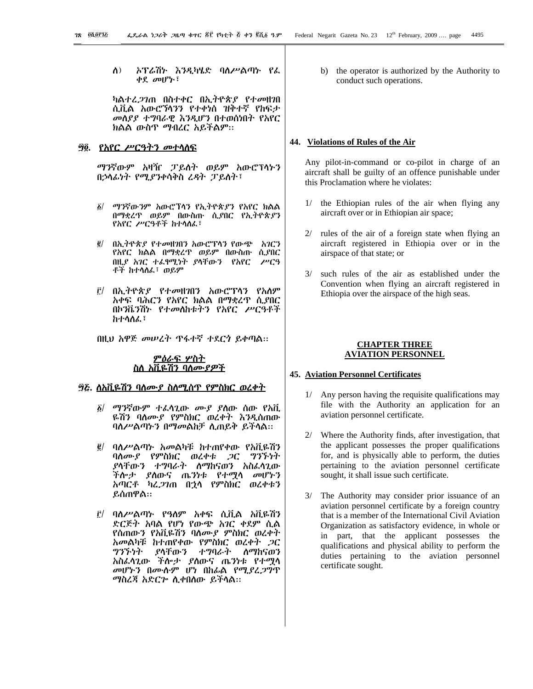$\Lambda$ ) ኦፕሬሽኑ እንዲካሄድ ባለሥልጣኑ የፌ ቀደ መሆኑ፣

ካልተፈ*ጋገ*ጠ በስተቀር በኢትዮጵ*ያ* የተመዘገበ ሲቪል አውሮኻንን የተቀነሰ ዝቅተኛ የከፍታ መስያያ ተግባራዊ እንዲሆን በተወሰነበት የአየር ክልል ውስጥ ማብረር አይችልም፡፡

#### *፵*፬. *የአየር ሥርዓትን መተ*ሳሰፍ

ማንኛውም አዛዥ ፓይለት ወይም አውሮፕላኑን በኃላፊነት የሚያንቀሳቅስ ሬዳት ፓይስት፣

- ፩/ ማንኛውንም አውሮፕላን የኢትዮጵ*ያን* የአየር ክልል በማቋረዋ ወይም በውስጡ ሲያበር የኢትዮጵያን የአየር ሥርዓቶች ከተሳሰፌ፣
- በኢትዮጵያ የተመዘገበን አውሮፕላን የውጭ አገርን  $\vec{e}$ የአየር ክልል በማቋረዋ ወይም በውስጡ ሲያበር በዚያ አገር ተራየሚነት ያላቸውን የአየር ሥርዓ ቶች ከተሳሰፌ፣ ወይም
- በኢትዮጵያ የተመዘገበን አውሮፕሳን የአሰም <u>r/</u> አቀፍ ባሕርን የአየር ክልል በማቋረዋ ሲያበር በኮንቬንሽኑ የተመለከቱትን የአየር ሥርዓቶች ከተሳስፌ፣
- በዚህ አዋጅ መሠረት ጥፋተኛ ተደርጎ ይቀጣል።

### <u>ምዕራፍ ሦስት</u> <u>ስለ አቪዬሽን ባለሙያዎች</u>

### 

- ፩/ *ማን*ኛውም ተፈሳጊው *ሙያ ያ*ስው ሰው የአቪ ዬሽን ባለሙያ የምስክር ወረቀት እንዲሰጠው ባለሥልጣኑን በማመልከቻ ሲጠይቅ ይችላል።
- ባለሥልጣኑ አመልካቹ ከተጠየቀው የአቪዬሽን  $\vec{e}$ ባለሙያ የምስክር ወረቀቱ *ጋ*ር ግንኙነተ *ያ*ላቸው*ን ተግባራት ስማከናወን አስ*ፈላጊው ችሎ*ታ ያ*ለውና ጤንነቱ የተሟላ *መ*ሆኑን አጣርቶ ካረ*ጋገ*ጠ በኃሳ የምስክር ወረቀቱን ይሰጠዋል።
- $\tilde{r}$ / ባለሥልጣኑ የዓለም አቀፍ ሲቪል አቪዬሽን ድርጅት አባል የሆነ የውጭ አገር ቀደም ሲል የሰጠውን የአቪዬሽን ባለሙያ ምስክር ወረቀተ አመልካቹ ከተጠየቀው የምስክር ወረቀት ጋር ተማባራት ツジブッケ ያላቸውን ለማከናወን አስፌሳጊው ችሎታ ያለውና ጤንነቱ የተሟሳ መሆኑን በሙሱም ሆነ በከፊል የሚያረ*ጋ*ግጥ ማስረጃ አድርም ሲቀበሰው ይችላል።

b) the operator is authorized by the Authority to conduct such operations.

#### 44. Violations of Rules of the Air

Any pilot-in-command or co-pilot in charge of an aircraft shall be guilty of an offence punishable under this Proclamation where he violates:

- the Ethiopian rules of the air when flying any  $1/$ aircraft over or in Ethiopian air space;
- 2/ rules of the air of a foreign state when flying an aircraft registered in Ethiopia over or in the airspace of that state; or
- such rules of the air as established under the  $3/$ Convention when flying an aircraft registered in Ethiopia over the airspace of the high seas.

# **CHAPTER THREE AVIATION PERSONNEL**

#### **45. Aviation Personnel Certificates**

- 1/ Any person having the requisite qualifications may file with the Authority an application for an aviation personnel certificate.
- 2/ Where the Authority finds, after investigation, that the applicant possesses the proper qualifications for, and is physically able to perform, the duties pertaining to the aviation personnel certificate sought, it shall issue such certificate.
- $3/$ The Authority may consider prior issuance of an aviation personnel certificate by a foreign country that is a member of the International Civil Aviation Organization as satisfactory evidence, in whole or in part, that the applicant possesses the qualifications and physical ability to perform the duties pertaining to the aviation personnel certificate sought.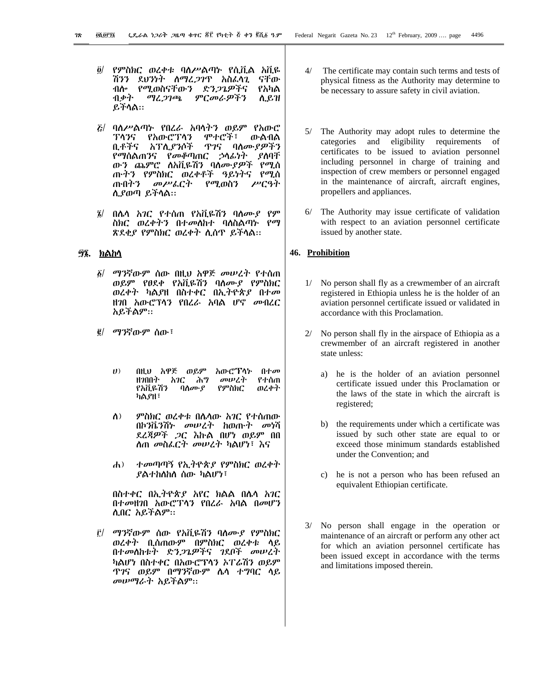- የምስክር ወረቀቱ ባለሥልጣኑ የሲቪል አቪዬ  $\partial$ / ሽንን ደህንነት ስማፈ*ጋገ*ጥ አስፈላጊ ናቸው የሚወስናቸውን ድንጋጌዎችና ብሎ የአካል ብቃት ጣረጋገጫ ምርመራዎችን ሲይዝ ይችሳል።
- *ξ*/ ባለሥልጣኑ የበረራ አባላትን ወይም የአውሮ ፐሳንና የአውሮፕሳን ሞተሮች፣ ውልብል ቢቶችና አፕሊያንሶች ዋንና ባለሙያዎችን የማስልጠንና የመቆጣጠር ኃሳፊነት ያስባቸ ጡትን የምስክር ወረቀቶች ዓይነትና የሚሰ መሥልርት ጡበትን የሚወስን ሥርዓት ሲያወጣ ይችላል።
- በሴሳ *አገ*ር የተሰጠ የአቪዬሽን ባሰሙ*ያ* የም  $\tilde{z}$ <u>ስክር ወረቀትን በተመለከተ ባለስልጣኑ የማ</u> ጽደቂያ የምስክር ወረቀተ ሲሰጥ ይችላል።

# ፵፮. ክልከሳ

- $\delta/$ ማንኛውም ሰው በዚህ አዋጅ መሠረት የተሰጠ ወይም የፀደቀ የአቪዬሽን ባሰሙያ የምስክር ወረቀት ካልያዘ በስተቀር በኢትዮጵያ በተመ ዘንበ አውሮፕሳን የበረራ አባል ሆኖ መብረር አይችልም።
- *፪/ ማን*ኛውም ሰው፣
	- $\boldsymbol{U}$ በዚህ አዋጅ ወይም አውሮፕላኑ በተመ ዘንበበት አንር ሕግ መሠረተ የተሰጠ የአቪዬሽን የምስክር ወረቀት ባለሙያ ካልያዘ፣
	- $\Lambda$ ) ምስክር ወረቀቱ በሴሳው አገር የተሰጠው በኮንቬንሽኑ መሠረት ከወጡት መነሻ ደረጃዎች ጋር እኩል በሆነ ወይም በበ ስጠ መስፌርት መሠረት ካልሆነ፣ እና
	- ተመጣጣኝ የኢትዮጵያ የምስክር ወረቀት  $\mathbf{A}$ ) *ያ*ልተከለከለ ሰው ካልሆነ፣

በስተቀር በኢትዮጵያ አየር ክልል በሌላ አገር በተመዘገበ አውሮፕሳን የበረራ አባል በመሆን ሊበር አይችልም።

ማንኛውም ሰው የአቪዬሽን ባሰሙያ የምስክር  $\mathbf{r}$ ወረቀት ቢሰጠውም በምስክር ወረቀቱ ሳይ በተመሰከቱት ድን*ጋጌዎች*ና *ገ*ደቦች መሠረት ካልሆነ በስተቀር በአውሮፕላን ኦፐሬሽን ወይም <u>ዋገና ወይም በማንኛውም ሴሳ ተግባር ሳይ</u> *መሠማራት አ*ይችልም።

- $4/$ The certificate may contain such terms and tests of physical fitness as the Authority may determine to be necessary to assure safety in civil aviation.
- 5/ The Authority may adopt rules to determine the categories and eligibility requirements  $\alpha$ f certificates to be issued to aviation personnel including personnel in charge of training and inspection of crew members or personnel engaged in the maintenance of aircraft, aircraft engines, propellers and appliances.
- 6/ The Authority may issue certificate of validation with respect to an aviation personnel certificate issued by another state.

# 46. Prohibition

- $1/$ No person shall fly as a crewmember of an aircraft registered in Ethiopia unless he is the holder of an aviation personnel certificate issued or validated in accordance with this Proclamation.
- 2/ No person shall fly in the airspace of Ethiopia as a crewmember of an aircraft registered in another state unless:
	- a) he is the holder of an aviation personnel certificate issued under this Proclamation or the laws of the state in which the aircraft is registered;
	- b) the requirements under which a certificate was issued by such other state are equal to or exceed those minimum standards established under the Convention; and
	- c) he is not a person who has been refused an equivalent Ethiopian certificate.
- No person shall engage in the operation or maintenance of an aircraft or perform any other act for which an aviation personnel certificate has been issued except in accordance with the terms and limitations imposed therein.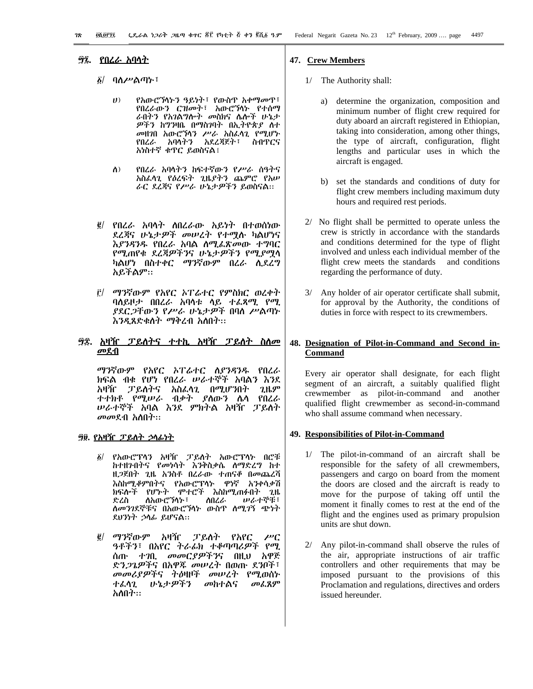#### *፵፯*. <u>የበሪራ አባላት</u>

- <u>δ</u>/ ባለሥልጣኑ፣
	- የአውሮኻነትን ዓይነት፣ የውስዋ አቀማመዋ፣  $(1)$ የበረራውን ርዝመት፣ አውሮኻኑ የተሰማ ራበትን የአገልግሎት መስክና ሌሎች ሁኔታ *ዎችን ከግን*ዛቤ በማስገባት በኢትዮጵ*ያ* ስተ መዘንበ አውሮኘሳን ሥራ አስፌሳጊ የሚሆኑ የበረራ አባላትን አደረጃጀት፣ ስብጥርና አካስተኛ ቁጥር ይወስናል፤
	- የበረራ አባላትን ከፍተኛውን የሥራ ሰዓትና  $\Lambda$ ) አስፈላጊ የዕረፍት ጊዜያትን ጨምሮ የአሥ ራር ደረጃና የሥራ ሁኔታዎችን ይወስናል።
- *፪/ የበረራ አ*ባሳት ለበረራው አይነት በተወሰነው ደረጃና ሁኔታዎች መሠረት የተሟሉ ካልሆነና እያንዳንዱ የበረራ አባል ስሚፌጽመው ተግባር የሚጠየቁ ደረጃዎችንና ሁኔታዎችን የሚያሟሳ ካልሆነ በስተቀር ማንኛውም በረራ ሲደረግ አይችልም።
- ማንኛውም የአየር ኦፐሬተር የምስክር ወረቀት  $\mathbf{r}$ ባለይዞታ በበረራ አባሳቱ ሳይ ተፈጻሚ የሚ ያደር*ጋ*ቸውን የ*ሥራ ሁኔታዎች* በባለ ሥልጣኑ እንዲጸድቁስት ማቅረብ አስበት።

### መደብ

ማንኛውም የአየር ኦፐሬተር ስያንዳንዱ የበረራ ክፍል ብቁ የሆነ የበረራ ሠራተኞች አባልን እንደ ፓይስትና አስፌሳጊ በሚሆንበት ጊዜም አዛዥ ተተክቶ የሚሠራ ብቃት ያስውን ሴሳ የበረራ **ሠራተኞች አባል እንደ ምክትል አዛዥ ፓይለት** *መመ*ደብ አስበት።

### <u> 90. የአዛዥ ፓይለት ኃላፊነት</u>

- የአውሮፕሳን አዛዥ ፓይስት አውሮፕሳኑ በሮቹ  $\delta/$ ከተዘንበትና የመነሳት እንቅስቃሴ ስማድረግ ከተ ዘ*ጋ*ጀበት ጊዜ አንስቶ በረራው ተጠናቆ በመጨረሻ እስከሚቆምበትና የአውሮፕላኑ ዋነኛ አንቀሳቃሽ ክፍሎች የሆኑት ሞተሮች እስከሚጠፉበት **7H.** ድረስ ስአውሮኘሳኍ፣ ስበረራ ルム小で毛… ለመንገደኞቹና በአውሮኻነኑ ውስጥ ለሚገኝ ጭነት ደሀንነት ኃሳፊ ይሆናል።
- *@| ማን*ኛውም አዛዥ ፓይለት የአየር  $\mu$ <sup>c</sup> ዓቶችን፣ በአየር ትራፊክ ተቆጣጣሪዎች የሚ ሰጡ ተገቢ መመርያዎችንና በዚህ አዋጅ ድን*ጋጌዎች*ና በአዋጁ *መሠረት* በወጡ ደንቦች፣ መመሪያዎችና ትዕዛዞች መሠረት የሚወሰኑ ተፈሳጊ ひょナダችን መከተልና መፌጸም አለበት።

#### 47. Crew Members

- 1/ The Authority shall:
	- determine the organization, composition and  $a)$ minimum number of flight crew required for duty aboard an aircraft registered in Ethiopian, taking into consideration, among other things, the type of aircraft, configuration, flight lengths and particular uses in which the aircraft is engaged.
	- b) set the standards and conditions of duty for flight crew members including maximum duty hours and required rest periods.
- 2/ No flight shall be permitted to operate unless the crew is strictly in accordance with the standards and conditions determined for the type of flight involved and unless each individual member of the flight crew meets the standards and conditions regarding the performance of duty.
- $3/$ Any holder of air operator certificate shall submit, for approval by the Authority, the conditions of duties in force with respect to its crewmembers.

## 48. Designation of Pilot-in-Command and Second in-Command

Every air operator shall designate, for each flight segment of an aircraft, a suitably qualified flight crewmember as pilot-in-command and another qualified flight crewmember as second-in-command who shall assume command when necessary.

#### 49. Responsibilities of Pilot-in-Command

- 1/ The pilot-in-command of an aircraft shall be responsible for the safety of all crewmembers, passengers and cargo on board from the moment the doors are closed and the aircraft is ready to move for the purpose of taking off until the moment it finally comes to rest at the end of the flight and the engines used as primary propulsion units are shut down.
- 2/ Any pilot-in-command shall observe the rules of the air, appropriate instructions of air traffic controllers and other requirements that may be imposed pursuant to the provisions of this Proclamation and regulations, directives and orders issued hereunder.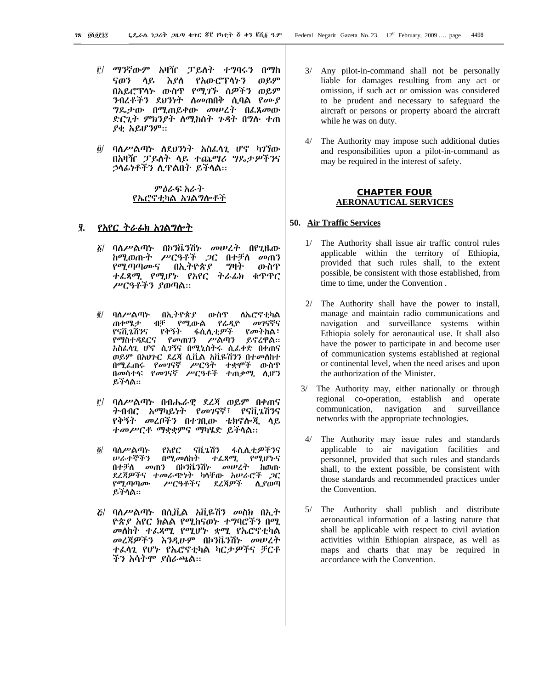- ፫/ *ማን*ኛውም አዛዥ ፓይለት ተግባሩን በማከ ሳይ እያስ የአውሮፕሳኑን  $\theta$ .9 ናወን በአይሮፕላኑ ውስዋ የሚገኙ ሰዎችን ወይም ንብረቶችን ደህንነት ስመጠበቅ ሲባል የሙያ *ግ*ዶ ታው በሚጠይቀው መሠረት በፌጸመው ድርጊት ምክንያት ስሚከሰት ጉዳት በግሉ ተጠ ያቂ አይሆንም።
- $\ddot{\mathbf{Q}}$ ባለሥልጣኑ ለደሀንነት አስፈላጊ ሆኖ ካገኘው በአዛዥ ፓይስት ላይ ተጨማሪ ግዴታዎችንና ኃላፊነቶችን ሲዋልበት ይችላል።

ምሰራፍ አራት የኤሮኖቲካል አገልግሎቶች

# <u>ያ. የአየር ተራፊክ አገልግሎት</u>

- $\delta$ / ባለሥልጣኑ በኮንቬንሽኑ መሠረት በየጊዜው ከሚወጡት ሥርዓቶች *ጋ*ር በተቻለ መጠን *የሚ*ጣጣሙና በኢትዮጵ*ያ* <u> ማዛት</u> ውስጥ ተፌጻሚ የሚሆኑ የአየር ትራፊክ ቁጥጥር ሥርዓቶችን ያወጣል።
- ባስሥልጣኍ በኢትዮጵያ  $\vec{e}$ ውስዋ ስኤሮኖቲካል ጠቀሜታ ብቻ የሚውል የራዲዮ መገናኛና የቅኝት ፋሲሊቲ*ዎች* የናቪጌሽንና የመትከል፣ የማስተዳደርና የመጠገን ሥልጣን ይኖረዋል። አስፌሳጊ ሆኖ ሲገኝና በሚኒስትሩ ሲፌቀድ በቀጠና ወይም በአህጉር ደረጃ ሲቪል አቪዬሽንን በተመለከተ በሚፌጠሩ የመገናኛ ሥርዓት ተቋሞች ውስዋ በመሳተፍ የመገናኛ ሥርዓቶች ተጠቃሚ ሲሆን ይችሳል።
- r/ ባለሥልጣኑ በብሔራዊ ደረጃ ወይም በቀጠና ትብብር አማካይነት የመገናኛ፣ የናቪጌሽንና የቅኝት መረቦችን በተገቢው ቴክኖሎጂ ሳይ ተመሥርቶ ማቋቋምና ማካሄድ ይችሳል።
- $\partial$ / ባለሥልጣኍ የአየር ናቪኔሽን ፋሲሊቲዎችንና **ሠራተኞችን በሚመለከት ተፈጻሚ የሚሆኑና** በተቻለ መጠን በኮንቬንሽኑ መሠረት ስወጡ ደረጃዎችና ተመራጭነት ካሳቸው አሠራሮች *ጋ*ር ሥርዓቶችና የሚጣጣሙ ደረጃዎች ሲያወጣ ይችሳል።
- $E/$  ባለሥልጣኑ በሲቪል አቪዬሽን መስክ በኢት ዮጵያ አየር ክልል የሚከናወኑ ተግባሮችን በሚ መስከት ተፈጻሚ የሚሆኑ ቋሚ የኤሮኖቲካል መረጃዎችን እንዲሁም በኮንቬንሽኑ መሠረት ተፊሳጊ የሆኑ የኤሮኖቲካል ካርታዎችና ቻርቶ ችን አሳትሞ ያሰራጫል።
- 3/ Any pilot-in-command shall not be personally liable for damages resulting from any act or omission, if such act or omission was considered to be prudent and necessary to safeguard the aircraft or persons or property aboard the aircraft while he was on duty.
- 4/ The Authority may impose such additional duties and responsibilities upon a pilot-in-command as may be required in the interest of safety.

#### **CHAPTER FOUR AERONAUTICAL SERVICES**

#### 50. Air Traffic Services

- 1/ The Authority shall issue air traffic control rules applicable within the territory of Ethiopia, provided that such rules shall, to the extent possible, be consistent with those established, from time to time, under the Convention.
- 2/ The Authority shall have the power to install, manage and maintain radio communications and navigation and surveillance systems within Ethiopia solely for aeronautical use. It shall also have the power to participate in and become user of communication systems established at regional or continental level, when the need arises and upon the authorization of the Minister.
- The Authority may, either nationally or through  $3/$ regional co-operation, establish and operate communication, navigation and surveillance networks with the appropriate technologies.
- The Authority may issue rules and standards  $4/$ applicable to air navigation facilities and personnel, provided that such rules and standards shall, to the extent possible, be consistent with those standards and recommended practices under the Convention.
- 5/ The Authority shall publish and distribute aeronautical information of a lasting nature that shall be applicable with respect to civil aviation activities within Ethiopian airspace, as well as maps and charts that may be required in accordance with the Convention.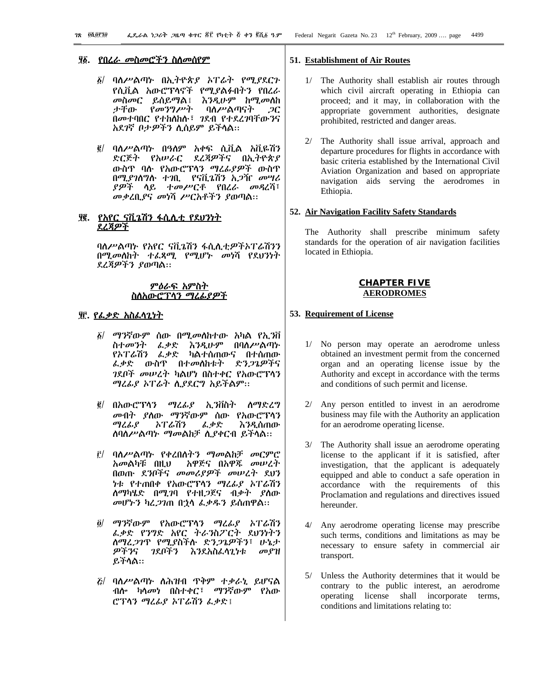#### <u>፶፩. የበሬራ መስመሮችን ስስመሰየም</u>

- ፩/ ባለሥልጣኑ በኢትዮጵያ አፐሬት የሚያደርጉ የሲቪል አውሮፕላኖች የሚያልፉበትን የበረራ መስመር ይሰይማል፤ እንዲሁም ከሚመለከ ታቸው የመንግሥት ባስሥልጣናት  $\mathcal{C}$ በመተባበር የተከስከሉ፣ *ገ*ደብ የተደረ*ገ*ባቸው*ገ*ና አደገኛ ቦታዎችን ሲሰይም ይችላል።
- *፪/ ባለሥልጣኑ* በዓለም አቀፍ ሲቪል አቪዬሽን ድርጅት የአሠራር ደረጃዎችና በኢትዮጵያ ውስዋ ባሉ የአውሮፕላን ማረፊያዎች ውስዋ በሚያገለግሉ ተገቢ የናቪጌሽን አ*ጋ*ዥ መሣሪ *ያዎች* ሳይ ተመሥርቶ የበረራ መዳረሻ፣ መቃረቢያና መነሻ ሥርአቶችን ያወጣል።

### ያ፪. የአየር ናቪጌሽን ፋሲሲቲ የደህንነት <u>ደረጃዎች</u>

ባለሥልጣኑ የአየር ናቪጌሽን ፋሲሊቲዎችኦፐሬሽንን በሚመለከት ተፈጻሚ የሚሆኑ መነሻ የደህንነት ደረጃዎችን ያወጣል።

### ምዕራፍ አምስት <u>ስስአውሮፕሳን ማሪፊያዎች</u>

# <u> π. የፌቃድ አስፈላጊነት</u>

- $\tilde{g}/\phi$ ማንኛውም ሰው በሚመሰከተው አካል የኢንቨ ስተመንት ፌቃድ እንዲሁም በባለሥልጣኑ የኦፐሬሽን ፌቃድ ካልተሰጠውና በተሰጠው *ፌቃ*ድ ውስዋ በተ*መ*ስስቱት ድን*ጋጌዎች*ና *ገ*ደቦች *መሠረት ካ*ልሆነ በስተቀር የአውሮፕሳን ማረፊያ ኦፐሬት ሲያደርግ አይችልም፡፡
- በአውሮፕሳን ማረፊያ ኢንቨስት  $\vec{e}$  / ስማድረግ መብት ያስው ማንኛውም ሰው የአውሮፕላን ማረፊያ ኦፐሬሽን ፌቃድ እንዲሰጠው ስባስሥልጣኑ ማመልከቻ ሲያቀርብ ይችላል።
- ፫/ ባለሥልጣኑ የቀረበሰትን ማመልከቻ መርምሮ አዋጅና በአዋጁ መሠረት አመልካቹ በዚህ በወጡ ደንቦችና መመሪያዎች መሠረት ደህን *ነ*ቱ የተጠበቀ የአውሮፕሳን *ግሬሌያ አ*ፐራሽን ስማካሄድ በሚ*ገ*ባ የተዘ*ጋ*ጀና ብ*ቃት ያ*ስው *መሆኑን ካሬጋገ*ጠ በኃሳ *ፌቃዱን ይ*ሰጠዋል።
- ማንኛውም የአውሮፕሳን ማረፊያ አፐሬሽን  $\partial$ / ፌቃድ የንግድ አየር ትራንስፖርት ደህንነትን ስማሬ*ጋገ*ጥ የሚያስችሱ ድን*ጋጌዎችን*፣ ሁኔታ ዎችንና ንደቦችን እንደአስፈላጊነቱ  $\omega$   $\mathcal{C}$   $\mathcal{H}$ ይችላል።
- $E$ / ባለሥልጣኑ ስሕዝብ ጥቅም ተቃራኒ ይሆናል ብሎ ካሳመነ በስተቀር፣ ማንኛውም የአው ሮፕላን ማሬፊያ አፐሬሽን ፌቃድ፤

#### 51. Establishment of Air Routes

- 1/ The Authority shall establish air routes through which civil aircraft operating in Ethiopia can proceed; and it may, in collaboration with the appropriate government authorities, designate prohibited, restricted and danger areas.
- 2/ The Authority shall issue arrival, approach and departure procedures for flights in accordance with basic criteria established by the International Civil Aviation Organization and based on appropriate navigation aids serving the aerodromes in Ethiopia.

#### 52. Air Navigation Facility Safety Standards

The Authority shall prescribe minimum safety standards for the operation of air navigation facilities located in Ethiopia.

#### <u>CHAPTER FIVE</u> **AERODROMES**

#### 53. Requirement of License

- 1/ No person may operate an aerodrome unless obtained an investment permit from the concerned organ and an operating license issue by the Authority and except in accordance with the terms and conditions of such permit and license.
- 2/ Any person entitled to invest in an aerodrome business may file with the Authority an application for an aerodrome operating license.
- 3/ The Authority shall issue an aerodrome operating license to the applicant if it is satisfied, after investigation, that the applicant is adequately equipped and able to conduct a safe operation in accordance with the requirements of this Proclamation and regulations and directives issued hereunder.
- 4/ Any aerodrome operating license may prescribe such terms, conditions and limitations as may be necessary to ensure safety in commercial air transport.
- 5/ Unless the Authority determines that it would be contrary to the public interest, an aerodrome operating license shall incorporate terms, conditions and limitations relating to: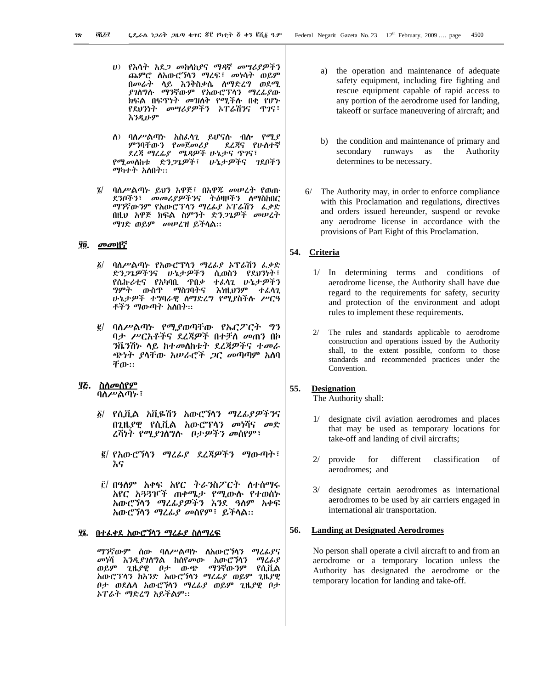- ሀ) የእሳት አደ*ጋ መከ*ሳከ*ያና ማዳ*ኛ መሣሪያዎችን ጨምሮ ስአውሮኻን ማረፍ፣ መነሳት ወይም በመራት ሳይ እንቅስቃሴ ሰማድረግ ወደሚ ያገለግሉ ማንኛውም የአውሮፕላን ማረፊያው ክፍል በፍዋነት መዝለቅ የሚችሉ በቂ የሆኑ የደህንነት መሣሪያዎችን አፐሬሽንና ጥገና፣ እንዲሁም
- ስ) ባለሥልጣኑ አስፌሳጊ ይሆናሉ ብሎ የሚያ ምንባቸውን የመጀመሪያ ደረጃና የሁስተኛ ደረጃ ማረፊያ ሜዳዎች ሁኔታና ዋገና፣ የሚመስከቱ ድንጋጌዎች፣ ሁኔታዎችና ገደቦችን *ማካተት አ*ስበት።
- ፤/ ባለሥልጣኑ ይህን አዋጅ፣ በአዋጁ መሠረት የወጡ ደንቦችን፣ መመሪያዎችንና ትዕዛዞችን ስማስከበር ማንኛውንም የአውሮፕላን ማሪፊያ አፐራሽን *ሌቃ*ድ በዚህ አዋጅ ክፍል ስምንት ድን*ጋጌዎች መሠረ*ት ማገድ ወይም መሥረዝ ይችላል።

#### ያ፬. *መመ*ዘኛ

- ባለሥልጣኑ የአውሮፕላን ማሪፊያ አፕሬሽን ፌቃድ  $\delta/$ ድንጋጌዎችንና ሁኔታዎችን ሲወስን የደህንነት፣ የሴኩሪቲና የአካባቢ ዋበቃ ተፈሳጊ ሁኔታዎችን ውስዋ ማስገባትና እነዚህንም ተፈሳጊ ማምት ሁኔታዎች ተግባራዊ ስማድረግ የሚያስችሱ ሥርዓ ቶችን ማውጣት አስበት።
- ባለሥልጣኑ የሚያወጣቸው የኤርፖርት ግን  $\vec{e}$ ባታ ሥርአቶችና ደረጃዎች በተቻለ መጠን በኮ *ን*ቬንሽኑ ላይ ከተመለከቱት ደረጃዎችና ተመራ ጭነት *ያ*ላቸው *አሡራሮች ጋር መ*ጣጣም አስባ ቸው።

# ፶ሯ. <u>ስለመሰየም</u>

ባለሥልጣኑ፣

- ፩/ የሲቪል አቪዬሽን አውሮኘሳን *ማረፊያዎችን*ና በጊዜያዊ የሲቪል አውሮፕሳን መነሻና መድ *ረ*ሻነት የሚያገለግሉ በታዎችን መሰየም፣
- ፪/ የአውሮኻን ማረፊያ ደረጃዎችን ማውጣት፣ እና
- ፫/ በዓለም አቀፍ አየር ትራንስፖርት ስተሰማሩ አየር አ33ዦች ጠቀሜታ የሚውሱ የተወሰኑ አውሮኘሳን ማረፊያዎችን እንደ ዓስም አቀፍ አውሮኘሳን ማረፊያ መሰየም፣ ይችላል።

### <u>ሃኔ. በተራቀደ አውሮኘሳን ማሪራያ ስስማረፍ</u>

ማንኛውም ሰው ባለሥልጣኑ ለአውሮኻንን ማረፊያና መነሻ *እንዲያገ*ለግል ከሰየመው አውሮኘሳን<br>ወይም ጊዜያዋ ቦታ ጡጭ ማንኛሑንም ማረፊያ ጊዜያዊ ቦታ ውጭ ማንኛውንም የሲቪል አውሮፕላን ከአንድ አውሮኻን ማረፊያ ወይም ጊዜያዊ ቦታ ወደሴሳ አውሮኻኅን ማረፊያ ወይም ጊዜያዊ ቦታ ኦፐሬት ማድረግ አይችልም።

- $a)$ the operation and maintenance of adequate safety equipment, including fire fighting and rescue equipment capable of rapid access to any portion of the aerodrome used for landing, takeoff or surface maneuvering of aircraft; and
- b) the condition and maintenance of primary and secondary runways as the Authority determines to be necessary.
- $6/$ The Authority may, in order to enforce compliance with this Proclamation and regulations, directives and orders issued hereunder, suspend or revoke any aerodrome license in accordance with the provisions of Part Eight of this Proclamation.

# 54. Criteria

- 1/ In determining terms and conditions of aerodrome license, the Authority shall have due regard to the requirements for safety, security and protection of the environment and adopt rules to implement these requirements.
- 2/ The rules and standards applicable to aerodrome construction and operations issued by the Authority shall, to the extent possible, conform to those standards and recommended practices under the Convention.

#### 55. **Designation**

The Authority shall:

- 1/ designate civil aviation aerodromes and places that may be used as temporary locations for take-off and landing of civil aircrafts;
- $2/$ provide for different classification  $\alpha$ f aerodromes; and
- designate certain aerodromes as international  $3/$ aerodromes to be used by air carriers engaged in international air transportation.

#### 56. **Landing at Designated Aerodromes**

No person shall operate a civil aircraft to and from an aerodrome or a temporary location unless the Authority has designated the aerodrome or the temporary location for landing and take-off.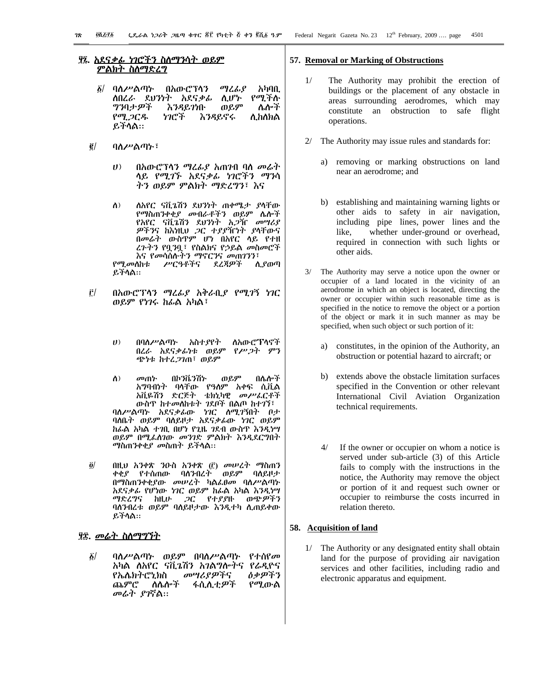# <u>יָם הגרויטו הראש לא אי האט הא</u> <u>ምልክት ስስማድረግ</u>

- በአውሮፕሳን *δ\* ባለሥልጣት ማረፊያ አካባቢ ለበረራ ደህንነት አደናቃፊ የሚችሱ ሲሆኮ ወይም **ግንባታዎች** እንዳይንነቡ ሌሎች የሚጋርዱ ነገሮች እንዳይኖሩ ለ ከለክል ይችላል።
- $\tilde{\mathbf{g}}/$ ባለሥልጣኑ፣
	- $\boldsymbol{U}$ በአውሮፕላን ማረፊያ አጠንብ ባስ መሬተ ሳይ *የሚገኙ አ*ደና*ቃሌ ነገ*ሮችን *ማን*ሳ ትን ወይም ምልክት ማድረግን፣ እና
	- ለአየር ናቪጌሽን ደህንነት ጠቀሜታ ያላቸው  $\Lambda$ ) የማስጠንቀቂ*ያ መ*ብራቶችን ወይም ሌሎች የአየር ናቪጌሽን ደህንነት አ*ጋ*ዥ መሣሪያ *ዎችን*ና ከእነዚህ *ጋ*ር ተ*ያያ*ዥነት ያላቸውና በመሬት ውስዋም ሆነ በአየር ላይ የተዘ *ረጉትን* የቧ*ን*ቧ፣ የስልክና የኃይል *መ*ስመሮች እና የመሳሰሱትን ማኖርንና መጠገንን፣ የሚመሰከቱ ሥርዓቶችና ደረጃዎች ሊያወጣ ይችሳል።
- Ê/ በአውሮፕላን ማሬፊያ አቅራቢያ የሚገኝ ነገር ወይም የነገሩ ከፊል አካል፣
	- በባለሥልጣኑ አስተያየት ስአውሮፕላኖች  $(1)$ በረራ አደናቃፊነቱ ወይም የሥጋት ምን ጭነቱ ከተረ*ጋገ*ጠ፣ ወይም
	- በኮንቬንሽኍ ወይም  $\Lambda$ ) መጠኮ በሌሎች አማባብነት ባሳቸው የዓለም አቀፍ ሲቪል አቪዬሽን ድርጅት ቴክኒካዊ መሥፌርቶች ውስዋ ከተመስከቱት ገደቦች በልጦ ከተገኘ፣ ባለሥልጣኑ አደናቃፊው ካገር ለሚገኝበት ቦታ ባለቤት ወይም ባለይዞታ አደናቃፊው ነገር ወይም ከራል አካል ተገቢ በሆነ የጊዜ ገደብ ውስዋ እንዲነሣ ወይም በሚፌስገው መንገድ ምልክት እንዲደርግበት *ማ*ስጠንቀቂ*ያ መ*ስጠት ይችላል።
- $\ddot{\mathbf{0}}$ በዚህ አንቀጽ ንዑስ አንቀጽ (፫) መሠረተ ማስጠን ቀቂያ የተሰጠው ባሰንብረት ወይም ባስይዞታ በማስጠንቀቂያው መሠረት ካልፌፀመ ባለሥልጣኑ አደናቃፊ የሆነው ነገር ወይም ከፊል አካል እንዲነሣ ማድረግና ከዚሁ *ጋ*ር የተያያዙ ወጭ*ዎችን* ባስንብረቱ ወይም ባስይዞታው እንዲተካ ሲጠይቀው ይችላል።

# <u>ያ፰. መሬት ስለማግኘት</u>

 $\delta/$ ባለሥልጣኑ ወይም በባለሥልጣኑ የተሰየመ አካል ለአየር ናቪኔሽን አገልግሎትና የራዲዮና ዕቃዎችን የኤሌክትሮኒክስ መሣሪያዎችና ጨምሮ ስሴሎች ፋሲሊቲ*ዎች* የሚውል መራት ያገኛል።

#### 57. Removal or Marking of Obstructions

- $1/$ The Authority may prohibit the erection of buildings or the placement of any obstacle in areas surrounding aerodromes, which may constitute an obstruction to safe flight operations.
- 2/ The Authority may issue rules and standards for:
	- removing or marking obstructions on land a) near an aerodrome; and
	- b) establishing and maintaining warning lights or other aids to safety in air navigation, including pipe lines, power lines and the whether under-ground or overhead, like. required in connection with such lights or other aids.
- 3/ The Authority may serve a notice upon the owner or occupier of a land located in the vicinity of an aerodrome in which an object is located, directing the owner or occupier within such reasonable time as is specified in the notice to remove the object or a portion of the object or mark it in such manner as may be specified, when such object or such portion of it:
	- constitutes, in the opinion of the Authority, an a) obstruction or potential hazard to aircraft; or
	- b) extends above the obstacle limitation surfaces specified in the Convention or other relevant International Civil Aviation Organization technical requirements.
	- $4/$ If the owner or occupier on whom a notice is served under sub-article (3) of this Article fails to comply with the instructions in the notice, the Authority may remove the object or portion of it and request such owner or occupier to reimburse the costs incurred in relation thereto.

#### 58. Acquisition of land

1/ The Authority or any designated entity shall obtain land for the purpose of providing air navigation services and other facilities, including radio and electronic apparatus and equipment.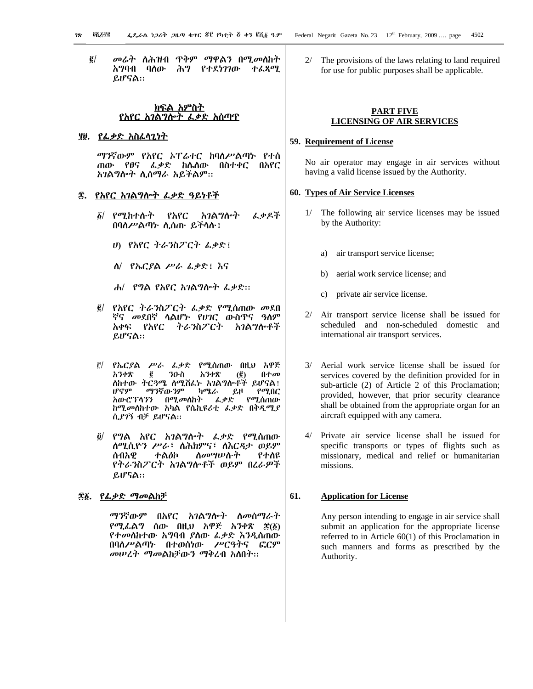መሬት ለሕዝብ ጥቅም ማዋልን በሚመለከት  $\vec{e}$ አግባብ ባለው ሕግ የተደነገገው ተፈጻማ. ይሆናል::

# ያ፱. የፌቃድ አስፌላጊነት

ማንኛውም የአየር አፐሬተር ከባለሥልጣኑ የተሰ ጠው የፀና ፌቃድ ከሌስው በስተቀር በአየር አገልግሎት ሲሰማራ አይችልም፡፡

# <u>፷. የአየር አገልግሎት ፌቃድ ዓይነቶች</u>

- ፩/ የሚከተሱት የአየር አገልግሎት ፌቃዶች በባለሥልጣኑ ሲሰጡ ይችላሉ !
	- ሀ) የአየር ትራንስፖርት ፌቃድ፤
	- *ስ*/ *የኤርያል ሥራ ፌቃ*ድ፤ እና
	- ሐ/ የግል የአየር አገልግሎት ፌቃድ::
- የአየር ትራንስፖርት ፌቃድ የሚሰጠው መደበ  $\vec{e}$  / ኛና *መ*ደበኛ ሳልሆ*ኑ የሀገ*ር ውስጥና ዓለም አቀፍ የአየር ትራንስፖርት አገልግሎቶች ይሆናል።
- የኤርያል ሥራ ፌቃድ የሚሰጠው በዚህ አዋጅ  $\mathbf{r}$ አንቀጽ g ንዑስ አንቀጽ በተመ  $\left(\frac{\overline{e}}{2}\right)$ ስከተው ትርጓሜ ስሚሽፌኑ አገልግሎቶች ይሆናል፤ ሆኖም ማንኛውንም ካሜራ ይዞ  $\rho$   $q$   $q$ አውሮፕላንን በሚመለከት *ፌቃ*ድ የሚሰጠው ከሚመለከተው አካል የሴኪዩሪቲ ፌቃድ በቅዲሚያ ሲያገኝ ብቻ ይሆናል።
- $\partial$ / የግል አየር አገልግሎት ፌቃድ የሚሰጠው ስሚሲዮን ሥራ፣ ስሕክምና፣ ስእርዳታ ወይም *ስመሣሡ*ሱት የተለዩ ሰብአዊ ተልዕኮ የትራንስፖርት አገልግሎቶች ወይም በረራዎች  $LIP5A$

#### <u> ፷፩. የፌቃድ ማመልከቻ</u>

*ማን*ኛውም በአየር አ*ገ*ልግሎት ስመሰማራት የሚፌልግ ሰው በዚህ አዋጅ አንቀጽ ፷(፩) የተመሰከተው አግባብ ያስው ፌቃድ እንዲሰጠው በባለሥልጣኑ በተወሰነው ሥርዓትና ፎርም መሠረት ማመልከቻውን ማቅረብ አስበት፡፡

2/ The provisions of the laws relating to land required for use for public purposes shall be applicable.

### **PART FIVE LICENSING OF AIR SERVICES**

#### 59. Requirement of License

No air operator may engage in air services without having a valid license issued by the Authority.

#### 60. Types of Air Service Licenses

- 1/ The following air service licenses may be issued by the Authority:
	- air transport service license; a)
	- aerial work service license; and  $h)$
	- private air service license.  $\mathbf{c}$ )
- 2/ Air transport service license shall be issued for scheduled and non-scheduled domestic and international air transport services.
- 3/ Aerial work service license shall be issued for services covered by the definition provided for in sub-article (2) of Article 2 of this Proclamation; provided, however, that prior security clearance shall be obtained from the appropriate organ for an aircraft equipped with any camera.
- Private air service license shall be issued for  $4/$ specific transports or types of flights such as missionary, medical and relief or humanitarian missions.

#### 61. **Application for License**

Any person intending to engage in air service shall submit an application for the appropriate license referred to in Article  $60(1)$  of this Proclamation in such manners and forms as prescribed by the Authority.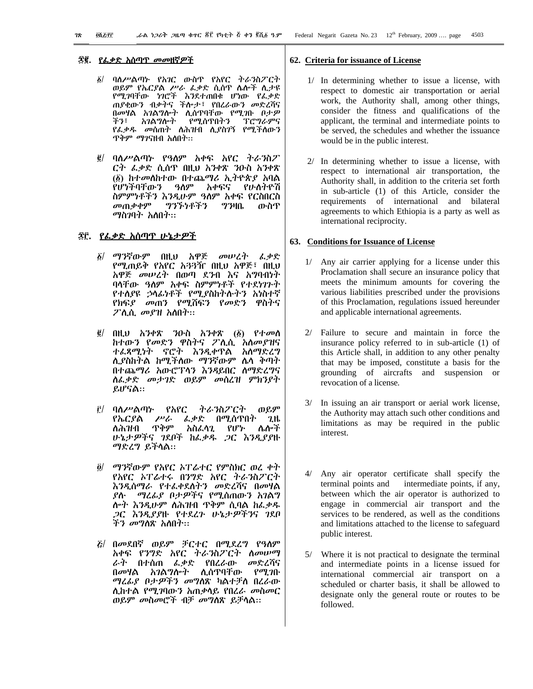# ፳፪. <u>የፌቃድ አሰጣጥ መመዘኛዎች</u>

- ባለሥልጣኑ የአገር ውስዋ የአየር ትራንስፖርት  $\tilde{\mathbf{z}}$ ወይም የኤርያል ሥራ ፌቃድ ሲሰዋ ሌሎች ሲታዩ የሚገባቸው ነገሮች እንደተጠበቁ ሆነው የፌቃድ ጠያቂውን ብቃትና ችሎታ፣ የበረራውን መድረሻና በመሃል አገልግሎት ሊሰዋባቸው የሚገቡ በታ*ዎ* አ*ገ*ልግሎት የሚሰጥበትን *ፕሮግራምና* チツミ የፌቃዱ መስጠት ስሕዝብ ሲያስገኝ የሚችለውን ጥቅም *ማገ*ናዘብ አለበት።
- *፪*/ ባለሥልጣኑ የዓለም አቀፍ አየር ትራ*ን*ስፖ ርት ፌቃድ ሲሰዋ በዚህ አንቀጽ ንዑስ አንቀጽ (፩) ከተመለከተው በተጨማሪ ኢትዮጵያ አባል የሆነችባቸውን ዓለም አቀፍና የሁስትዮሽ ስምምነቶችን እንዲሁም ዓለም አቀፍ የርስበርስ መጠቃቀም ግንኙነቶችን  $7340$ ጡስጥ ማስንባት አለበት።

# *፷*፫. *የሌቃ*ድ አሰጣጥ ሁኔታ*ዎች*

- ፩/ ማንኛውም በዚህ አዋጅ *መ*ሠረት **ፈቃድ** የሚጠይቅ የአየር አ33ዥ በዚህ አዋጅ፣ በዚህ አዋጅ *መሠረት* በወጣ ደንብ እና አግባብነተ ባላቸው ዓለም አቀፍ ስምምነቶች የተደነገጉት የተለያዩ ኃላፊነቶች የሚያስከትሱትን አነስተኛ *የክ*ፍ*ያ መ*ጠን የሚሽፍን የመድን ዋስትና ፖሊሲ መያዝ አለበት።
- $\vec{g}$  በዚህ አንቀጽ ንዑስ አንቀጽ (፩) የተመሰ ከተውን የመድን ዋስትና ፖሊሲ አስመያዝና ተፌጻሚነት ኖሮት እንዲቀዋል አስማድረግ ሊያስከትል ከሚችለው ማንኛውም ሌላ ቅጣት በተጨማሪ አውሮፕላን እንዳይበር ሰማድረግና ስፌቃድ መታገድ ወይም መሰረዝ ምክንያት ይሆናል።
- ወይም ትራንስፖርት  $\hat{f}$ / ባለሥልጣኑ የአየር *ፌቃ*ድ በሚሰጥበት የኤርያል ሥራ 2.H ጥቅም አስፌሳጊ የሆኑ ለሕዝብ ሌሎች ሁኔታዎችና ገደቦች ከፌቃዱ ጋር እንዲያያዙ ማድረግ ይችላል::
- ማንኛውም የአየር ኦፐሬተር የምስክር ወረ ቀት  $\partial/$ የአየር አፐሬተሩ በንግድ አየር ትራንስፖርት እንዲሰማራ የተፊቀደስትን መድረሻና በመሃል ሎተ እንዲሁም ስሕዝብ ጥቅም ሲባል ከፌቃዱ *ጋ*ር *እንዲያያ*ዙ የተደረጉ ሁኔታ*ዎችን*ና *ገ*ደቦ ች*ን መግ*ስጽ አስበት።
- *E*/ በመደበኛ ወይም ቻርተር በሚደረግ የዓስም አቀፍ የንግድ አየር ትራንስፖርት ስመሥማ ራት በተሰጠ ፌቃድ የበረራው መድረሻና በመሃል አገልግሎት ሊሰዋባቸው የ*ሚገ*ቡ *ጣሬሌያ በታዎችን መግ*ስጽ ካልተቻስ በረራው ሊከተል የሚገባውን አጠቃላይ የበረራ መስመር ወይም መስመሮች ብቻ መግስጽ ይቻሳል።

#### 62. Criteria for issuance of License

- 1/ In determining whether to issue a license, with respect to domestic air transportation or aerial work, the Authority shall, among other things, consider the fitness and qualifications of the applicant, the terminal and intermediate points to be served, the schedules and whether the issuance would be in the public interest.
- 2/ In determining whether to issue a license, with respect to international air transportation, the Authority shall, in addition to the criteria set forth in sub-article (1) of this Article, consider the requirements of international and bilateral agreements to which Ethiopia is a party as well as international reciprocity.

### 63. Conditions for Issuance of License

- 1/ Any air carrier applying for a license under this Proclamation shall secure an insurance policy that meets the minimum amounts for covering the various liabilities prescribed under the provisions of this Proclamation, regulations issued hereunder and applicable international agreements.
- 2/ Failure to secure and maintain in force the insurance policy referred to in sub-article (1) of this Article shall, in addition to any other penalty that may be imposed, constitute a basis for the grounding of aircrafts and suspension or revocation of a license.
- In issuing an air transport or aerial work license,  $3/$ the Authority may attach such other conditions and limitations as may be required in the public interest.
- 4/ Any air operator certificate shall specify the terminal points and intermediate points, if any, between which the air operator is authorized to engage in commercial air transport and the services to be rendered, as well as the conditions and limitations attached to the license to safeguard public interest.
- $5/$ Where it is not practical to designate the terminal and intermediate points in a license issued for international commercial air transport on a scheduled or charter basis, it shall be allowed to designate only the general route or routes to be followed.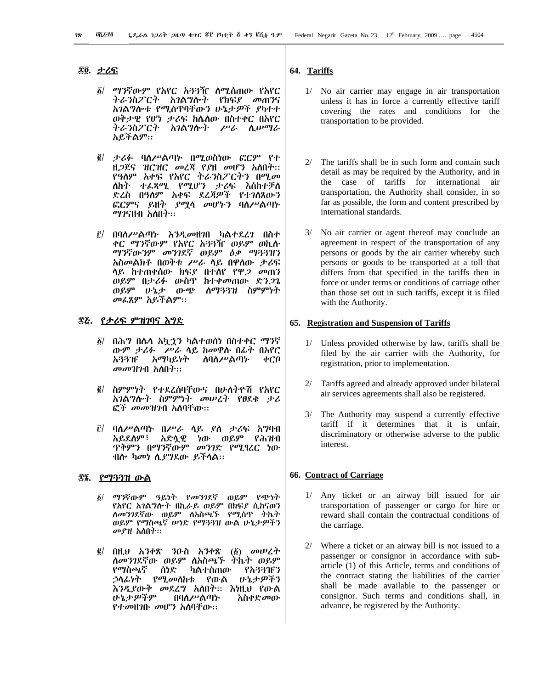### ፰፬. <u>ታሪፍ</u>

- ፩/ ማንኛውም የአየር አጓጓዥ ስሚሰጠው የአየር ትራንስፖርት አገልግሎት የክፍያ መጠንና አገልግሎቱ የሚሰጥባቸውን ሁኔታዎች ያካተተ ወቅታዊ የሆነ ታሪፍ ከሌለው በስተቀር በአየር ትራንስፖርት አገልግሎት ሥራ ሲሠማራ አይችልም።
- ፪/ ታሪፉ ባለሥልጣኑ በሚወስነው ፎርም የተ ዘ*ጋ*ጀና ዝርዝር መረጃ የያዘ መሆን አለበት፡፡ የዓለም አቀፍ የአየር ትራንስፖርትን በሚመ ለከት ተፈጻሚ የሚሆን ታሪፍ እስከተቻለ ድረስ በዓለም አቀፍ ደረጃዎች የተገለጸውን ፎርምና ይዘት *ያሚ*ሳ መሆኑን ባለሥልጣኑ *ማገ*ናዘብ አለበት፡፡
- $\hat{r}$ / በባለሥልጣኑ እንዲመዘንበ ካልተደረን በስተ ቀር ማንኛውም የአየር አጓጓዥ ወይም ወኪሱ ማንኛውንም መንገደኛ ወይም ዕቃ ማጓጓዝን አስመልክቶ በወቅቱ ሥራ ላይ በዋለው ታሪፍ ላይ ከተጠቀሰው ክፍያ በተሰየ የዋ*ጋ መ*ጠን ወይም በታሪፉ ውስዋ ከተቀመጠው ድን*ጋ*ጌ ወይም ሁኔታ ውጭ ስማጓጓዝ ስምምነት መፌጸም አይችልም።

# <u>፷፩. የታሪፍ ምዝገባና እግድ</u>

- ፩/ በሕግ በሌላ አኳኋን ካልተወሰነ በስተቀር *ማን*ኛ ውም ታሪፉ - ሥራ ሳይ ከመዋሱ በፊት በአየር አጓጓዡ አማካይነት **ስባለ**ሥልጣኍ  $\phi$ CO መመዝንብ አለበት።
- ፪/ ስምምነት የተደረሰባቸውና በሁ**ስ**ትዮሽ የአየር አገልግሎት ስምምነት መሠረት የፀደቁ ታሪ ፎች መመዝንብ አስባቸው።
- $\hat{E}$ / ባለሥልጣኑ በሥራ ሳይ ያስ ታሪፍ አግባብ አይደለም፣ አድሏዊ ነው ወይም የሕዝብ ዋቅምን በማንኛውም *መንገ*ድ የሚፃረር ነው ብሎ *ካመነ ሲያግ*ደው ይችሳል።

### ፰፮. <u>የማጓጓዝ ውል</u>

- ማንኛውም ዓይነት የመንገደኛ ወይም የጭነት  $\delta/$ የአየር አገልግሎት በኪራይ ወይም በክፍያ ሲከናወን ለመንገደኛው ወይም ለአስጫኙ የሚሰጥ ትኬት ወይም የማስጫኛ ሥነድ የማጓጓዝ ውል ሁኔታዎችን *መያዝ አ*ስበት።
- $\vec{g}/$ በዚህ አንቀጽ ንዑስ አንቀጽ  $\vec{b}$  *σ* ለመንገደኛው ወይም ለአስጫኙ ትኬት ወይም የማስጫኛ ሰነድ ካልተሰጠው የአጓጓገናን *ኃ*ላፊነት የሚመስከቱ የውል ひょナダችን እንዲያውቅ መደረግ አስበት፡፡ እነዚህ የውል いょナダችም **በባለ**ሥልጣኍ አስቀድመው የተመዘገቡ መሆን አስባቸው።

### 64. Tariffs

- 1/ No air carrier may engage in air transportation unless it has in force a currently effective tariff covering the rates and conditions for the transportation to be provided.
- 2/ The tariffs shall be in such form and contain such detail as may be required by the Authority, and in the case of tariffs for international air transportation, the Authority shall consider, in so far as possible, the form and content prescribed by international standards.
- $3/$ No air carrier or agent thereof may conclude an agreement in respect of the transportation of any persons or goods by the air carrier whereby such persons or goods to be transported at a toll that differs from that specified in the tariffs then in force or under terms or conditions of carriage other than those set out in such tariffs, except it is filed with the Authority.

#### 65. Registration and Suspension of Tariffs

- 1/ Unless provided otherwise by law, tariffs shall be filed by the air carrier with the Authority, for registration, prior to implementation.
- $2/$ Tariffs agreed and already approved under bilateral air services agreements shall also be registered.
- 3/ The Authority may suspend a currently effective tariff if it determines that it is unfair, discriminatory or otherwise adverse to the public interest.

#### **66. Contract of Carriage**

- 1/ Any ticket or an airway bill issued for air transportation of passenger or cargo for hire or reward shall contain the contractual conditions of the carriage.
- 2/ Where a ticket or an airway bill is not issued to a passenger or consignor in accordance with subarticle (1) of this Article, terms and conditions of the contract stating the liabilities of the carrier shall be made available to the passenger or consignor. Such terms and conditions shall, in advance, be registered by the Authority.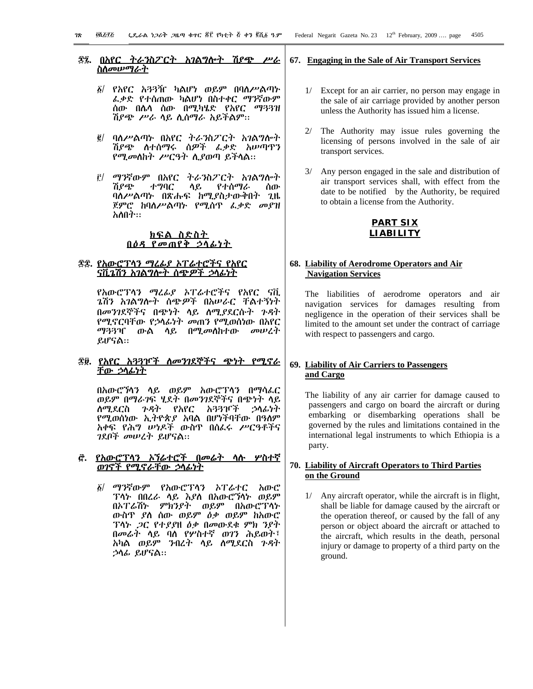#### ፳፯. <u>በአየር ትራንስፖርት አገልግሎት ሽያጭ ሥራ</u> <u>ስስመሥማራት</u>

- ፩/ የአየር አጓጓዥ ካልሆነ ወይም በባለሥልጣኑ *ፌቃ*ድ የተሰጠው ካልሆነ በስተቀር ማንኛውም ሰው በሴሳ ሰው በሚካሄድ የአየር ማ33ዝ ሽ*ያጭ ሥራ* ሳይ ሊሰማራ አይችልም።
- ፪/ ባለሥልጣኑ በአየር ትራንስፖርት አገልግሎት ሽያጭ ስተሰማሩ ሰዎች ፌቃድ አሠጣዋን የሚመስከት ሥርዓት ሲያወጣ ይችላል።
- <u>it/ ማንኛውም በአየር ትራንስፖርት አገልግሎት</u> ሽያጭ ተግባር ሳይ የተሰማራ ሰው ባለሥልጣኑ በጽሑፍ ከሚያስታውቅበት ጊዜ ጀምሮ ከባለሥልጣኑ የሚሰጥ ፌቃድ መያዝ አስበት።

### <u>ክፍል ስድስት</u> በዕዳ የመጠየቅ ኃላፊነት

# ፷፰. የአውሮፕሳን ማሬፊያ አፐሬተሮችና የአየር <u>ናቪጌሽን አገልግሎት ስጭዎች ኃላፊነት</u>

የአውሮፕላን ማረፊያ አፐሬተሮችና የአየር ናቪ ൂሽን አ*ገ*ልግሎት ሰጭ*ዎች* በአሥራር ቸልተኝነት በመንገደኞችና በጭነት ላይ ሰሚያደርሱት ንዳት የሚኖርባቸው የኃላፊነት *መ*ጠን የሚወሰነው በአየር ማጓጓዣ ውል ላይ በሚመለከተው መሠረት ይሆናል።

### <u> ፳፱. የአየር አጓጓዦች ለመንገደኞችና ጭነት የሚኖራ</u> <u>ቸው ኃላፊነት</u>

በአውሮኻንን ላይ ወይም አውሮፕላን በማሳፈር ወይም በማራንፍ ሂደት በመንገደኞችና በጭነት ሳይ ሰሚደርስ *ጉዳ*ት የአየር አጓጓዦች ኃሳፊነት የሚወሰነው ኢትዮጵያ አባል በሆነችባቸው በዓለም አቀፍ የሕግ ሥነዶች ውስዋ በሰፌሩ ሥርዓቶችና *ገ*ደቦች መሠረት ይሆናል።

### *፸. <u>የአውሮፕላን ኦኘሬተሮች በመሬት ላሉ ሦስተኛ</u>* <u>ወገኖች የሚኖራቸው ኃላፊነት</u>

δ/ ማንኛውም የአውሮፕላን *አ*ፐራተር አውሮ ፕላኑ በበረራ ሳይ እያስ በአውሮኘሳኑ ወይም በኦፐሬሽኑ ምክንያት ወይም በአውሮፕላኑ ውስጥ ያለ ሰው ወይም *ዕቃ* ወይም ከአውሮ ፕላኑ *ጋ*ር የተያያዘ *ዕቃ* በመውደቁ ምክ ንያት በመራት ላይ ባለ የሦስተኛ ወገን ሕይወት፣ አካል ወይም ንብረት ላይ ስሚደርስ ጉዳት ኃሳፊ ይሆናል።

#### 67. Engaging in the Sale of Air Transport Services

- 1/ Except for an air carrier, no person may engage in the sale of air carriage provided by another person unless the Authority has issued him a license.
- 2/ The Authority may issue rules governing the licensing of persons involved in the sale of air transport services.
- 3/ Any person engaged in the sale and distribution of air transport services shall, with effect from the date to be notified by the Authority, be required to obtain a license from the Authority.

### **PART SIX LIABILITY**

# 68. Liability of Aerodrome Operators and Air **Navigation Services**

The liabilities of aerodrome operators and air navigation services for damages resulting from negligence in the operation of their services shall be limited to the amount set under the contract of carriage with respect to passengers and cargo.

# 69. Liability of Air Carriers to Passengers and Cargo

The liability of any air carrier for damage caused to passengers and cargo on board the aircraft or during embarking or disembarking operations shall be governed by the rules and limitations contained in the international legal instruments to which Ethiopia is a party.

# 70. Liability of Aircraft Operators to Third Parties on the Ground

1/ Any aircraft operator, while the aircraft is in flight, shall be liable for damage caused by the aircraft or the operation thereof, or caused by the fall of any person or object aboard the aircraft or attached to the aircraft, which results in the death, personal injury or damage to property of a third party on the ground.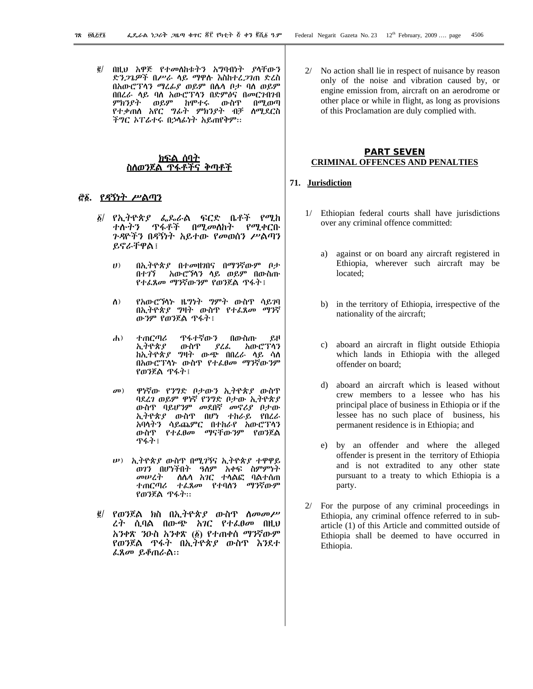#### ክፍል ሰባተ ስስወንጀል ጥፋቶችና ቅጣቶች

#### <u>ể፩. የዳኝነት ሥልጣን</u>

- የኢትዮጵያ ፌዶራል ፍርድ ቤቶች የሚከ  $\delta$ / ተሱትን ዋፋቶች በ*ሚመ*ስስት የሚቀርቡ *ጉዳ*ዮችን በዳኝነት አይተው የመወሰን ሥልጣን ይኖራቸዋል ፡
	- በኢትዮጵያ በተመዘገበና በማንኛውም ቦታ  $\boldsymbol{U}$ አውሮኻንን ላይ ወይም በውስጡ ルナツブ የተፈጸመ ማንኛውንም የወንጀል ዋፋት !
	- የአውሮኻነት ዜግነት ግምት ውስጥ ሳይገባ  $\Lambda$ ) በኢትዮጵያ ግዛት ውስጥ የተፈጸመ ማንኛ ውንም የወንጀል ጥፋት፤
	- ተጠርጣሪ ዋፋተኛውን  $\mathbf{A}$ ) በውስጡ  $\rho$ .H አውሮፕላን ኢትዮጵያ ውስጥ ያረፌ ከኢትዮጵያ ግዛት ውጭ በበረራ ላይ ሳስ በአውሮፐላኑ ውስዋ የተፈፀመ ማንኛውንም የወንጀል ዋፋት፤
	- $\boldsymbol{\sigma}$ <sup> $)$ </sup> ዋነኛው የንግድ ቦታውን ኢትዮጵያ ውስጥ ባደረገ ወይም ዋነኛ የንግድ ቦታው ኢትዮጵያ ውስዋ ባይሆንም መደበኛ መኖሪያ በታው ኢትዮጵያ ውስዋ በሆነ ተከራይ የበረራ አባሳትን ሳይጨምር በተከራየ አውሮፕሳን ውስዋ የተፌፀመ ማናቸውንም የወንጀል ዋፋት ፤
	- *ν*) ኢትዮጵያ ውስጥ በሚገኝና ኢትዮጵያ ተዋዋይ ወገን በሆነችበት ዓለም አቀፍ ስምምነት ስሴሳ *አገር ተ*ሳልፎ ባልተሰጠ መሠረት ተጠርጣሪ ተ*ሌ*ጸመ የተባሰን ማንኛውም የወንጀል ዋፋት።
- $\vec{e}$  / *የወን*ጀል ክስ በኢትዮጵ*ያ* ውስጥ ስ*መመሥ* ረት ሲባል በውጭ አገር የተፈፀመ በዚህ አንቀጽ ንዑስ አንቀጽ (፩) የተጠቀሰ ማንኛውም የወንጀል ዋፋት በኢትዮጵያ ውስዋ እንደተ ፌጸመ ይቆጠራል።

No action shall lie in respect of nuisance by reason only of the noise and vibration caused by, or engine emission from, aircraft on an aerodrome or other place or while in flight, as long as provisions of this Proclamation are duly complied with.

### **PART SEVEN CRIMINAL OFFENCES AND PENALTIES**

### 71. Jurisdiction

- 1/ Ethiopian federal courts shall have jurisdictions over any criminal offence committed:
	- against or on board any aircraft registered in a) Ethiopia, wherever such aircraft may be located;
	- b) in the territory of Ethiopia, irrespective of the nationality of the aircraft;
	- aboard an aircraft in flight outside Ethiopia which lands in Ethiopia with the alleged offender on board;
	- d) aboard an aircraft which is leased without crew members to a lessee who has his principal place of business in Ethiopia or if the lessee has no such place of business, his permanent residence is in Ethiopia; and
	- e) by an offender and where the alleged offender is present in the territory of Ethiopia and is not extradited to any other state pursuant to a treaty to which Ethiopia is a party.
- $2/$ For the purpose of any criminal proceedings in Ethiopia, any criminal offence referred to in subarticle (1) of this Article and committed outside of Ethiopia shall be deemed to have occurred in Ethiopia.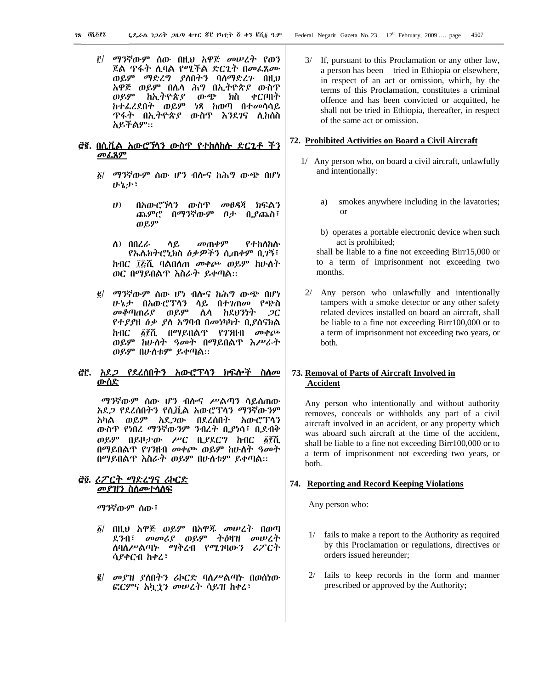<u>i'/ ማንኛውም ሰው በዚህ አዋጅ መሠረት የወን</u> ጀል ዋፋት ሲባል የሚችል ድርጊት በመፈጸሙ ወይም ማድረግ ያለበትን ባለማድረጉ በዚህ አዋጅ ወይም በሌሳ ሕግ በኢትዮጵያ ውስጥ ከኢትዮጵያ ወይም ውጭ ክስ ቀርቦበት ከተፌረደበት ወይም ነጻ ከወጣ በተ*መ*ሳሳይ ዋፋት በኢትዮጵ*ያ* ውስዋ እንደ*ገ*ና ሊክሰስ አይችልም።

#### <u>መፌጸም</u>

- ፩/ *ማን*ኛውም ሰው ሆን ብሎና ከሕግ ውጭ በሆነ ひょよう
	- $(1)$ በአውሮኘሳን ውስዋ መፀዳጀ ክፍልን ጨምሮ በማንኛውም *በታ* ቢያጨስ፣ ወይም
	- ለ) በበረራ ሳይ መጠቀም የተከለከሱ የኤሌክትሮኒክስ ዕቃዎችን ሲጠቀም ቢገኝ፣ ከብር ፲፩ሺ ባልበለጠ መቀጮ ወይም ከሁለት ወር በማይበልጥ እስራት ይቀጣል።
- ማንኛውም ሰው ሆነ ብሎና ከሕግ ውጭ በሆነ  $\vec{e}$  / ሁኔታ በአውሮፕላን ላይ በተገጠመ የጭስ *መቆጣጠሪያ ወይም ሴ*ሳ ከደሀንነት  $\overline{2}C$ *የተያያ*ዘ *ዕቃ ያ*ለ አግባብ በመነካካት ቢያሰናክል *ከብር ፩፻ሺ በማይበልጥ የገን*ዘብ መቀጮ ወይም ከሁስት ዓመት በማይበልዋ እሥራት ወይም በሁስቱም ይቀጣል።

# <u>ሮሮ. አደ*ጋ* የደረሰበትን አውሮፕሳን ክፍሎች ስለ*i*</u> <u>ውሰድ</u>

ማንኛውም ሰው ሆን ብሎና ሥልጣን ሳይሰጠው አደ*ጋ የ*ደረሰበትን የሲቪል አውሮፕላን ማንኛውንም አካል ወይም አደ*ጋ*ው በደረሰበት አውሮፐሳን ውስጥ የነበረ ማንኛውንም ንብረት ቢያነሳ፣ ቢደብቅ ወይም በይዞታው ሥር ቢያደርግ ከብር ፩፻ሺ በማይበልጥ የገንዘብ መቀጮ ወይም ከሁስት ዓመት በማይበልጥ እስራት ወይም በሁስቱም ይቀጣል።

# *<u>ቂ፬. ሪፖርት ማድረግና ሪኮርድ</u>* <u>መያዝን ስስመተሳስፍ</u>

ማንኛውም ሰው፣

- ፩/ በዚህ አዋጅ ወይም በአዋጁ መሠረት በወጣ ደንብ፣ መመሪያ ወይም ትዕዛዝ መሠረት ስባስሥልጣኑ ማቅረብ የሚገባውን ሪፖርት ሳያቀርብ ከቀረ፣
- ፪/ መያዝ ያስበትን ሪኮርድ ባስሥልጣኑ በወሰነው ፎርምና አኳኃን መሠረት ሳይዝ ከቀረ፣

#### 72. Prohibited Activities on Board a Civil Aircraft

- 1/ Any person who, on board a civil aircraft, unlawfully and intentionally:
	- smokes anywhere including in the lavatories; a) or
	- b) operates a portable electronic device when such act is prohibited;

shall be liable to a fine not exceeding Birr15,000 or to a term of imprisonment not exceeding two months.

2/ Any person who unlawfully and intentionally tampers with a smoke detector or any other safety related devices installed on board an aircraft, shall be liable to a fine not exceeding Birr100,000 or to a term of imprisonment not exceeding two years, or both.

# 73. Removal of Parts of Aircraft Involved in **Accident**

Any person who intentionally and without authority removes, conceals or withholds any part of a civil aircraft involved in an accident, or any property which was aboard such aircraft at the time of the accident, shall be liable to a fine not exceeding Birr100,000 or to a term of imprisonment not exceeding two years, or both.

#### 74. Reporting and Record Keeping Violations

Any person who:

- fails to make a report to the Authority as required by this Proclamation or regulations, directives or orders issued hereunder;
- $2/$ fails to keep records in the form and manner prescribed or approved by the Authority;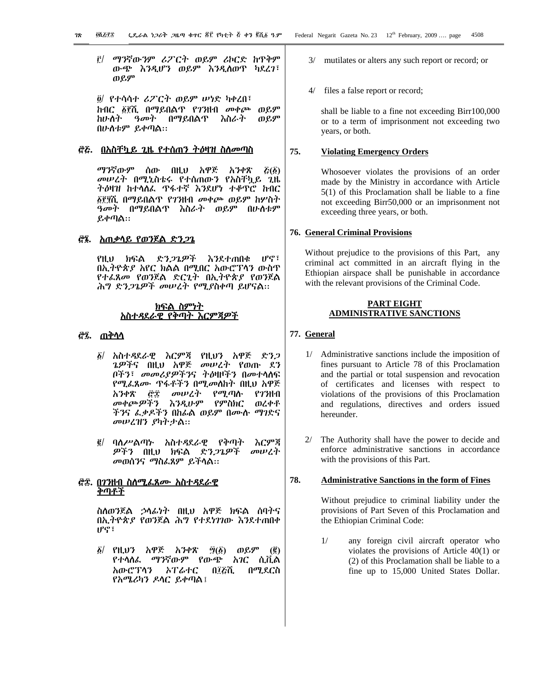<u>፫/ ማንኛውንም ሪፖርት ወይም ሪኮርድ ከጥቅም</u> ውጭ እንዲሆን ወይም እንዲሰወጥ ካደረገ፣ ወይም

 $\ddot{\theta}$  የተሳሳተ ሪፖርት ወይም ሠነድ ካቀረበ፤ ከብር ፩፻ሺ በማይበልጥ የ7ንዘብ መቀጮ ወይም れひへふ *ዓመት* በማይበልጥ እስራት ወይም በሁስቱም ይቀጣል::

#### *፸*ሯ. በአስቸ<u>ካይ ጊዜ የተሰጠን ትዕዛዝ ስለመጣስ</u>

አንቀጽ ማንኛውም ሰው በዚህ አዋጅ  $\vec{\mathcal{L}}(\vec{\mathcal{L}})$ መሠረት በሚኒስቴሩ የተሰጠውን የአስቸኳይ ጊዜ ትዕዛዝ ከተሳሰፌ ዋፋተኛ እንደሆነ ተቆጥሮ ከብር ፩፻፶ሺ በማይበልጥ የ7ንዘብ መቀጮ ወይም ከሦስት ዓመት በማይበልጥ እስራት ወይም በሁስቱም ይቀጣል።

### <u>ሮ፮. አጠቃሳይ የወንጀል ድን*ጋ*ጌ</u>

 $IPG$ : ድን*ጋጌዎች* የዚህ ክፍል እንደተጠበቁ በኢትዮጵያ አየር ክልል በሚበር አውሮፐሳን ውስጥ የተፈጸመ የወንጀል ድርጊት በኢትዮጵያ የወንጀል ሕግ ድን*ጋጌዎች መሠረት የሚያ*ስቀጣ ይሆናል።

#### <u>ክፍል ስምነተ</u> <u>አስተዳደራዊ የቅጣት እርምጃዎች</u>

## *ሮ፯*. <u>ጠቅሳሳ</u>

- *δ|* አስተዳደራዊ እርምጃ የዚህን አዋጅ ድን*ጋ ጌዎች*ና በዚህ አዋጅ *መ*ሠረት የወጡ ደን በችን፣ መመሪያዎችንና ትዕዛዞችን በመተሳሰፍ የሚፌጸ*ሙ* ዋፋቶችን በሚመስከት በዚህ አዋጅ አንቀጽ የሚጣሱ ĈТ መሠረት የ*ገ*ንዘብ መቀጮ*ዎችን እን*ዲሁም የምስክር ወረቀቶ ችንና ፌቃዶችን በከፊል ወይም በሙሉ *ማገ*ድና መሠረዝን ያካትታል።
- *፪*/ ባለሥልጣኑ አስተዳደራዊ የቅጣት እርምጃ *ዎችን* በዚህ ክፍል ድ*ንጋጌዎች* መሠረት *መ*ወሰንና *ማ*ስፌጸም ይችላል።

### *፸፰*. <u>በ7ንዘብ ስስሚፌጸሙ አስተዳደራዊ</u> <u>ቅጣቶች</u>

ስለወንጀል ኃላፊነት በዚህ አዋጅ ክፍል ሰባትና በኢትዮጵያ የወንጀል ሕግ የተደነገገው እንደተጠበቀ ሆኖ፣

፩/ የዚህን አዋጅ አንቀጽ  $\tilde{H}(\tilde{\Omega})$ ወይም  $(\vec{g})$ የተሳሰፌ *ማን*ኛውም የውጭ አገር ሲቪል አውሮፕላን ኦፐራተር በ፲ሯሺ በሚደርስ የአሜሪካን ዶሳር ይቀጣል !

- 3/ mutilates or alters any such report or record; or
- $\Delta/$ files a false report or record;

shall be liable to a fine not exceeding Birr100,000 or to a term of imprisonment not exceeding two years, or both.

#### **Violating Emergency Orders** 75.

Whosoever violates the provisions of an order made by the Ministry in accordance with Article  $5(1)$  of this Proclamation shall be liable to a fine not exceeding Birr50,000 or an imprisonment not exceeding three years, or both.

#### **76. General Criminal Provisions**

Without prejudice to the provisions of this Part, any criminal act committed in an aircraft flying in the Ethiopian airspace shall be punishable in accordance with the relevant provisions of the Criminal Code.

### **PART EIGHT ADMINISTRATIVE SANCTIONS**

# 77. General

- 1/ Administrative sanctions include the imposition of fines pursuant to Article 78 of this Proclamation and the partial or total suspension and revocation of certificates and licenses with respect to violations of the provisions of this Proclamation and regulations, directives and orders issued hereunder.
- $2/$ The Authority shall have the power to decide and enforce administrative sanctions in accordance with the provisions of this Part.

#### 78. **Administrative Sanctions in the form of Fines**

Without prejudice to criminal liability under the provisions of Part Seven of this Proclamation and the Ethiopian Criminal Code:

 $1/$ any foreign civil aircraft operator who violates the provisions of Article  $40(1)$  or (2) of this Proclamation shall be liable to a fine up to 15,000 United States Dollar.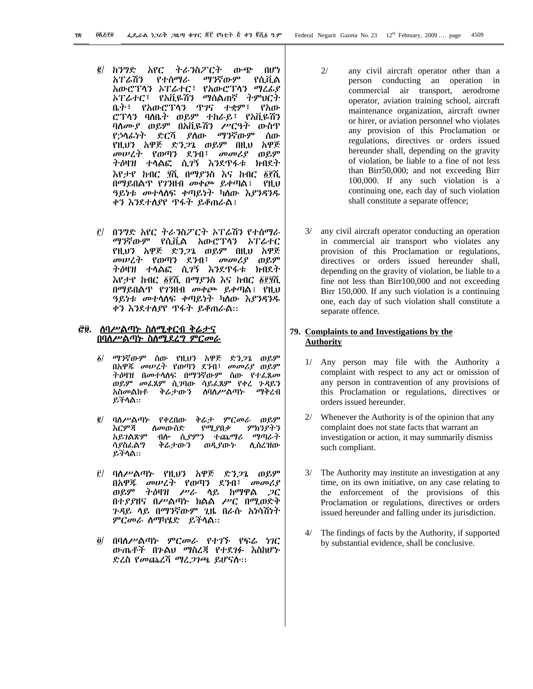- አየር ትራንስፖርት ውጭ ĝ/ ከንግድ በሆነ ማንኛውም አፐራሽን የተሰማራ የሲቪል አውሮፕላን ኦፐሬተር፣ የአውሮፕላን ማረፊያ ኦፐሬተር፣ የአቪዬሽን ማሰልጠኛ ተምህርተ ቤት፣ የአውሮፕሳን ጥገና ተቋም፣ የአጡ ሮፕላን ባለቤት ወይም ተከራይ፣ የአቪዬሽን ባለ*ሙያ ወ*ይም በአቪዬሽን *ሥርዓት* ውስዋ የኃላፊነት ድርሻ ያስው ማንኛውም ሰው የዚህን አዋጅ ድን*ጋጌ* ወይም በዚህ አዋጅ መሠረት የወጣን ደንብ፣ መመሪያ ወይም *ትዕ*ዛዝ ተሳልፎ ሲ*ገ*ኝ እንደዋፋቱ ክብደት እየታየ ከብር ፶ሺ በማያንስ እና ከብር ፩፻ሺ በማይበልጥ የገንዘብ መቀጮ ይቀጣል፤  $PH.U$ ዓይነቱ መተሳሰፍ ቀጣይነት ካስው እያንዳንዱ ቀን እንደተሰያየ ዋፋት ይቆጠራል፤
- <u>ቮ/ በንግድ አየር ትራንስፖርት አፐሬሽን የተሰማራ</u> ማንኛውም-የሲቪል አውሮፕሳን ኦፐሬተር የዚህን አዋጅ ድንጋጌ ወይም በዚህ አዋጅ መሠረት የወጣን ደንብ፣ መመሪያ ወይም *ትዕ*ዛዝ ተሳልፎ ሲ*ገ*ኝ እንደዋፋቱ ክብደት እየታየ ከብር ፩፻ሺ በማይንስ እና ከብር ፩፻፶ሺ በማይበልጥ የገንዘብ መቀጮ ይቀጣል፤ የዚህ ዓይነቱ መተሳሰፍ ቀጣይነት ካስው እ*ያንዳን*ዱ ቀን እንደተሰያየ ጥፋት ይቆጠራል።

#### *፸*፱. ሰባሥልጣኑ ስስሚቀርብ ቅሬታና <u>በባለሥልጣኑ ስስሚደረግ ምርመራ</u>

- ማንኛውም ሰው የዚህን አዋጅ ድን*ጋጌ* ወይም  $\vec{\delta}$ በአዋጁ መሠረት የወጣን ደንብ፣ መመሪያ ወይም ትዕዛዝ በመተሳሰፍ በማንኛውም ሰው የተፈጸመ ወይም መፌጸም ሲገባው ሳይፌጸም የቀረ ጉዳይን ቅራታውን **ስባስ**ሥልጣ**ኮ** አስ*መ*ልክቶ ማቅረብ ይችሳል።
- $\overline{g}/$ ባለሥልጣኑ የቀረበው ቅሬታ ምርመራ ወይም እርምጃ ምክንያትን የሚያበቃ *ስመ*ውሰድ አይገልጽም ብሎ ሲያምን ተጨማሪ ማጣራት ሳያስፌልግ ቅሬታውን ወዲያውኮ ሊሰረዝው ይችሳል።
- ፫/ ባለሥልጣኑ የዚህን አዋጅ ድን*ጋ*ጌ ወይም በአዋጁ መሠረት የወጣን ደንብ፣ መመሪያ ወይም ትዕዛዝ ሥራ ላይ ከማዋል *ጋ*ር በተያያዘና በሥልጣት ክልል ሥር በሚወድቀ *ጉዳ*ይ ሳይ በማንኛውም ጊዜ በራሱ አነሳሽነት ምርመራ ስማካሄድ ይችላል።
- በባስሥልጣኑ ምርመራ የተገኙ የፍሬ ነገር  $\partial/$ ውጤቶች በንልህ ማስረጃ የተደገፉ እስከሆኑ ድረስ የመጨረሻ ማፈ*ጋገጫ* ይሆናሱ።
- $2/$ any civil aircraft operator other than a person conducting an operation in commercial air transport, aerodrome operator, aviation training school, aircraft maintenance organization, aircraft owner or hirer, or aviation personnel who violates any provision of this Proclamation or regulations, directives or orders issued hereunder shall, depending on the gravity of violation, be liable to a fine of not less than Birr50,000; and not exceeding Birr 100,000. If any such violation is a continuing one, each day of such violation shall constitute a separate offence;
- $3/$ any civil aircraft operator conducting an operation in commercial air transport who violates any provision of this Proclamation or regulations, directives or orders issued hereunder shall, depending on the gravity of violation, be liable to a fine not less than Birr100,000 and not exceeding Birr 150,000. If any such violation is a continuing one, each day of such violation shall constitute a separate offence.

### 79. Complaints to and Investigations by the **Authority**

- 1/ Any person may file with the Authority a complaint with respect to any act or omission of any person in contravention of any provisions of this Proclamation or regulations, directives or orders issued hereunder.
- $2/$ Whenever the Authority is of the opinion that any complaint does not state facts that warrant an investigation or action, it may summarily dismiss such compliant.
- $3/$ The Authority may institute an investigation at any time, on its own initiative, on any case relating to the enforcement of the provisions of this Proclamation or regulations, directives or orders issued hereunder and falling under its jurisdiction.
- The findings of facts by the Authority, if supported by substantial evidence, shall be conclusive.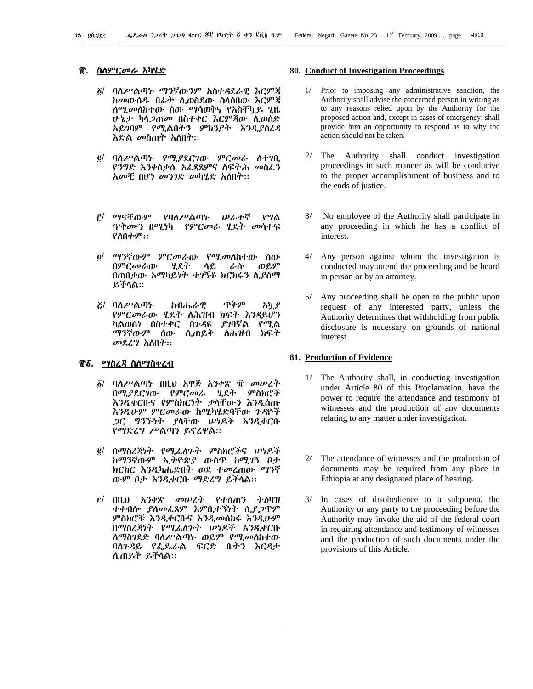# ፹. ስለምር*መራ* አካሄድ

- ፩/ ባለሥልጣኑ ማንኛውንም አስተዳደራዊ እርምጃ ከመውሰዱ በፊት ሲወስደው ስሳሰበው እርምጃ *ስሚመ*ለከተው ሰው ማሳወቅና የአስቸኳይ ጊዜ ሁኔታ ካሳ*ጋ*ጠመ በስተቀር እርምጃው ሲወሰድ አይገባም የሚልበትን ምክንያት እንዲያስረዳ እድል *መ*ስጠት አስበት።
- ፪/ ባለሥልጣኑ የሚያደርገው ምርመራ ስተገቢ የንግድ እንቅስቃሴ አፌጻጸምና ስፍትሕ መስፌን አመቺ በሆነ መንገድ መካሄድ አለበት፡፡
- i *ማና*ቸውም የባለሥልጣኑ ルんホぞ የግል ዋቅሙን በሚነካ የምርመራ ሂደተ መሳተፍ የስበትም::
- ማንኛውም ምርመራው የሚመስከተው ሰው  $\partial$ / ወይም በምርመራው ሂደት ላይ ራሱ በጠበቃው አማካይነት ተገኝቶ ክርክሩን ሲያሰማ ይችላል።
- *&*/ ባለሥልጣኍ ጥቅም ከብሔራዊ አካያ የምርመራው ሂደት ለሕዝብ ክፍት እንዳይሆን ካልወሰነ በስተቀር በ*ጉዳ*ዩ *ያገ*ባኛል  $P^{op}$ ል ማንኛውም ሰው ሲጠይቅ ስሕዝብ ክፍት መደረግ አስበት፡፡

# *ቲ፮. <u>ማስረጃ ስስማስቀረብ</u>*

- ፩/ ባለሥልጣኑ በዚህ አዋጅ አንቀጽ ፹ መሠረት በሚያደርገው የምርመራ ሂደት ምስክሮች እንዲቀርቡና የምስክርነት ቃላቸውን እንዲሰጡ እንዲሁም ምርመራው ከሚካሄድባቸው ጉዳዮች *ጋ*ር *ግንኙነት ያ*ላቸው ሥነዶች እንዲቀርቡ የማድረግ ሥልጣን ይኖረዋል::
- በማስረጃነት የሚፌስጉት ምስክሮችና ሠነዶች  $\vec{e}$ ከማንኛውም ኢትዮጵያ ውስጥ ከሚገኝ ቦታ ክርክር እንዲካሔድበት ወደ ተመረጠው ማንኛ ውም ቦታ እንዲቀርቡ ማድረግ ይችላል።
- <u>፫/ በዚህ አንቀጽ መሠረት የተሰጠን ትዕዛዝ</u> ተቀብሎ ያለመፈጸም እምቢተኝነት ሲያ*ጋ*ጥም ምስክሮቹ እንዲቀርቡና እንዲመሰክሩ እንዲሁም በማስረጃነት የሚፌስንተ ሠነዶች እንዲቀርቡ *ስማስገ*ደድ ባለሥልጣኑ ወይም የሚመለከተው ባስንዳይ የፌዴራል ፍርድ ቤትን እርዳታ ሊጠይቅ ይችሳል።

#### 80. Conduct of Investigation Proceedings

- 1/ Prior to imposing any administrative sanction, the Authority shall advise the concerned person in writing as to any reasons relied upon by the Authority for the proposed action and, except in cases of emergency, shall provide him an opportunity to respond as to why the action should not be taken.
- 2/ The Authority shall conduct investigation proceedings in such manner as will be conducive to the proper accomplishment of business and to the ends of justice.
- 3/ No employee of the Authority shall participate in any proceeding in which he has a conflict of interest.
- 4/ Any person against whom the investigation is conducted may attend the proceeding and be heard in person or by an attorney.
- 5/ Any proceeding shall be open to the public upon request of any interested party, unless the Authority determines that withholding from public disclosure is necessary on grounds of national interest.

#### 81. Production of Evidence

- 1/ The Authority shall, in conducting investigation under Article 80 of this Proclamation, have the power to require the attendance and testimony of witnesses and the production of any documents relating to any matter under investigation.
- The attendance of witnesses and the production of documents may be required from any place in Ethiopia at any designated place of hearing.
- 3/ In cases of disobedience to a subpoena, the Authority or any party to the proceeding before the Authority may invoke the aid of the federal court in requiring attendance and testimony of witnesses and the production of such documents under the provisions of this Article.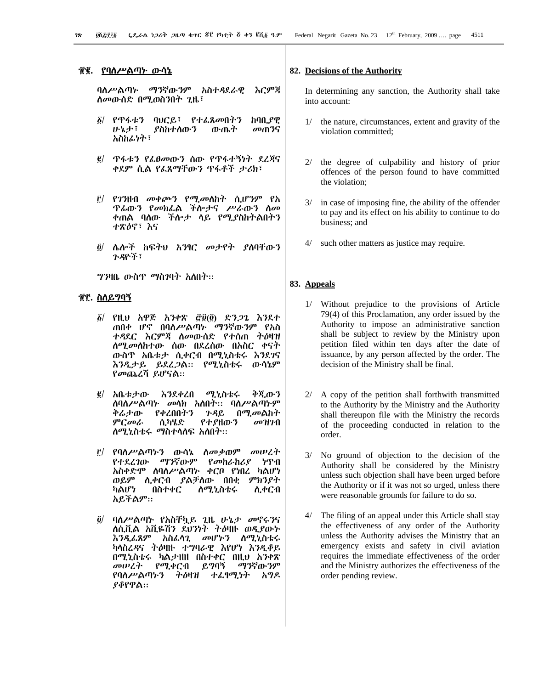### ፹፪. <u>የባለሥልጣኑ ውሳኔ</u>

ባለሥልጣኑ ማንኛውንም አስተዳደራዊ እርምጃ ለመውሰድ በሚወስንበት ጊዜ፣

- δL. የጥፋቱን ባህርይ፣ የተፈጸመበትን ከባቢያዊ ひょよう ያስከተሰውን ውጤት መጠንና አስከፊነት፣
- ፪/ ጥፋቱን የፌፀመውን ሰው የጥፋተኝነት ደረጃና ቀደም ሲል የፌጸማቸውን ጥፋቶች ታሪክ፣
- የገንዘብ መቀጮን የሚመስከት ሲሆንም የአ  $\mathbf{r}$ *ፕሌ*ውን የመክልል ችሎታና ሥራውን ስመ ቀጠል ባለው ችሎታ ሳይ የሚያስከተልበተን ተጽዕኖ፣ እና
- $\tilde{g}$ / ሌሎች ከፍተህ አንፃር መታየት ያስባቸውን ንዳዮች፣

*ግን*ዛቤ ውስጥ ማስገባት አስበት፡፡

#### <u> ТГ. ስለይግባኝ</u>

- $\tilde{g}$ / የዚህ አዋጅ አንቀጽ ሮ፱(፬) ድን*ጋጌ* እንደተ ጠበቀ ሆኖ በባለሥልጣኑ ማንኛውንም የአስ ተዳደር እርምጃ ስመውሰድ የተሰጠ ተዕዛዝ ለ*ሚመ*ለከተው ሰው በደረሰው በአስር ቀናት ውስዋ አቤቱታ ሲቀርብ በሚኒስቴሩ እንደገና እንዲታይ ይደረ*ጋ*ል። የሚኒስቴሩ ውሳኔም የመጨረሻ ይሆናል።
- *@*/ አቤቱታው እንደቀረበ ሚኒስቴሩ ቅጀ ጡን ለባለሥልጣኑ መላክ አለበት፡፡ ባለሥልጣኑም ቅሬታው የቀረበበትን *ጉዳ*ይ በሚመልከት ምርመራ ሲካሄድ የተያዘውን  $\omega$ H<sub>7</sub>-A *ስሚኒ*ስቴሩ ማስተላስፍ አስበተ፡፡
- *፫/ የባስሥልጣኑን* ውሳኔ *ስመቃ*ወም መሠረት የተደረገው ማንኛውም የመከራከሪያ ነጥብ አስቀድሞ ሰባሰሥልጣኑ ቀርቦ የነበረ ካልሆነ ወይም ሊቀርብ ያልቻለው በበቂ ምክንያት ካልሆነ በስተቀር <u>ለሚኒስቴሩ</u> ለ ቀርብ አይችልም።
- ፬/ ባለሥልጣኑ የአስቸኳይ ጊዜ ሁኔታ መኖሩ*ን*ና ለሲቪል አቪዬሽን ደህንነት ትዕዛዙ ወዲያውኑ <u>እንዲፌጸም</u> አስፌሳጊ መሆኑን ሰሚኒስቴሩ ካሳስረዳና ትዕዛዙ ተግባራዊ እየሆነ እንዲቆይ በሚኒስቴሩ ካልታዘዘ በስተቀር በዚህ አንቀጽ መሠረት የሚቀርብ ይግባኝ ማንኛውንም ትዕዛዝ ተፈፃሚነት አግዶ የባለሥልጣኑን ያቆየዋል።

#### 82. Decisions of the Authority

In determining any sanction, the Authority shall take into account:

- the nature, circumstances, extent and gravity of the violation committed:
- $2l$ the degree of culpability and history of prior offences of the person found to have committed the violation;
- $3/$ in case of imposing fine, the ability of the offender to pay and its effect on his ability to continue to do business: and
- such other matters as justice may require.

#### 83. Appeals

- 1/ Without prejudice to the provisions of Article 79(4) of this Proclamation, any order issued by the Authority to impose an administrative sanction shall be subject to review by the Ministry upon petition filed within ten days after the date of issuance, by any person affected by the order. The decision of the Ministry shall be final.
- 2/ A copy of the petition shall forthwith transmitted to the Authority by the Ministry and the Authority shall thereupon file with the Ministry the records of the proceeding conducted in relation to the order.
- $3/$ No ground of objection to the decision of the Authority shall be considered by the Ministry unless such objection shall have been urged before the Authority or if it was not so urged, unless there were reasonable grounds for failure to do so.
- 4/ The filing of an appeal under this Article shall stay the effectiveness of any order of the Authority unless the Authority advises the Ministry that an emergency exists and safety in civil aviation requires the immediate effectiveness of the order and the Ministry authorizes the effectiveness of the order pending review.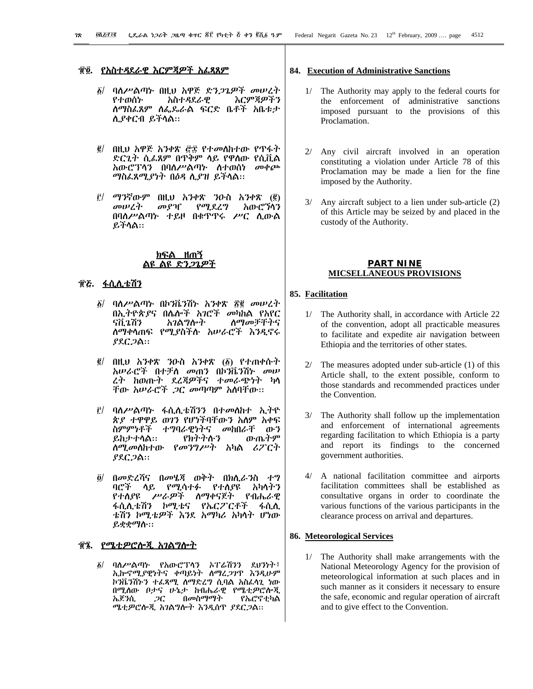### ፹፬. *የአስተዳ*ደራዊ እርምጃዎች አፌጻጸም

- ፩/ ባለሥልጣኑ በዚህ አዋጅ ድን*ጋጌዎች መሠረ*ት እርምጃዎችን አስተዳደራዊ የተወሰኑ ስማስፌጸም ስፌጼራል ፍርድ ቤቶች አቤቱታ ሊያቀርብ ይችላል።
- በዚህ አዋጅ አንቀጽ ፸፰ የተመለከተው የጥፋት  $\vec{g}/$ ድርጊት ሲሬጸም በጥቅም ላይ የዋሰው የሲቪል *አ*ውሮፕሳን በባለሥልጣኑ ስተወሰነ መቀጮ *ጣ*ስፌጸሚ*ያነት* በዕዳ ሲያዝ ይችላል።
- $\hat{E}$  ማንኛውም በዚህ አንቀጽ ንዑስ አንቀጽ (፪) መያዣ የሚደረግ አውሮኘሳን መሠረት በባስሥልጣኑ ተይዞ በቁዋዋሩ ሥር ሲውል ይችሳል።

#### <u>ክፍል ዘጠኝ</u> <u>ልዩ ልዩ ድንጋኔዎች</u>

### ፹**፩. ፏሲ**ሊቴሽን

- ፩/ ባለሥልጣኑ በኮንቬንሽኑ አንቀጽ ፳፪ መሠረት በኢትዮጵያና በሌሎች አገሮች መካከል የአየር รกี.ว.กีว አገልግሎት ስማመቻቸትና ስማቀሳጠፍ የሚያስችሱ *አ*ሠራሮች እንዲኖሩ ያደር*ጋ*ል።
- $g/$ በዚህ አንቀጽ ንውስ አንቀጽ (፩) የተጠቀሱተ አሠራሮች በተቻለ መጠን በኮንቬንሽኑ መሠ ረት ስወጡት ደረጃዎችና ተመራጭነት ካላ<br>ቸው ስሠራሮች *ጋ*ር መጣጣም ስለባቸው።
- $\mathbf{r}$ ባለሥልጣኑ ፋሲሊቴሽንን በተመለከተ ኢትዮ ጵያ ተዋዋይ ወገን የሆነችባቸውን አለም አቀፍ ስምምነቶች ተግባራዊነትና መከበራቸ ውን ይከታተሳል። የክተተሱን ውጤትም *ስሚመስከተ*ው የ*መንግሥት* አካል ሪፖርት *ያ*ደር*ጋ*ል።
- $\partial$ / በመድረሻና በመሄጃ ወቅት በክሊራንስ ተግ ባሮች ሳይ የሚሳተፉ የተለያዩ አካሳትን የተሰያዩ ሥራዎች ስማቀናጀት የብሔራዊ ፋሲሊቴሽን ኮሚቴና የኤርፖርቶች ፋሲሲ ቴሽን ኮሚቴዎች እንደ አማካሪ አካላት ሆነው ይቋቋማስ።

### <u>፹ኜ. የሜቲዎሮሎጂ አገልግሎት</u>

ባለሥልጣኑ የአውሮፕላን አፐሬሽንን ደሀንነት፣<br>ኢኩኖሚያዊነትና ቀጣይነት ስማረ*ጋ*ገዋ እንዲሁም δ/ ኮንቬንሽ৮ን ተፈጻሚ ሰማድረግ ሲባል አስፈላጊ ነው በሚለው ቦታና ሁኔታ ከብሔራዊ የሜቲዎሮሎጂ በመስማማት ኤጀንሲ ጋር የኤሮኖቲካል ሜቲዎሮሎጂ አገልግሎት እንዲሰዋ ያደር*ጋ*ል።

#### 84. Execution of Administrative Sanctions

- 1/ The Authority may apply to the federal courts for the enforcement of administrative sanctions imposed pursuant to the provisions of this Proclamation.
- 2/ Any civil aircraft involved in an operation constituting a violation under Article 78 of this Proclamation may be made a lien for the fine imposed by the Authority.
- 3/ Any aircraft subject to a lien under sub-article (2) of this Article may be seized by and placed in the custody of the Authority.

#### **PART NINE MICSELLANEOUS PROVISIONS**

#### 85. Facilitation

- 1/ The Authority shall, in accordance with Article 22 of the convention, adopt all practicable measures to facilitate and expedite air navigation between Ethiopia and the territories of other states.
- The measures adopted under sub-article (1) of this Article shall, to the extent possible, conform to those standards and recommended practices under the Convention.
- 3/ The Authority shall follow up the implementation and enforcement of international agreements regarding facilitation to which Ethiopia is a party and report its findings to the concerned government authorities.
- A national facilitation committee and airports  $4/$ facilitation committees shall be established as consultative organs in order to coordinate the various functions of the various participants in the clearance process on arrival and departures.

# 86. Meteorological Services

1/ The Authority shall make arrangements with the National Meteorology Agency for the provision of meteorological information at such places and in such manner as it considers it necessary to ensure the safe, economic and regular operation of aircraft and to give effect to the Convention.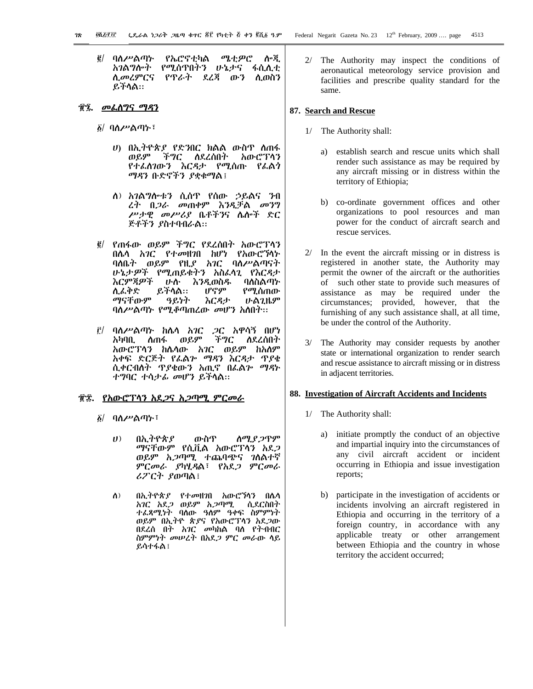*፪*/ ባለሥልጣኍ የኤሮኖቲካል ሜቲዎሮ ሎጂ *አገ*ልግሎት የሚሰጥበትን ሁኔታና ፋሲሊቲ ሲመሪምርና የጥራት ደረጃ ውን ሊወስን ይችላል።

#### <u>ቺኜ. መፌሰግና ማዳን</u>

፩/ ባለሥልጣ**ኑ**፣

- ሀ) በኢትዮጵያ የድንበር ክልል ውስዋ ስጠፋ ወይም ችግር ለደረሰበት አውሮፕላን የተፌስገውን እርዳታ የሚሰጡ የፌልን ማዳን ቡድኖችን ያቋቁማል፤
- ለ) አገልግሎቱን ሲሰዋ የሰው ኃይልና ንብ *ረት በጋራ መ*ጠቀም እንዲቻል *መን*ግ ሥታዊ መሥሪያ ቤቶችንና ሴሎች ድር ጅቶችን ያስተባብራል።
- ፪/ የጠፋው ወይም ችግር የደረሰበት አውሮፐሳን በሴሳ *አገር የተመዘገ*በ ከሆነ የአውሮኘሳ*ኑ* ባለቤት ወይም የዚያ አገር ባለሥልጣናት ሁኔታዎች የሚጠይቁትን አስፌሳጊ የእርዳታ እርምጃዎች ひか እንዲወስዱ ባለስልጣኍ ይችላል። ሲፌቅድ ሆኖም የሚሰጠው ማናቸውም ዓይነት እርዳታ **ሁልጊዜም** ባለሥልጣኑ የሚቆጣጠረው መሆን አስበት፡፡
- ፫/ ባለሥልጣኑ ከሌላ አገር *ጋ*ር አዋሳኝ በሆነ ስጠፋ ወይም ችግር አካባቢ ለደረሰበት አውሮፕላን ከሴሳው አገር ወይም ከአስም አቀፍ ድርጅት የፌልን ማዳን እርዳታ ጥያቄ ተግባር ተሳታፊ መሆን ይችላል።

#### <u> ፹፰. የአውሮፕላን አደ*ጋ*ና አ*ጋ*ጣሚ *ምርመ*ራ</u>

- <u>δ</u>/ ባለሥልጣኑ፣
	- $U$ በኢትዮጵያ ውስጥ ስሚያ ጋጥም ማናቸውም የሲቪል አውሮፐሳን አደ*ጋ* ወይም *አጋ*ጣሚ ተጨባጭና *ገ*ለልተኛ ምርመራ ያካሂዳል፣ የአደ*ጋ* ምርመራ ሪፖርት ያወጣል፤
	- $\Lambda$ ) በኢትዮጵያ የተመዘገበ አውሮኻጎን በሴሳ ሲደርስበት አገር አደ*ጋ* ወይም አ*ጋ*ጣሚ ተፌጻሚነት ባሰው ዓለም ዓቀፍ ስምምነት ወይም በኢትዮ ጵያና የአውሮፐሳን አደ*ጋ*ው በደረሰ በት አገር መካከል ባለ የትብብር ስምምነት መሠረት በአደ*ጋ* ምር መራው ሳይ ይሳተፋል !

2/ The Authority may inspect the conditions of aeronautical meteorology service provision and facilities and prescribe quality standard for the same.

#### 87. Search and Rescue

- 1/ The Authority shall:
	- $a)$ establish search and rescue units which shall render such assistance as may be required by any aircraft missing or in distress within the territory of Ethiopia;
	- b) co-ordinate government offices and other organizations to pool resources and man power for the conduct of aircraft search and rescue services.
- $2/$  In the event the aircraft missing or in distress is registered in another state, the Authority may permit the owner of the aircraft or the authorities of such other state to provide such measures of assistance as may be required under the circumstances; provided, however, that the furnishing of any such assistance shall, at all time, be under the control of the Authority.
- $3/$ The Authority may consider requests by another state or international organization to render search and rescue assistance to aircraft missing or in distress in adjacent territories.

#### 88. Investigation of Aircraft Accidents and Incidents

- 1/ The Authority shall:
	- a) initiate promptly the conduct of an objective and impartial inquiry into the circumstances of any civil aircraft accident or incident occurring in Ethiopia and issue investigation reports;
	- b) participate in the investigation of accidents or incidents involving an aircraft registered in Ethiopia and occurring in the territory of a foreign country, in accordance with any applicable treaty or other arrangement between Ethiopia and the country in whose territory the accident occurred;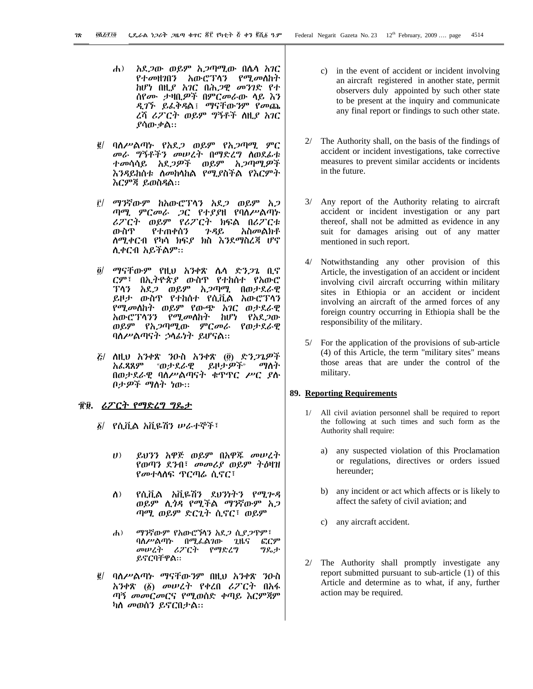- አደ*ጋ*ው ወይም አ*ጋ*ጣሚው በሴሳ አገር  $\mathbf{d}$ አውሮፕላን የ*ሚ.*መለከት የተመዘንበን *ከሆነ በዚያ አገር በሕጋዊ መንገ*ድ የተ ሰየሙ ታዛቢዎች በምርመራው ሳይ እን *ዲገኙ ይፌቅዳ*ል፤ *ማናቸ*ው*ን*ም የመጨ ረሻ ሪፖርት ወይም **ግኝቶች** ስዚ*ያ አገ*ር ያሳው ቃል።
- ባስሥልጣኑ የአደ*ጋ* ወይም የአ*ጋ*ጣሚ ምር  $\vec{e}$  / መራ ግኝቶችን መሠረት በማድረግ ስወደፊቱ *ተመ*ሳሳይ አደ*ጋዎች ወይም አጋጣሚዎች* እንዳይከሰቱ ስመከሳከል የሚያስችል የእርምት እርምጃ ይወስዳል።
- ፫/ ማንኛውም ከአውሮፕላን አደ*ጋ* ወይም አ*ጋ* ጣሚ ምርመራ ጋር የተያያዘ የባስሥልጣኑ ሪፖርት ወይም የሪፖርት ክፍል በሪፖርቱ አስመልክቶ ውስዋ የተጠቀሰን ጉዳይ <u>ለሚቀርብ የካሳ ክፍ*ያ* ክስ እንደማስረጃ ሆኖ</u> ሊቀርብ አይችልም።
- *፬/ ማናቸውም የዚህ አንቀጽ ሌላ ድንጋጌ* ቢኖ ርም፣ በኢትዮጵያ ውስዋ የተከሰተ የአውሮ አ*ጋ*ጣሚ በወታደራዊ ፐላን አደ*ጋ* ወይም ይዞታ ውስዋ የተከሰተ የሲቪል አውሮፕላን የሚመለከት ወይም የውጭ አገር ወታደራዊ አውሮፕሳ*ንን የሚመ*ስስት ከሆነ የአደ*ጋ*ው ወይም የአ*ጋ*ጣሚው ምር*ሙ*ራ የወታደራዊ ባስሥልጣናት ኃሳፊነት ይሆናል።
- *ξ/ ስ*ዚህ አንቀጽ ንዑስ አንቀጽ (፬) ድን*ጋጌዎች* አፌጻጸም «ወ*ታ*ደራዊ ይዞታ*ዎች*» ማስት በወታደራዊ ባስሥልጣናት ቁጥጥር ሥር ያስ በታዎች ማስት ነው።

### π፱. ሪፖርት የማድረግ ግዴታ

- ፩/ የሲቪል አቪዬሽን ሥራተኞች፣
	- $(1)$ ይህንን አዋጅ ወይም በአዋጁ መሠረት የወጣን ደንብ፣ መመሪያ ወይም ትዕዛዝ *የመተ*ሳስፍ *ፕርጣ*ሬ ሲኖር፣
	- የሲቪል አቪዬሽን ደህንነትን የሚጕዳ  $\Lambda$ ) ወይም ሲ*ጎዳ* የሚችል ማንኛውም *አጋ* ጣሚ ወይም ድርጊት ሲኖር፣ ወይም
	- ማንኛውም የአውሮኻኅን አደ*ጋ ሲደጋ*ጥም፣  $\mathbf{h}$ ) ፎርም ባለሥልጣኑ በሚፌልገው ጊዜና መሠረት ሪፖርት የማድረግ ግዶታ ይኖርባቸዋል።
- ባለሥልጣኑ ማናቸውንም በዚህ አንቀጽ ንዑስ  $\vec{e}$  / አንቀጽ (፩) መሠረት የቀረበ ሪፖርት በአፋ ጣኝ መመርመርና የሚወሰድ ቀጣይ እርምጃም ካስ መወሰን ይኖርበታል።
- c) in the event of accident or incident involving an aircraft registered in another state, permit observers duly appointed by such other state to be present at the inquiry and communicate any final report or findings to such other state.
- 2/ The Authority shall, on the basis of the findings of accident or incident investigations, take corrective measures to prevent similar accidents or incidents in the future.
- 3/ Any report of the Authority relating to aircraft accident or incident investigation or any part thereof, shall not be admitted as evidence in any suit for damages arising out of any matter mentioned in such report.
- 4/ Notwithstanding any other provision of this Article, the investigation of an accident or incident involving civil aircraft occurring within military sites in Ethiopia or an accident or incident involving an aircraft of the armed forces of any foreign country occurring in Ethiopia shall be the responsibility of the military.
- 5/ For the application of the provisions of sub-article (4) of this Article, the term "military sites" means those areas that are under the control of the military.

#### **89. Reporting Requirements**

- $1/$ All civil aviation personnel shall be required to report the following at such times and such form as the Authority shall require:
	- any suspected violation of this Proclamation a) or regulations, directives or orders issued hereunder:
	- b) any incident or act which affects or is likely to affect the safety of civil aviation; and
	- c) any aircraft accident.
- $2/$ The Authority shall promptly investigate any report submitted pursuant to sub-article (1) of this Article and determine as to what, if any, further action may be required.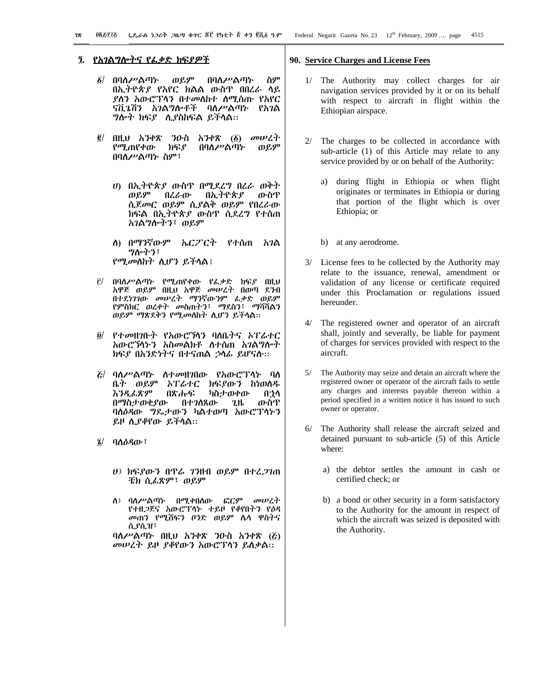- በባለሥልጣኍ ወይም በባለሥልጣኍ ስም  $\delta/$ በኢትዮጵያ የአየር ክልል ውስጥ በበረራ ሳይ ያስን አውሮፕሳን በተመስከተ ስሚሰጡ የአየር ናቪጌሽን አገልግሎቶች ባለሥልጣኑ የአገል *ግ*ሎት ክፍ*ያ* ሊያስከፍል ይችላል።
- በዚህ አንቀጽ ንዑስ  $\tilde{\mathbf{g}}/$ *አንቀጽ* (፩) *መሠረት* የሚጠየቀው ክፍያ በባለሥልጣኑ ወይም በባለሥልጣኑ ስም፣
	- ሀ) በኢትዮጵያ ውስጥ በሚደረግ በረራ ወቅት ወይም በረራው በኢትዮጵያ ውስጥ ሲጀመር ወይም ሲያልቅ ወይም የበረራው ክፍል በኢትዮጵያ ውስዋ ሲደረግ የተሰጠ አገልግሎትን፣ ወይም
	- ስ) በማንኛውም የተሰጠ አገል ኤርፖርት ግሎትን፣ የሚመለከት ሲሆን ይችላል፤
- በባስሥልጣኑ የሚጠየቀው የፌቃድ ክፍያ በዚህ  $\mathbf{r}$ አዋጅ ወይም በዚህ አዋጅ መሠረት በወጣ ደንብ በተደነገገው መሠረት ማንኛውንም ፌቃድ ወይም የምስክር ወረቀት መስጠትን፣ ማደስን፣ ማሻሻልን ወይም ማጽደቅን የሚመስከት ሲሆን ይችላል።
- $\ddot{\mathbf{0}}$ የተመዘገቡት የአውሮኻን ባለቤትና ኦፐራተር አውሮኘሳኑን አስመልክቶ ስተሰጠ አገልግሎት ክፍያ በአንድነትና በተናጠል ኃሳፊ ይሆናስ።
- *ξ/ ባለሥልጣኑ ስተመዘገ*በው የአውሮፕሳኑ ባሰ ቤት ወይም አፐሬተር ክፍያውን ከነወሰዱ እንዲፌጽም በጽሑፍ ካስታወቀው በኃላ በማስታወቂያው በተገለጸው ውስዋ 2,1L ባስዕዳው ግዴታውን ካልተወጣ አውሮፕላኑን ይዞ ሲያቆየው ይችሳል።
- ባለዕዳው፣  $\mathbf{z}/$ 
	- *ህ) ክፍያውን በጥሬ ገን*ዘብ ወይም በተረ*ጋገ*ጠ ቼክ ሲፌጽም፣ ወይም
	- ስ) ባስሥልጣኑ በሚቀበሰው **GCP** *መሁይት* የተዘ*ጋ*ጀና አውሮፕላኑ ተይዞ የቆየበትን የ*ዕዳ* መጠን የሚሸፍን ቦንድ ወይም ሴሳ ዋስትና ሲያሲዝ፣

ባስሥልጣኑ በዚህ አንቀጽ ንዑስ አንቀጽ  $(\vec{k})$ መሠረት ይዞ ያቆየውን አውሮፕሳን ይስቃል።

#### 90. Service Charges and License Fees

- 1/ The Authority may collect charges for air navigation services provided by it or on its behalf with respect to aircraft in flight within the Ethiopian airspace.
- $2/$ The charges to be collected in accordance with sub-article (1) of this Article may relate to any service provided by or on behalf of the Authority:
	- during flight in Ethiopia or when flight a) originates or terminates in Ethiopia or during that portion of the flight which is over Ethiopia; or
	- b) at any aerodrome.
- 3/ License fees to be collected by the Authority may relate to the issuance, renewal, amendment or validation of any license or certificate required under this Proclamation or regulations issued hereunder.
- 4/ The registered owner and operator of an aircraft shall, jointly and severally, be liable for payment of charges for services provided with respect to the aircraft.
- 5/ The Authority may seize and detain an aircraft where the registered owner or operator of the aircraft fails to settle any charges and interests payable thereon within a period specified in a written notice it has issued to such owner or operator.
- The Authority shall release the aircraft seized and detained pursuant to sub-article (5) of this Article where:
	- a) the debtor settles the amount in cash or certified check; or
	- b) a bond or other security in a form satisfactory to the Authority for the amount in respect of which the aircraft was seized is deposited with the Authority.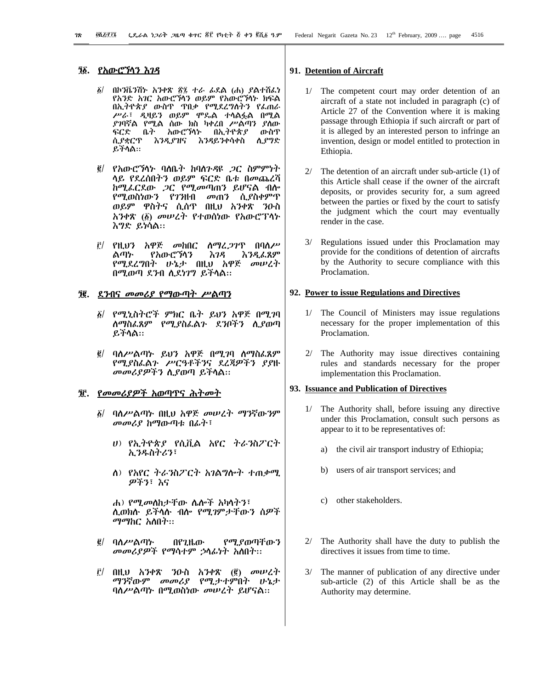# *ዄ*፝ የአውሮኻኅን እ*ገዳ*

- በኮንቬንሽኮ አንቀጽ ፳፯ ተራ ፊደል (ሐ) ያልተሽፌነ õГ የአንድ *አገ*ር አውሮኻን ወይም የአውሮኻኑ ክፍል በኢትዮጵያ ውስጥ ጥበቃ የሚደረግስትን የፌጠራ ሥራ፣ ዲዛይን ወይም ሞዴል ተሳልፏል በሚል *ያገ*ባኛል የሚል ሰው ክስ ካቀረበ ሥልጣን *ያ*ለው ፍርድ ቤት አውሮኘሳኑ በኢትዮጵያ ውስጥ ሲያግድ ሲያቋርጥ እንዲያዝና እንዳይንቀሳቀስ ይችላል።
- *፪/ የአ*ውሮ*ኘ*ሳኑ ባለቤት ከባለንዳዩ *ጋ*ር ስምምነት ላይ የደረሰበትን ወይም ፍርድ ቤቱ በመጨረሻ ከሚፌርደው *ጋ*ር የሚመጣጠን ይሆናል ብሎ የሚወስነውን የገንዘብ *መ*ጠን ሲ*ያ*ስቀምጥ<br>ወይም ዋስትና ሲሰዋ በዚህ አንቀጽ ንዑስ አንቀጽ (፩) መሠረት የተወሰነው የአውሮፕላኑ እግድ ይነሳል።
- $\hat{E}$ / የዚህን አዋጅ መከበር ለማረ*ጋገ*ጥ በባለሥ የአውሮኘሳን እገዳ *እንዲ*ፌጸም ልጣኍ የሚደረግበት ሁኔታ በዚህ አዋጅ መሠረት በሚወጣ ደንብ ሲደነገግ ይችሳል።

#### <u> ፞፞ቜ፟፝. ደንብና መመሪያ የማውጣት ሥልጣን</u>

- *δ| የሚኒ*ስትሮች ምክር ቤት ይህን አዋጅ በሚገባ ስማስፌጸም የሚያስፌልን ደንቦችን ሲያወጣ ይችሳል።
- ፪/ ባለሥልጣኑ ይህን አዋጅ በሚገባ ስማስፌጸም *የሚያ*ስፌልን *ሥርዓቶችን*ና ደረጃዎችን *ያያ*ዙ *መመሪያዎችን ሲያ*ወጣ ይችላል።

### 

- ፩/ ባለሥልጣኑ በዚህ አዋጅ መሠረት ማንኛውንም መመሪያ ከማውጣቱ በፊት፣
	- ሀ) የኢትዮጵያ የሲቪል አየር ትራ*ን*ስፖርት አ ንዱስትሪን፣
	- ስ) የአየር ትራንስፖርት አገልግሎት ተጠቃሚ ዎችን፣ እና

ሐ) የሚመስከታቸው ሴሎች አካሳትን፣ ሲወክሱ ይችላሉ ብሎ የሚገምታቸውን ሰዎች *ማማ*ክር አለበት፡፡

- $\vec{g}$ / ባለሥልጣኍ የሚያወጣቸውን በየጊዜው መመሪያዎች የማሳተም ኃሳፊነት አስበት፡፡
- $\hat{r}$ / በዚህ አንቀጽ *ን*ዑስ አንቀጽ (፪) መሠረተ ማንኛውም መመሪያ የሚታተምበት ሁኔታ ባለሥልጣኑ በሚወስነው መሠረት ይሆናል።

### 91. Detention of Aircraft

- 1/ The competent court may order detention of an aircraft of a state not included in paragraph (c) of Article 27 of the Convention where it is making passage through Ethiopia if such aircraft or part of it is alleged by an interested person to infringe an invention, design or model entitled to protection in Ethiopia.
- $2/$  The detention of an aircraft under sub-article (1) of this Article shall cease if the owner of the aircraft deposits, or provides security for, a sum agreed between the parties or fixed by the court to satisfy the judgment which the court may eventually render in the case.
- 3/ Regulations issued under this Proclamation may provide for the conditions of detention of aircrafts by the Authority to secure compliance with this Proclamation.

#### 92. Power to issue Regulations and Directives

- 1/ The Council of Ministers may issue regulations necessary for the proper implementation of this Proclamation.
- 2/ The Authority may issue directives containing rules and standards necessary for the proper implementation this Proclamation.

#### 93. Issuance and Publication of Directives

- 1/ The Authority shall, before issuing any directive under this Proclamation, consult such persons as appear to it to be representatives of:
	- the civil air transport industry of Ethiopia; a)
	- users of air transport services; and b)
	- c) other stakeholders.
- $2/$ The Authority shall have the duty to publish the directives it issues from time to time.
- 3/ The manner of publication of any directive under sub-article (2) of this Article shall be as the Authority may determine.